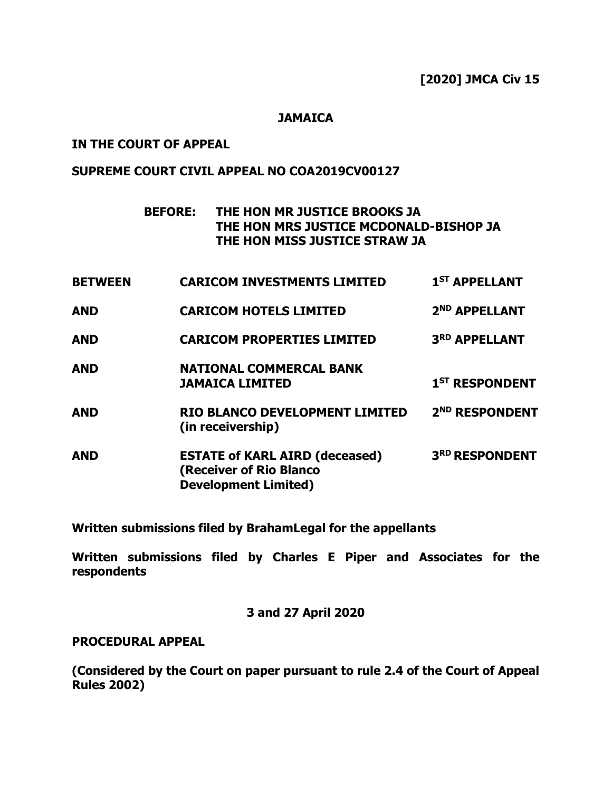#### **JAMAICA**

#### **IN THE COURT OF APPEAL**

### **SUPREME COURT CIVIL APPEAL NO COA2019CV00127**

# **BEFORE: THE HON MR JUSTICE BROOKS JA THE HON MRS JUSTICE MCDONALD-BISHOP JA THE HON MISS JUSTICE STRAW JA**

| <b>BETWEEN</b> | <b>CARICOM INVESTMENTS LIMITED</b>                                                              | 1 <sup>ST</sup> APPELLANT  |
|----------------|-------------------------------------------------------------------------------------------------|----------------------------|
| <b>AND</b>     | <b>CARICOM HOTELS LIMITED</b>                                                                   | 2 <sup>ND</sup> APPELLANT  |
| <b>AND</b>     | <b>CARICOM PROPERTIES LIMITED</b>                                                               | 3RD APPELLANT              |
| <b>AND</b>     | <b>NATIONAL COMMERCAL BANK</b><br><b>JAMAICA LIMITED</b>                                        | 1 <sup>ST</sup> RESPONDENT |
| <b>AND</b>     | RIO BLANCO DEVELOPMENT LIMITED<br>(in receivership)                                             | 2 <sup>ND</sup> RESPONDENT |
| <b>AND</b>     | <b>ESTATE of KARL AIRD (deceased)</b><br>(Receiver of Rio Blanco<br><b>Development Limited)</b> | 3RD RESPONDENT             |
|                |                                                                                                 |                            |

**Written submissions filed by BrahamLegal for the appellants**

**Written submissions filed by Charles E Piper and Associates for the respondents**

**3 and 27 April 2020**

#### **PROCEDURAL APPEAL**

**(Considered by the Court on paper pursuant to rule 2.4 of the Court of Appeal Rules 2002)**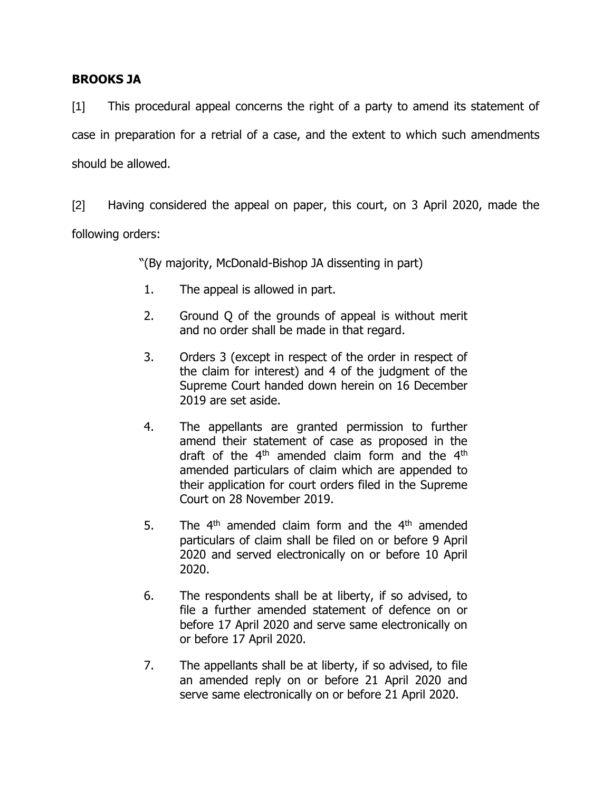## **BROOKS JA**

[1] This procedural appeal concerns the right of a party to amend its statement of case in preparation for a retrial of a case, and the extent to which such amendments should be allowed.

[2] Having considered the appeal on paper, this court, on 3 April 2020, made the following orders:

"(By majority, McDonald-Bishop JA dissenting in part)

- 1. The appeal is allowed in part.
- 2. Ground Q of the grounds of appeal is without merit and no order shall be made in that regard.
- 3. Orders 3 (except in respect of the order in respect of the claim for interest) and 4 of the judgment of the Supreme Court handed down herein on 16 December 2019 are set aside.
- 4. The appellants are granted permission to further amend their statement of case as proposed in the draft of the  $4<sup>th</sup>$  amended claim form and the  $4<sup>th</sup>$ amended particulars of claim which are appended to their application for court orders filed in the Supreme Court on 28 November 2019.
- 5. The  $4<sup>th</sup>$  amended claim form and the  $4<sup>th</sup>$  amended particulars of claim shall be filed on or before 9 April 2020 and served electronically on or before 10 April 2020.
- 6. The respondents shall be at liberty, if so advised, to file a further amended statement of defence on or before 17 April 2020 and serve same electronically on or before 17 April 2020.
- 7. The appellants shall be at liberty, if so advised, to file an amended reply on or before 21 April 2020 and serve same electronically on or before 21 April 2020.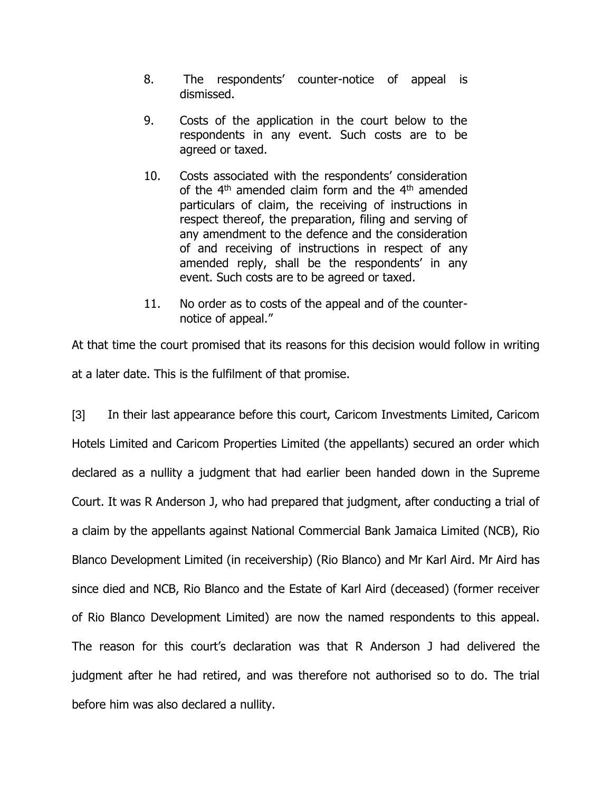- 8. The respondents' counter-notice of appeal is dismissed.
- 9. Costs of the application in the court below to the respondents in any event. Such costs are to be agreed or taxed.
- 10. Costs associated with the respondents' consideration of the 4<sup>th</sup> amended claim form and the 4<sup>th</sup> amended particulars of claim, the receiving of instructions in respect thereof, the preparation, filing and serving of any amendment to the defence and the consideration of and receiving of instructions in respect of any amended reply, shall be the respondents' in any event. Such costs are to be agreed or taxed.
- 11. No order as to costs of the appeal and of the counternotice of appeal."

At that time the court promised that its reasons for this decision would follow in writing at a later date. This is the fulfilment of that promise.

[3] In their last appearance before this court, Caricom Investments Limited, Caricom Hotels Limited and Caricom Properties Limited (the appellants) secured an order which declared as a nullity a judgment that had earlier been handed down in the Supreme Court. It was R Anderson J, who had prepared that judgment, after conducting a trial of a claim by the appellants against National Commercial Bank Jamaica Limited (NCB), Rio Blanco Development Limited (in receivership) (Rio Blanco) and Mr Karl Aird. Mr Aird has since died and NCB, Rio Blanco and the Estate of Karl Aird (deceased) (former receiver of Rio Blanco Development Limited) are now the named respondents to this appeal. The reason for this court's declaration was that R Anderson J had delivered the judgment after he had retired, and was therefore not authorised so to do. The trial before him was also declared a nullity.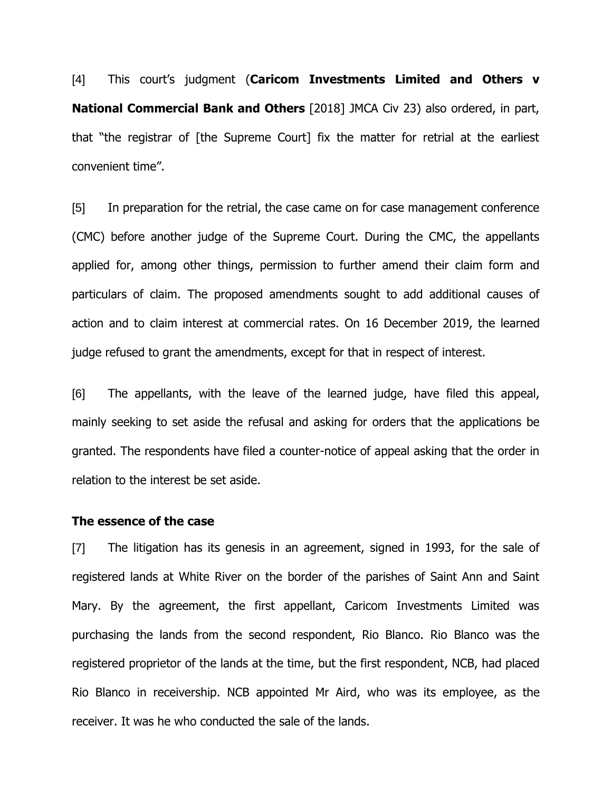[4] This court's judgment (**Caricom Investments Limited and Others v National Commercial Bank and Others** [2018] JMCA Civ 23) also ordered, in part, that "the registrar of [the Supreme Court] fix the matter for retrial at the earliest convenient time".

[5] In preparation for the retrial, the case came on for case management conference (CMC) before another judge of the Supreme Court. During the CMC, the appellants applied for, among other things, permission to further amend their claim form and particulars of claim. The proposed amendments sought to add additional causes of action and to claim interest at commercial rates. On 16 December 2019, the learned judge refused to grant the amendments, except for that in respect of interest.

[6] The appellants, with the leave of the learned judge, have filed this appeal, mainly seeking to set aside the refusal and asking for orders that the applications be granted. The respondents have filed a counter-notice of appeal asking that the order in relation to the interest be set aside.

#### **The essence of the case**

[7] The litigation has its genesis in an agreement, signed in 1993, for the sale of registered lands at White River on the border of the parishes of Saint Ann and Saint Mary. By the agreement, the first appellant, Caricom Investments Limited was purchasing the lands from the second respondent, Rio Blanco. Rio Blanco was the registered proprietor of the lands at the time, but the first respondent, NCB, had placed Rio Blanco in receivership. NCB appointed Mr Aird, who was its employee, as the receiver. It was he who conducted the sale of the lands.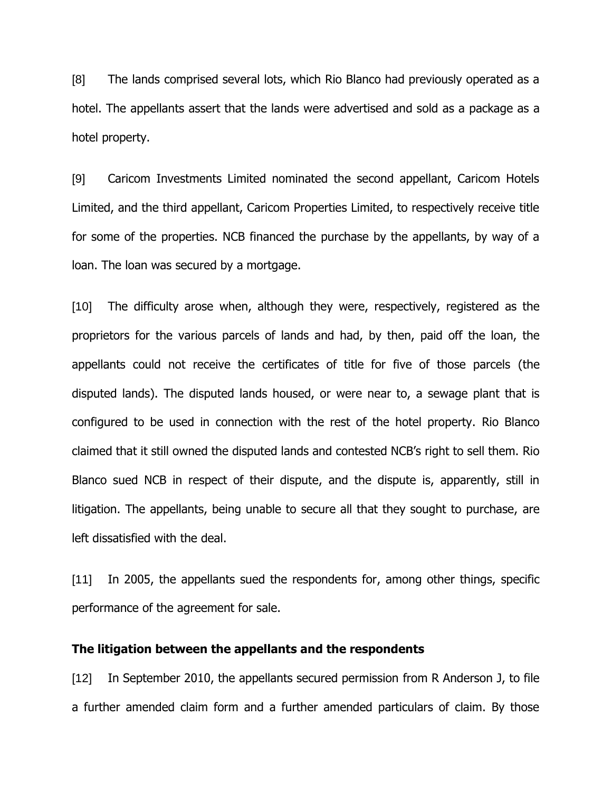[8] The lands comprised several lots, which Rio Blanco had previously operated as a hotel. The appellants assert that the lands were advertised and sold as a package as a hotel property.

[9] Caricom Investments Limited nominated the second appellant, Caricom Hotels Limited, and the third appellant, Caricom Properties Limited, to respectively receive title for some of the properties. NCB financed the purchase by the appellants, by way of a loan. The loan was secured by a mortgage.

[10] The difficulty arose when, although they were, respectively, registered as the proprietors for the various parcels of lands and had, by then, paid off the loan, the appellants could not receive the certificates of title for five of those parcels (the disputed lands). The disputed lands housed, or were near to, a sewage plant that is configured to be used in connection with the rest of the hotel property. Rio Blanco claimed that it still owned the disputed lands and contested NCB's right to sell them. Rio Blanco sued NCB in respect of their dispute, and the dispute is, apparently, still in litigation. The appellants, being unable to secure all that they sought to purchase, are left dissatisfied with the deal.

[11] In 2005, the appellants sued the respondents for, among other things, specific performance of the agreement for sale.

#### **The litigation between the appellants and the respondents**

[12] In September 2010, the appellants secured permission from R Anderson J, to file a further amended claim form and a further amended particulars of claim. By those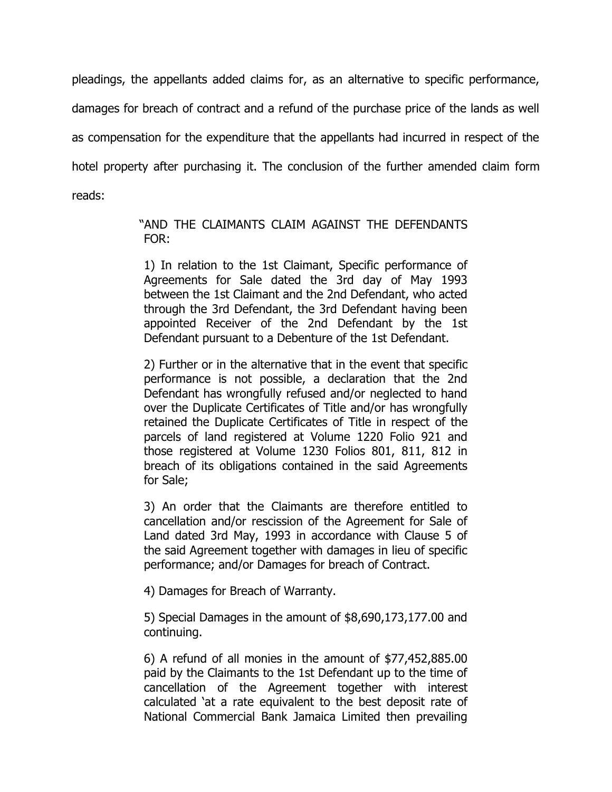pleadings, the appellants added claims for, as an alternative to specific performance, damages for breach of contract and a refund of the purchase price of the lands as well as compensation for the expenditure that the appellants had incurred in respect of the hotel property after purchasing it. The conclusion of the further amended claim form reads:

## "AND THE CLAIMANTS CLAIM AGAINST THE DEFENDANTS FOR:

1) In relation to the 1st Claimant, Specific performance of Agreements for Sale dated the 3rd day of May 1993 between the 1st Claimant and the 2nd Defendant, who acted through the 3rd Defendant, the 3rd Defendant having been appointed Receiver of the 2nd Defendant by the 1st Defendant pursuant to a Debenture of the 1st Defendant.

2) Further or in the alternative that in the event that specific performance is not possible, a declaration that the 2nd Defendant has wrongfully refused and/or neglected to hand over the Duplicate Certificates of Title and/or has wrongfully retained the Duplicate Certificates of Title in respect of the parcels of land registered at Volume 1220 Folio 921 and those registered at Volume 1230 Folios 801, 811, 812 in breach of its obligations contained in the said Agreements for Sale;

3) An order that the Claimants are therefore entitled to cancellation and/or rescission of the Agreement for Sale of Land dated 3rd May, 1993 in accordance with Clause 5 of the said Agreement together with damages in lieu of specific performance; and/or Damages for breach of Contract.

4) Damages for Breach of Warranty.

5) Special Damages in the amount of \$8,690,173,177.00 and continuing.

6) A refund of all monies in the amount of \$77,452,885.00 paid by the Claimants to the 1st Defendant up to the time of cancellation of the Agreement together with interest calculated 'at a rate equivalent to the best deposit rate of National Commercial Bank Jamaica Limited then prevailing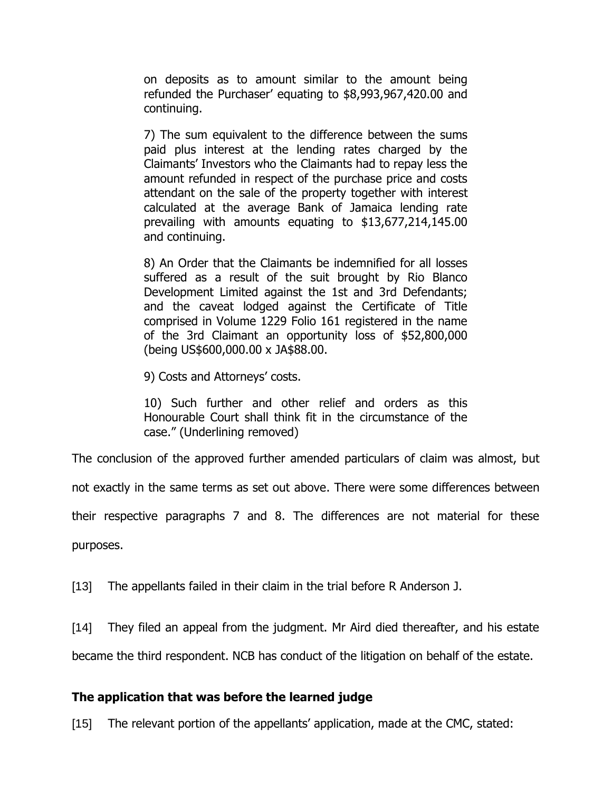on deposits as to amount similar to the amount being refunded the Purchaser' equating to \$8,993,967,420.00 and continuing.

7) The sum equivalent to the difference between the sums paid plus interest at the lending rates charged by the Claimants' Investors who the Claimants had to repay less the amount refunded in respect of the purchase price and costs attendant on the sale of the property together with interest calculated at the average Bank of Jamaica lending rate prevailing with amounts equating to \$13,677,214,145.00 and continuing.

8) An Order that the Claimants be indemnified for all losses suffered as a result of the suit brought by Rio Blanco Development Limited against the 1st and 3rd Defendants; and the caveat lodged against the Certificate of Title comprised in Volume 1229 Folio 161 registered in the name of the 3rd Claimant an opportunity loss of \$52,800,000 (being US\$600,000.00 x JA\$88.00.

9) Costs and Attorneys' costs.

10) Such further and other relief and orders as this Honourable Court shall think fit in the circumstance of the case." (Underlining removed)

The conclusion of the approved further amended particulars of claim was almost, but

not exactly in the same terms as set out above. There were some differences between

their respective paragraphs 7 and 8. The differences are not material for these

purposes.

[13] The appellants failed in their claim in the trial before R Anderson J.

[14] They filed an appeal from the judgment. Mr Aird died thereafter, and his estate

became the third respondent. NCB has conduct of the litigation on behalf of the estate.

### **The application that was before the learned judge**

[15] The relevant portion of the appellants' application, made at the CMC, stated: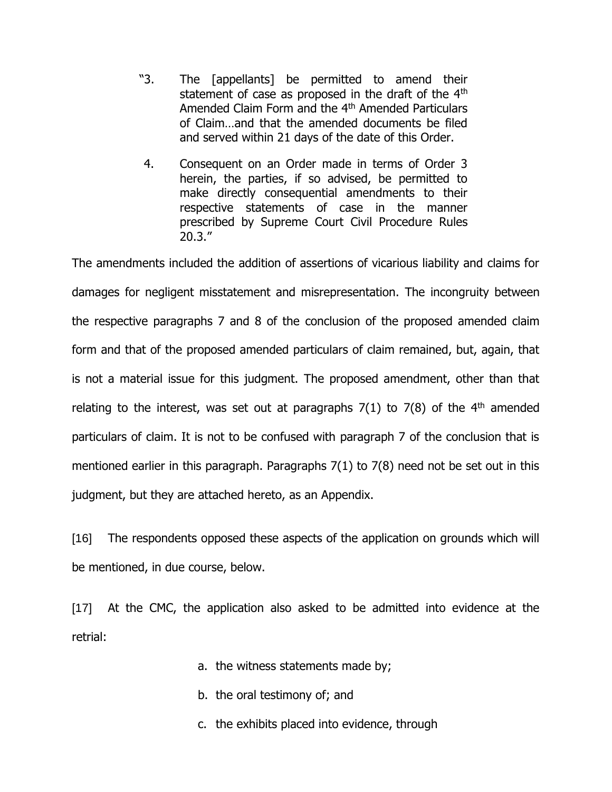- "3. The [appellants] be permitted to amend their statement of case as proposed in the draft of the 4<sup>th</sup> Amended Claim Form and the 4<sup>th</sup> Amended Particulars of Claim…and that the amended documents be filed and served within 21 days of the date of this Order.
- 4. Consequent on an Order made in terms of Order 3 herein, the parties, if so advised, be permitted to make directly consequential amendments to their respective statements of case in the manner prescribed by Supreme Court Civil Procedure Rules 20.3."

The amendments included the addition of assertions of vicarious liability and claims for damages for negligent misstatement and misrepresentation. The incongruity between the respective paragraphs 7 and 8 of the conclusion of the proposed amended claim form and that of the proposed amended particulars of claim remained, but, again, that is not a material issue for this judgment. The proposed amendment, other than that relating to the interest, was set out at paragraphs  $7(1)$  to  $7(8)$  of the 4<sup>th</sup> amended particulars of claim. It is not to be confused with paragraph 7 of the conclusion that is mentioned earlier in this paragraph. Paragraphs 7(1) to 7(8) need not be set out in this judgment, but they are attached hereto, as an Appendix.

[16] The respondents opposed these aspects of the application on grounds which will be mentioned, in due course, below.

[17] At the CMC, the application also asked to be admitted into evidence at the retrial:

- a. the witness statements made by;
- b. the oral testimony of; and
- c. the exhibits placed into evidence, through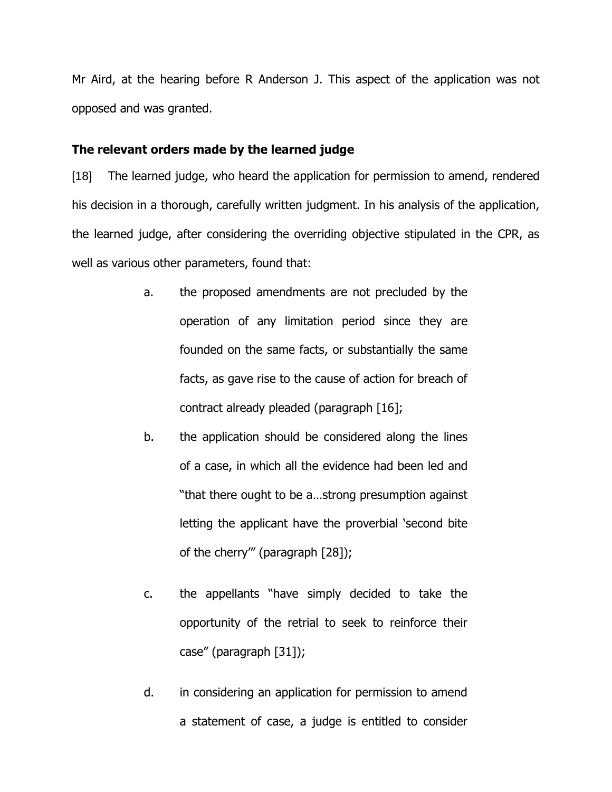Mr Aird, at the hearing before R Anderson J. This aspect of the application was not opposed and was granted.

#### **The relevant orders made by the learned judge**

[18] The learned judge, who heard the application for permission to amend, rendered his decision in a thorough, carefully written judgment. In his analysis of the application, the learned judge, after considering the overriding objective stipulated in the CPR, as well as various other parameters, found that:

- a. the proposed amendments are not precluded by the operation of any limitation period since they are founded on the same facts, or substantially the same facts, as gave rise to the cause of action for breach of contract already pleaded (paragraph [16];
- b. the application should be considered along the lines of a case, in which all the evidence had been led and "that there ought to be a…strong presumption against letting the applicant have the proverbial 'second bite of the cherry'" (paragraph [28]);
- c. the appellants "have simply decided to take the opportunity of the retrial to seek to reinforce their case" (paragraph [31]);
- d. in considering an application for permission to amend a statement of case, a judge is entitled to consider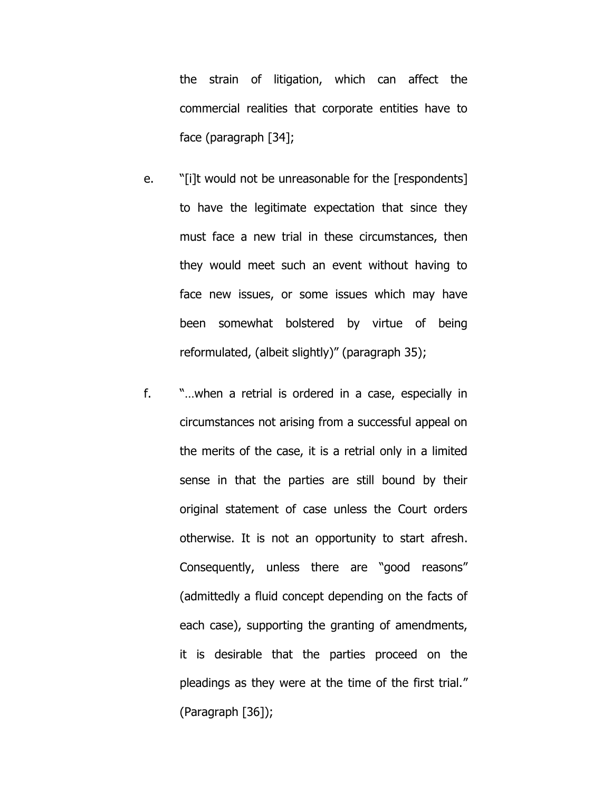the strain of litigation, which can affect the commercial realities that corporate entities have to face (paragraph [34];

- e. "[i]t would not be unreasonable for the [respondents] to have the legitimate expectation that since they must face a new trial in these circumstances, then they would meet such an event without having to face new issues, or some issues which may have been somewhat bolstered by virtue of being reformulated, (albeit slightly)" (paragraph 35);
- f. "…when a retrial is ordered in a case, especially in circumstances not arising from a successful appeal on the merits of the case, it is a retrial only in a limited sense in that the parties are still bound by their original statement of case unless the Court orders otherwise. It is not an opportunity to start afresh. Consequently, unless there are "good reasons" (admittedly a fluid concept depending on the facts of each case), supporting the granting of amendments, it is desirable that the parties proceed on the pleadings as they were at the time of the first trial." (Paragraph [36]);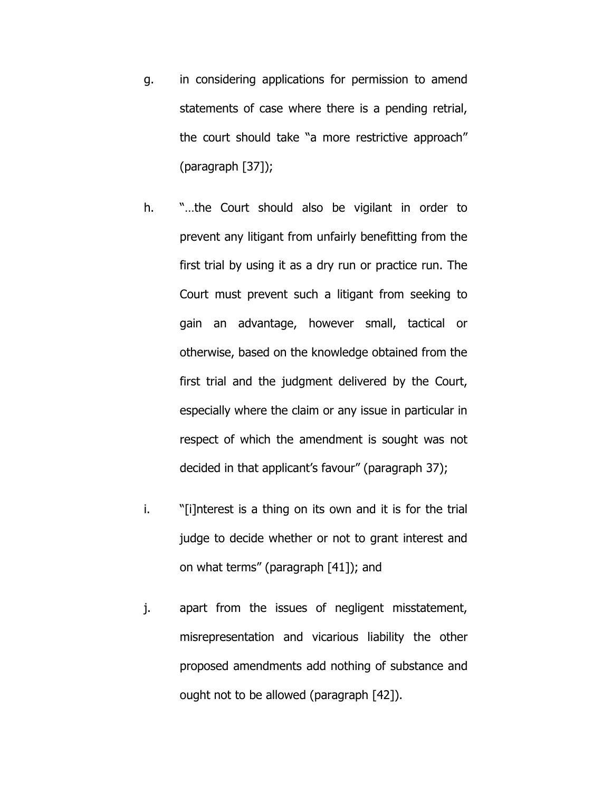- g. in considering applications for permission to amend statements of case where there is a pending retrial, the court should take "a more restrictive approach" (paragraph [37]);
- h. "…the Court should also be vigilant in order to prevent any litigant from unfairly benefitting from the first trial by using it as a dry run or practice run. The Court must prevent such a litigant from seeking to gain an advantage, however small, tactical or otherwise, based on the knowledge obtained from the first trial and the judgment delivered by the Court, especially where the claim or any issue in particular in respect of which the amendment is sought was not decided in that applicant's favour" (paragraph 37);
- i. "[i]nterest is a thing on its own and it is for the trial judge to decide whether or not to grant interest and on what terms" (paragraph [41]); and
- j. apart from the issues of negligent misstatement, misrepresentation and vicarious liability the other proposed amendments add nothing of substance and ought not to be allowed (paragraph [42]).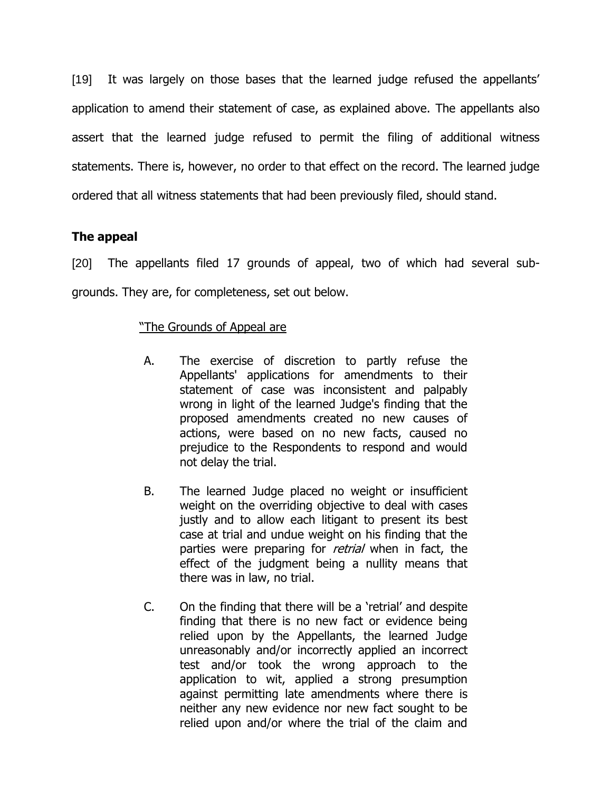[19] It was largely on those bases that the learned judge refused the appellants' application to amend their statement of case, as explained above. The appellants also assert that the learned judge refused to permit the filing of additional witness statements. There is, however, no order to that effect on the record. The learned judge ordered that all witness statements that had been previously filed, should stand.

## **The appeal**

[20] The appellants filed 17 grounds of appeal, two of which had several subgrounds. They are, for completeness, set out below.

## "The Grounds of Appeal are

- A. The exercise of discretion to partly refuse the Appellants' applications for amendments to their statement of case was inconsistent and palpably wrong in light of the learned Judge's finding that the proposed amendments created no new causes of actions, were based on no new facts, caused no prejudice to the Respondents to respond and would not delay the trial.
- B. The learned Judge placed no weight or insufficient weight on the overriding objective to deal with cases justly and to allow each litigant to present its best case at trial and undue weight on his finding that the parties were preparing for *retrial* when in fact, the effect of the judgment being a nullity means that there was in law, no trial.
- C. On the finding that there will be a 'retrial' and despite finding that there is no new fact or evidence being relied upon by the Appellants, the learned Judge unreasonably and/or incorrectly applied an incorrect test and/or took the wrong approach to the application to wit, applied a strong presumption against permitting late amendments where there is neither any new evidence nor new fact sought to be relied upon and/or where the trial of the claim and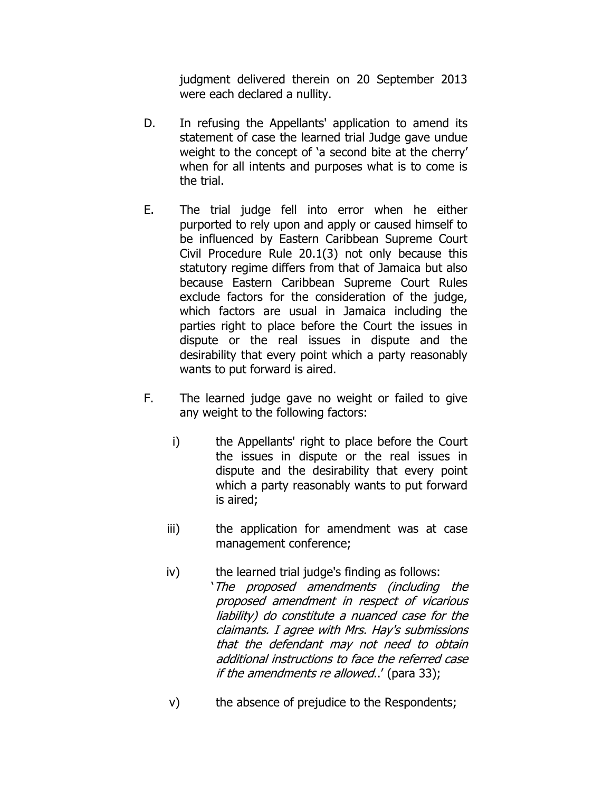judgment delivered therein on 20 September 2013 were each declared a nullity.

- D. In refusing the Appellants' application to amend its statement of case the learned trial Judge gave undue weight to the concept of 'a second bite at the cherry' when for all intents and purposes what is to come is the trial.
- E. The trial judge fell into error when he either purported to rely upon and apply or caused himself to be influenced by Eastern Caribbean Supreme Court Civil Procedure Rule 20.1(3) not only because this statutory regime differs from that of Jamaica but also because Eastern Caribbean Supreme Court Rules exclude factors for the consideration of the judge, which factors are usual in Jamaica including the parties right to place before the Court the issues in dispute or the real issues in dispute and the desirability that every point which a party reasonably wants to put forward is aired.
- F. The learned judge gave no weight or failed to give any weight to the following factors:
	- i) the Appellants' right to place before the Court the issues in dispute or the real issues in dispute and the desirability that every point which a party reasonably wants to put forward is aired;
	- iii) the application for amendment was at case management conference;
	- iv) the learned trial judge's finding as follows: 'The proposed amendments (including the proposed amendment in respect of vicarious liability) do constitute a nuanced case for the claimants. I agree with Mrs. Hay's submissions that the defendant may not need to obtain additional instructions to face the referred case if the amendments re allowed..' (para 33);
	- v) the absence of prejudice to the Respondents;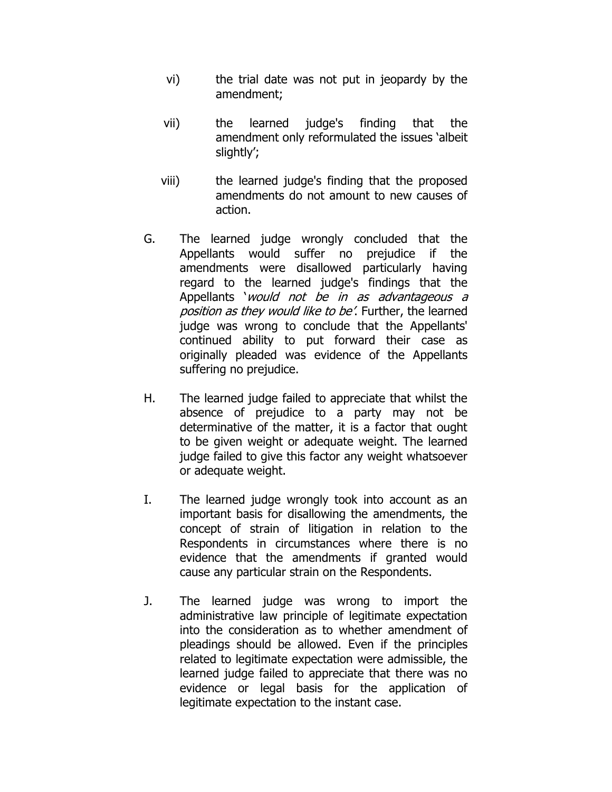- vi) the trial date was not put in jeopardy by the amendment;
- vii) the learned judge's finding that the amendment only reformulated the issues 'albeit slightly';
- viii) the learned judge's finding that the proposed amendments do not amount to new causes of action.
- G. The learned judge wrongly concluded that the Appellants would suffer no prejudice if the amendments were disallowed particularly having regard to the learned judge's findings that the Appellants 'would not be in as advantageous a position as they would like to be'. Further, the learned judge was wrong to conclude that the Appellants' continued ability to put forward their case as originally pleaded was evidence of the Appellants suffering no prejudice.
- H. The learned judge failed to appreciate that whilst the absence of prejudice to a party may not be determinative of the matter, it is a factor that ought to be given weight or adequate weight. The learned judge failed to give this factor any weight whatsoever or adequate weight.
- I. The learned judge wrongly took into account as an important basis for disallowing the amendments, the concept of strain of litigation in relation to the Respondents in circumstances where there is no evidence that the amendments if granted would cause any particular strain on the Respondents.
- J. The learned judge was wrong to import the administrative law principle of legitimate expectation into the consideration as to whether amendment of pleadings should be allowed. Even if the principles related to legitimate expectation were admissible, the learned judge failed to appreciate that there was no evidence or legal basis for the application of legitimate expectation to the instant case.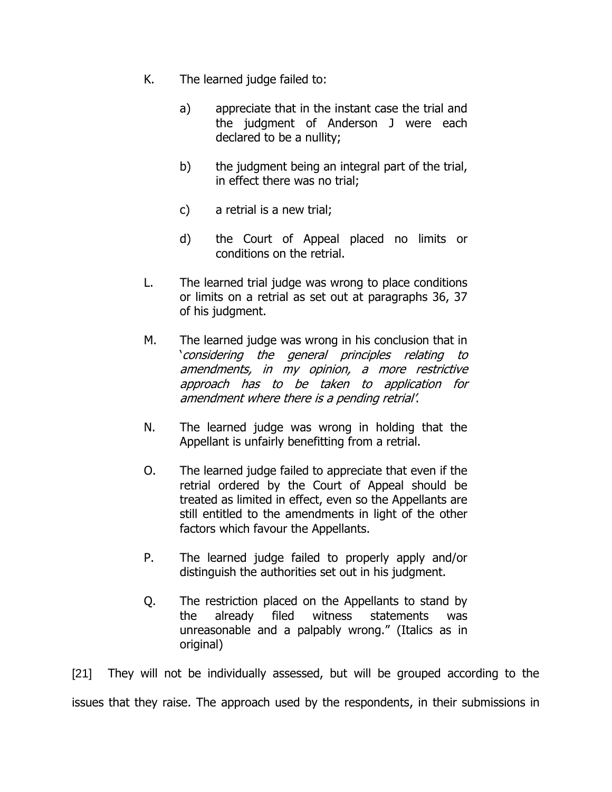- K. The learned judge failed to:
	- a) appreciate that in the instant case the trial and the judgment of Anderson J were each declared to be a nullity;
	- b) the judgment being an integral part of the trial, in effect there was no trial;
	- c) a retrial is a new trial;
	- d) the Court of Appeal placed no limits or conditions on the retrial.
- L. The learned trial judge was wrong to place conditions or limits on a retrial as set out at paragraphs 36, 37 of his judgment.
- M. The learned judge was wrong in his conclusion that in 'considering the general principles relating to amendments, in my opinion, a more restrictive approach has to be taken to application for amendment where there is a pending retrial'.
- N. The learned judge was wrong in holding that the Appellant is unfairly benefitting from a retrial.
- O. The learned judge failed to appreciate that even if the retrial ordered by the Court of Appeal should be treated as limited in effect, even so the Appellants are still entitled to the amendments in light of the other factors which favour the Appellants.
- P. The learned judge failed to properly apply and/or distinguish the authorities set out in his judgment.
- Q. The restriction placed on the Appellants to stand by the already filed witness statements was unreasonable and a palpably wrong." (Italics as in original)

[21] They will not be individually assessed, but will be grouped according to the issues that they raise. The approach used by the respondents, in their submissions in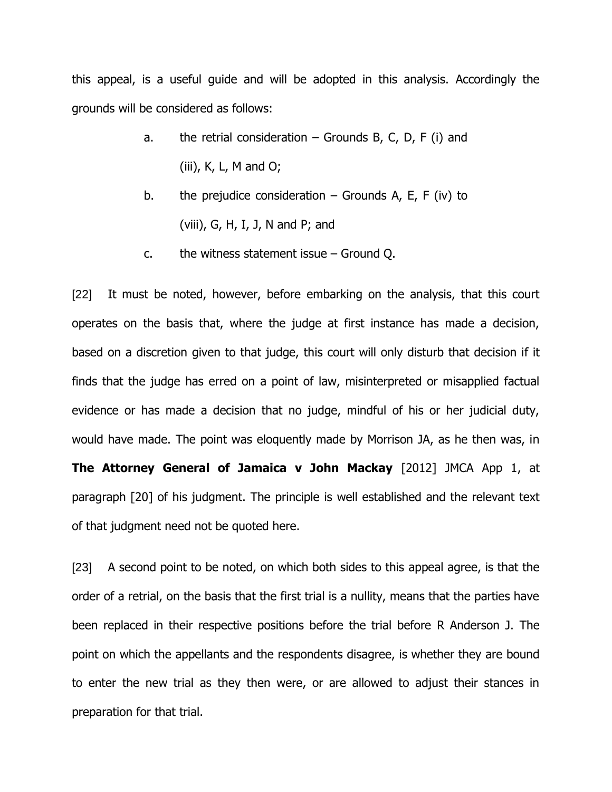this appeal, is a useful guide and will be adopted in this analysis. Accordingly the grounds will be considered as follows:

- a. the retrial consideration  $-$  Grounds B, C, D, F (i) and (iii), K, L, M and O;
- b. the prejudice consideration  $-$  Grounds A, E, F (iv) to (viii), G, H, I, J, N and P; and
- c. the witness statement issue Ground Q.

[22] It must be noted, however, before embarking on the analysis, that this court operates on the basis that, where the judge at first instance has made a decision, based on a discretion given to that judge, this court will only disturb that decision if it finds that the judge has erred on a point of law, misinterpreted or misapplied factual evidence or has made a decision that no judge, mindful of his or her judicial duty, would have made. The point was eloquently made by Morrison JA, as he then was, in **The Attorney General of Jamaica v John Mackay** [2012] JMCA App 1, at paragraph [20] of his judgment. The principle is well established and the relevant text of that judgment need not be quoted here.

[23] A second point to be noted, on which both sides to this appeal agree, is that the order of a retrial, on the basis that the first trial is a nullity, means that the parties have been replaced in their respective positions before the trial before R Anderson J. The point on which the appellants and the respondents disagree, is whether they are bound to enter the new trial as they then were, or are allowed to adjust their stances in preparation for that trial.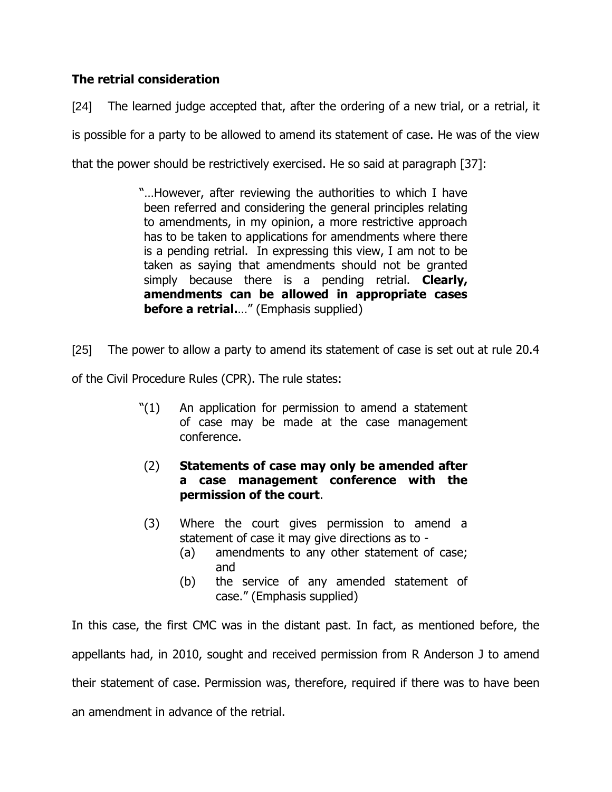# **The retrial consideration**

[24] The learned judge accepted that, after the ordering of a new trial, or a retrial, it is possible for a party to be allowed to amend its statement of case. He was of the view that the power should be restrictively exercised. He so said at paragraph [37]:

> "…However, after reviewing the authorities to which I have been referred and considering the general principles relating to amendments, in my opinion, a more restrictive approach has to be taken to applications for amendments where there is a pending retrial. In expressing this view, I am not to be taken as saying that amendments should not be granted simply because there is a pending retrial. **Clearly, amendments can be allowed in appropriate cases before a retrial.**…" (Emphasis supplied)

[25] The power to allow a party to amend its statement of case is set out at rule 20.4

of the Civil Procedure Rules (CPR). The rule states:

- "(1) An application for permission to amend a statement of case may be made at the case management conference.
- (2) **Statements of case may only be amended after a case management conference with the permission of the court**.
- (3) Where the court gives permission to amend a statement of case it may give directions as to -
	- (a) amendments to any other statement of case; and
	- (b) the service of any amended statement of case." (Emphasis supplied)

In this case, the first CMC was in the distant past. In fact, as mentioned before, the appellants had, in 2010, sought and received permission from R Anderson J to amend their statement of case. Permission was, therefore, required if there was to have been an amendment in advance of the retrial.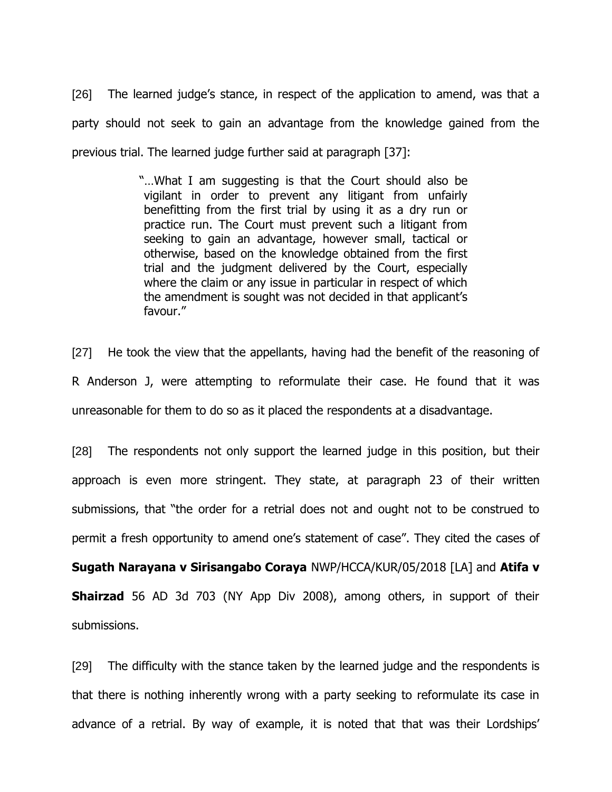[26] The learned judge's stance, in respect of the application to amend, was that a party should not seek to gain an advantage from the knowledge gained from the previous trial. The learned judge further said at paragraph [37]:

> "…What I am suggesting is that the Court should also be vigilant in order to prevent any litigant from unfairly benefitting from the first trial by using it as a dry run or practice run. The Court must prevent such a litigant from seeking to gain an advantage, however small, tactical or otherwise, based on the knowledge obtained from the first trial and the judgment delivered by the Court, especially where the claim or any issue in particular in respect of which the amendment is sought was not decided in that applicant's favour."

[27] He took the view that the appellants, having had the benefit of the reasoning of R Anderson J, were attempting to reformulate their case. He found that it was unreasonable for them to do so as it placed the respondents at a disadvantage.

[28] The respondents not only support the learned judge in this position, but their approach is even more stringent. They state, at paragraph 23 of their written submissions, that "the order for a retrial does not and ought not to be construed to permit a fresh opportunity to amend one's statement of case". They cited the cases of

**Sugath Narayana v Sirisangabo Coraya** NWP/HCCA/KUR/05/2018 [LA] and **Atifa v Shairzad** 56 AD 3d 703 (NY App Div 2008), among others, in support of their submissions.

[29] The difficulty with the stance taken by the learned judge and the respondents is that there is nothing inherently wrong with a party seeking to reformulate its case in advance of a retrial. By way of example, it is noted that that was their Lordships'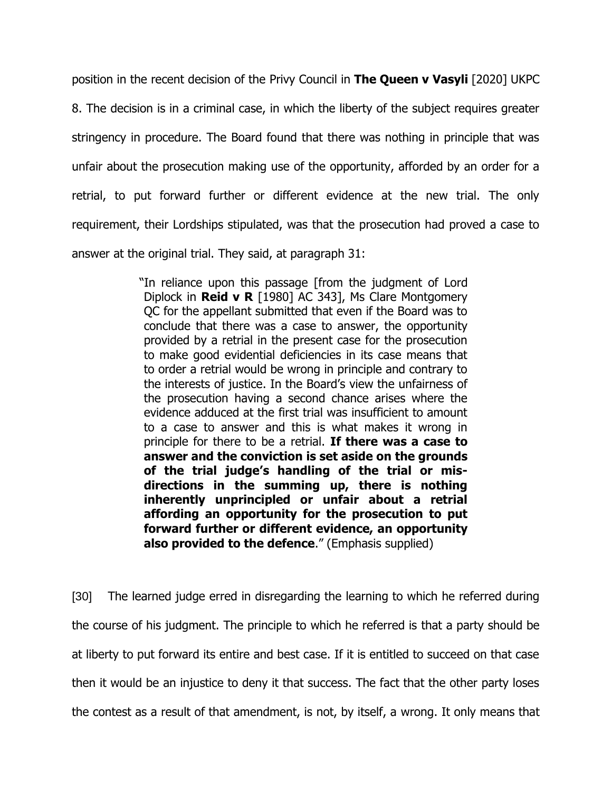position in the recent decision of the Privy Council in **The Queen v Vasyli** [2020] UKPC

8. The decision is in a criminal case, in which the liberty of the subject requires greater stringency in procedure. The Board found that there was nothing in principle that was unfair about the prosecution making use of the opportunity, afforded by an order for a retrial, to put forward further or different evidence at the new trial. The only requirement, their Lordships stipulated, was that the prosecution had proved a case to answer at the original trial. They said, at paragraph 31:

> "In reliance upon this passage [from the judgment of Lord Diplock in **Reid v R** [1980] AC 343], Ms Clare Montgomery QC for the appellant submitted that even if the Board was to conclude that there was a case to answer, the opportunity provided by a retrial in the present case for the prosecution to make good evidential deficiencies in its case means that to order a retrial would be wrong in principle and contrary to the interests of justice. In the Board's view the unfairness of the prosecution having a second chance arises where the evidence adduced at the first trial was insufficient to amount to a case to answer and this is what makes it wrong in principle for there to be a retrial. **If there was a case to answer and the conviction is set aside on the grounds of the trial judge's handling of the trial or misdirections in the summing up, there is nothing inherently unprincipled or unfair about a retrial affording an opportunity for the prosecution to put forward further or different evidence, an opportunity also provided to the defence**." (Emphasis supplied)

[30] The learned judge erred in disregarding the learning to which he referred during the course of his judgment. The principle to which he referred is that a party should be at liberty to put forward its entire and best case. If it is entitled to succeed on that case then it would be an injustice to deny it that success. The fact that the other party loses the contest as a result of that amendment, is not, by itself, a wrong. It only means that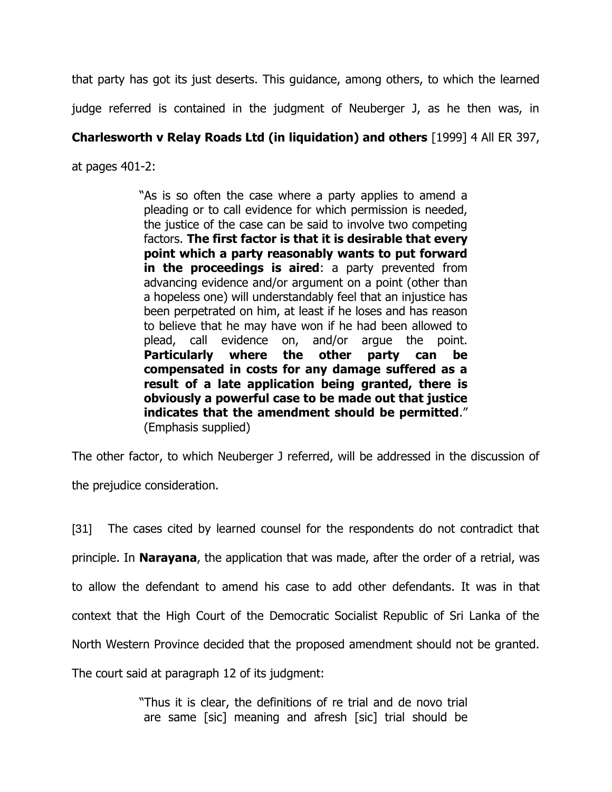that party has got its just deserts. This guidance, among others, to which the learned

judge referred is contained in the judgment of Neuberger J, as he then was, in

# **Charlesworth v Relay Roads Ltd (in liquidation) and others** [1999] 4 All ER 397,

at pages 401-2:

"As is so often the case where a party applies to amend a pleading or to call evidence for which permission is needed, the justice of the case can be said to involve two competing factors. **The first factor is that it is desirable that every point which a party reasonably wants to put forward in the proceedings is aired**: a party prevented from advancing evidence and/or argument on a point (other than a hopeless one) will understandably feel that an injustice has been perpetrated on him, at least if he loses and has reason to believe that he may have won if he had been allowed to plead, call evidence on, and/or argue the point. **Particularly where the other party can be compensated in costs for any damage suffered as a result of a late application being granted, there is obviously a powerful case to be made out that justice indicates that the amendment should be permitted**." (Emphasis supplied)

The other factor, to which Neuberger J referred, will be addressed in the discussion of the prejudice consideration.

[31] The cases cited by learned counsel for the respondents do not contradict that principle. In **Narayana**, the application that was made, after the order of a retrial, was to allow the defendant to amend his case to add other defendants. It was in that context that the High Court of the Democratic Socialist Republic of Sri Lanka of the North Western Province decided that the proposed amendment should not be granted. The court said at paragraph 12 of its judgment:

> "Thus it is clear, the definitions of re trial and de novo trial are same [sic] meaning and afresh [sic] trial should be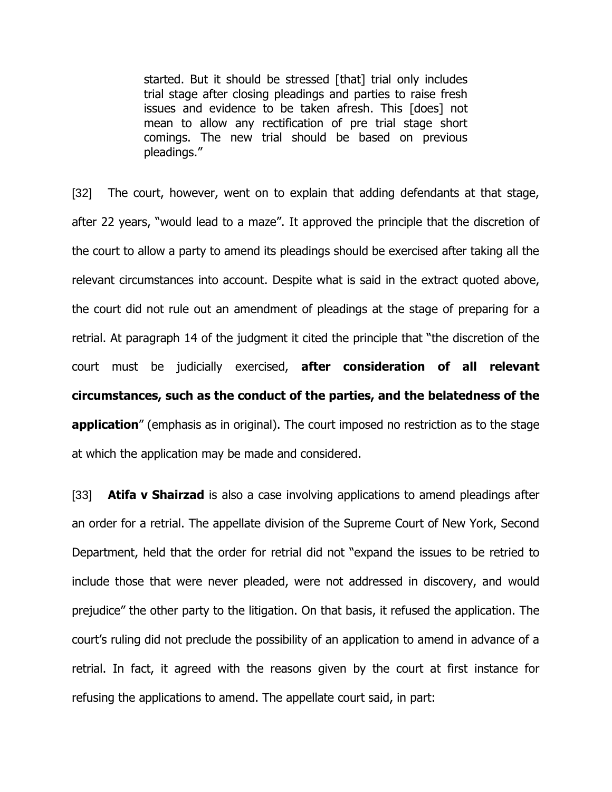started. But it should be stressed [that] trial only includes trial stage after closing pleadings and parties to raise fresh issues and evidence to be taken afresh. This [does] not mean to allow any rectification of pre trial stage short comings. The new trial should be based on previous pleadings."

[32] The court, however, went on to explain that adding defendants at that stage, after 22 years, "would lead to a maze". It approved the principle that the discretion of the court to allow a party to amend its pleadings should be exercised after taking all the relevant circumstances into account. Despite what is said in the extract quoted above, the court did not rule out an amendment of pleadings at the stage of preparing for a retrial. At paragraph 14 of the judgment it cited the principle that "the discretion of the court must be judicially exercised, **after consideration of all relevant circumstances, such as the conduct of the parties, and the belatedness of the application**" (emphasis as in original). The court imposed no restriction as to the stage at which the application may be made and considered.

[33] **Atifa v Shairzad** is also a case involving applications to amend pleadings after an order for a retrial. The appellate division of the Supreme Court of New York, Second Department, held that the order for retrial did not "expand the issues to be retried to include those that were never pleaded, were not addressed in discovery, and would prejudice" the other party to the litigation. On that basis, it refused the application. The court's ruling did not preclude the possibility of an application to amend in advance of a retrial. In fact, it agreed with the reasons given by the court at first instance for refusing the applications to amend. The appellate court said, in part: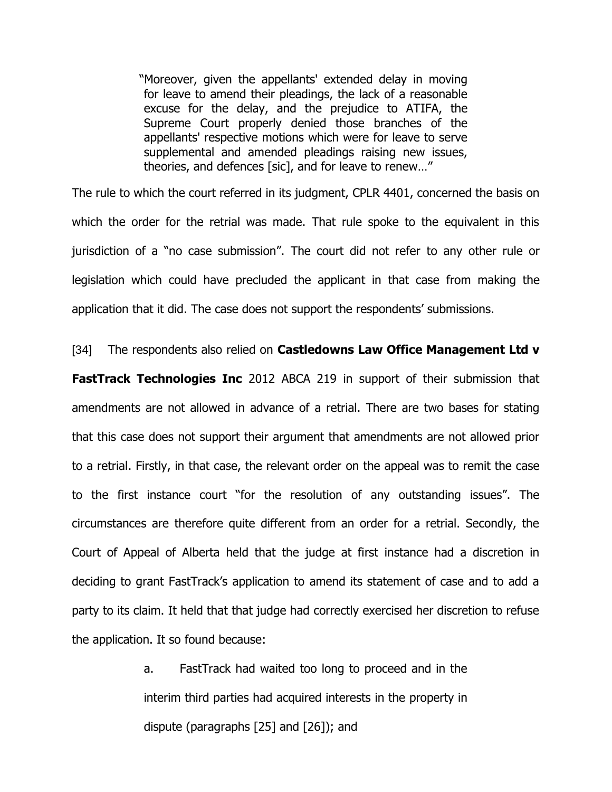"Moreover, given the appellants' extended delay in moving for leave to amend their pleadings, the lack of a reasonable excuse for the delay, and the prejudice to ATIFA, the Supreme Court properly denied those branches of the appellants' respective motions which were for leave to serve supplemental and amended pleadings raising new issues, theories, and defences [sic], and for leave to renew…"

The rule to which the court referred in its judgment, CPLR 4401, concerned the basis on which the order for the retrial was made. That rule spoke to the equivalent in this jurisdiction of a "no case submission". The court did not refer to any other rule or legislation which could have precluded the applicant in that case from making the application that it did. The case does not support the respondents' submissions.

[34] The respondents also relied on **Castledowns Law Office Management Ltd v** 

**FastTrack Technologies Inc** 2012 ABCA 219 in support of their submission that amendments are not allowed in advance of a retrial. There are two bases for stating that this case does not support their argument that amendments are not allowed prior to a retrial. Firstly, in that case, the relevant order on the appeal was to remit the case to the first instance court "for the resolution of any outstanding issues". The circumstances are therefore quite different from an order for a retrial. Secondly, the Court of Appeal of Alberta held that the judge at first instance had a discretion in deciding to grant FastTrack's application to amend its statement of case and to add a party to its claim. It held that that judge had correctly exercised her discretion to refuse the application. It so found because:

> a. FastTrack had waited too long to proceed and in the interim third parties had acquired interests in the property in dispute (paragraphs [25] and [26]); and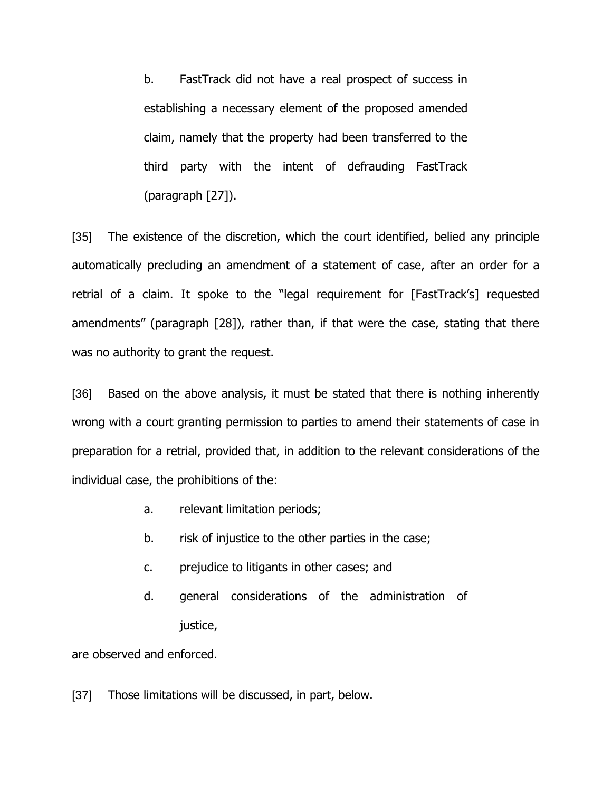b. FastTrack did not have a real prospect of success in establishing a necessary element of the proposed amended claim, namely that the property had been transferred to the third party with the intent of defrauding FastTrack (paragraph [27]).

[35] The existence of the discretion, which the court identified, belied any principle automatically precluding an amendment of a statement of case, after an order for a retrial of a claim. It spoke to the "legal requirement for [FastTrack's] requested amendments" (paragraph [28]), rather than, if that were the case, stating that there was no authority to grant the request.

[36] Based on the above analysis, it must be stated that there is nothing inherently wrong with a court granting permission to parties to amend their statements of case in preparation for a retrial, provided that, in addition to the relevant considerations of the individual case, the prohibitions of the:

- a. relevant limitation periods;
- b. risk of injustice to the other parties in the case;
- c. prejudice to litigants in other cases; and
- d. general considerations of the administration of justice,

are observed and enforced.

[37] Those limitations will be discussed, in part, below.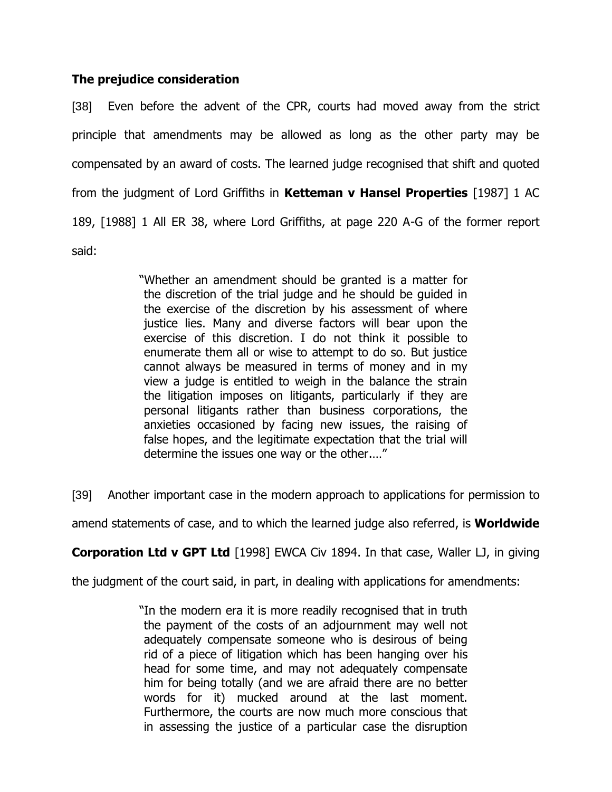## **The prejudice consideration**

[38] Even before the advent of the CPR, courts had moved away from the strict principle that amendments may be allowed as long as the other party may be compensated by an award of costs. The learned judge recognised that shift and quoted from the judgment of Lord Griffiths in **Ketteman v Hansel Properties** [1987] 1 AC 189, [1988] 1 All ER 38, where Lord Griffiths, at page 220 A-G of the former report said:

> "Whether an amendment should be granted is a matter for the discretion of the trial judge and he should be guided in the exercise of the discretion by his assessment of where justice lies. Many and diverse factors will bear upon the exercise of this discretion. I do not think it possible to enumerate them all or wise to attempt to do so. But justice cannot always be measured in terms of money and in my view a judge is entitled to weigh in the balance the strain the litigation imposes on litigants, particularly if they are personal litigants rather than business corporations, the anxieties occasioned by facing new issues, the raising of false hopes, and the legitimate expectation that the trial will determine the issues one way or the other.…"

[39] Another important case in the modern approach to applications for permission to

amend statements of case, and to which the learned judge also referred, is **Worldwide** 

**Corporation Ltd v GPT Ltd** [1998] EWCA Civ 1894. In that case, Waller LJ, in giving

the judgment of the court said, in part, in dealing with applications for amendments:

"In the modern era it is more readily recognised that in truth the payment of the costs of an adjournment may well not adequately compensate someone who is desirous of being rid of a piece of litigation which has been hanging over his head for some time, and may not adequately compensate him for being totally (and we are afraid there are no better words for it) mucked around at the last moment. Furthermore, the courts are now much more conscious that in assessing the justice of a particular case the disruption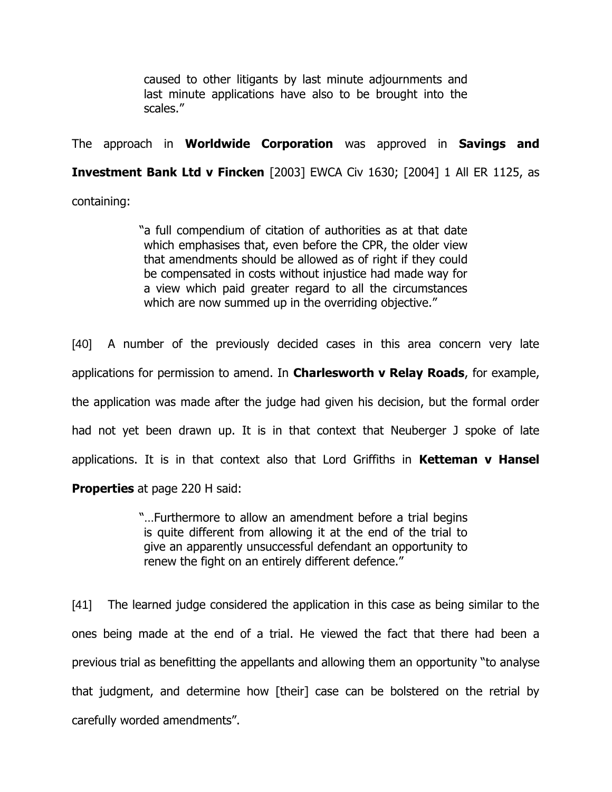caused to other litigants by last minute adjournments and last minute applications have also to be brought into the scales."

The approach in **Worldwide Corporation** was approved in **Savings and** 

**Investment Bank Ltd v Fincken** [2003] EWCA Civ 1630; [2004] 1 All ER 1125, as

containing:

"a full compendium of citation of authorities as at that date which emphasises that, even before the CPR, the older view that amendments should be allowed as of right if they could be compensated in costs without injustice had made way for a view which paid greater regard to all the circumstances which are now summed up in the overriding objective."

[40] A number of the previously decided cases in this area concern very late applications for permission to amend. In **Charlesworth v Relay Roads**, for example, the application was made after the judge had given his decision, but the formal order had not yet been drawn up. It is in that context that Neuberger J spoke of late applications. It is in that context also that Lord Griffiths in **Ketteman v Hansel Properties** at page 220 H said:

> "…Furthermore to allow an amendment before a trial begins is quite different from allowing it at the end of the trial to give an apparently unsuccessful defendant an opportunity to renew the fight on an entirely different defence."

[41] The learned judge considered the application in this case as being similar to the ones being made at the end of a trial. He viewed the fact that there had been a previous trial as benefitting the appellants and allowing them an opportunity "to analyse that judgment, and determine how [their] case can be bolstered on the retrial by carefully worded amendments".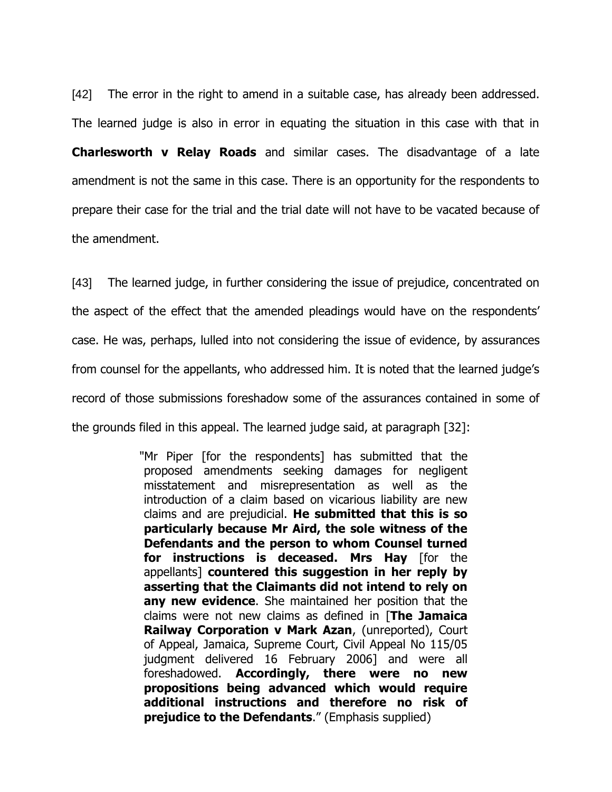[42] The error in the right to amend in a suitable case, has already been addressed. The learned judge is also in error in equating the situation in this case with that in **Charlesworth v Relay Roads** and similar cases. The disadvantage of a late amendment is not the same in this case. There is an opportunity for the respondents to prepare their case for the trial and the trial date will not have to be vacated because of the amendment.

[43] The learned judge, in further considering the issue of prejudice, concentrated on the aspect of the effect that the amended pleadings would have on the respondents' case. He was, perhaps, lulled into not considering the issue of evidence, by assurances from counsel for the appellants, who addressed him. It is noted that the learned judge's record of those submissions foreshadow some of the assurances contained in some of the grounds filed in this appeal. The learned judge said, at paragraph [32]:

> "Mr Piper [for the respondents] has submitted that the proposed amendments seeking damages for negligent misstatement and misrepresentation as well as the introduction of a claim based on vicarious liability are new claims and are prejudicial. **He submitted that this is so particularly because Mr Aird, the sole witness of the Defendants and the person to whom Counsel turned for instructions is deceased. Mrs Hay** [for the appellants] **countered this suggestion in her reply by asserting that the Claimants did not intend to rely on any new evidence**. She maintained her position that the claims were not new claims as defined in [**The Jamaica Railway Corporation v Mark Azan**, (unreported), Court of Appeal, Jamaica, Supreme Court, Civil Appeal No 115/05 judgment delivered 16 February 2006] and were all foreshadowed. **Accordingly, there were no new propositions being advanced which would require additional instructions and therefore no risk of prejudice to the Defendants**." (Emphasis supplied)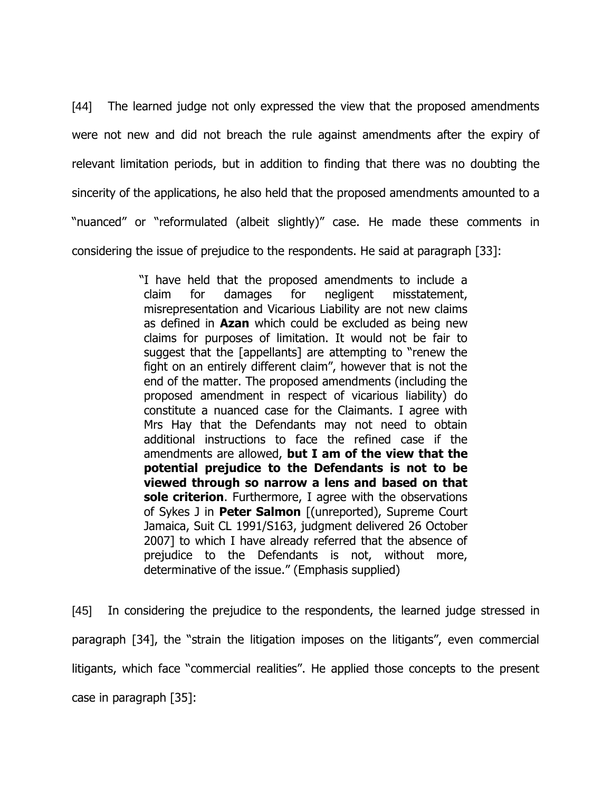[44] The learned judge not only expressed the view that the proposed amendments were not new and did not breach the rule against amendments after the expiry of relevant limitation periods, but in addition to finding that there was no doubting the sincerity of the applications, he also held that the proposed amendments amounted to a "nuanced" or "reformulated (albeit slightly)" case. He made these comments in considering the issue of prejudice to the respondents. He said at paragraph [33]:

> "I have held that the proposed amendments to include a claim for damages for negligent misstatement, misrepresentation and Vicarious Liability are not new claims as defined in **Azan** which could be excluded as being new claims for purposes of limitation. It would not be fair to suggest that the [appellants] are attempting to "renew the fight on an entirely different claim", however that is not the end of the matter. The proposed amendments (including the proposed amendment in respect of vicarious liability) do constitute a nuanced case for the Claimants. I agree with Mrs Hay that the Defendants may not need to obtain additional instructions to face the refined case if the amendments are allowed, **but I am of the view that the potential prejudice to the Defendants is not to be viewed through so narrow a lens and based on that sole criterion**. Furthermore, I agree with the observations of Sykes J in **Peter Salmon** [(unreported), Supreme Court Jamaica, Suit CL 1991/S163, judgment delivered 26 October 2007] to which I have already referred that the absence of prejudice to the Defendants is not, without more, determinative of the issue." (Emphasis supplied)

[45] In considering the prejudice to the respondents, the learned judge stressed in paragraph [34], the "strain the litigation imposes on the litigants", even commercial litigants, which face "commercial realities". He applied those concepts to the present case in paragraph [35]: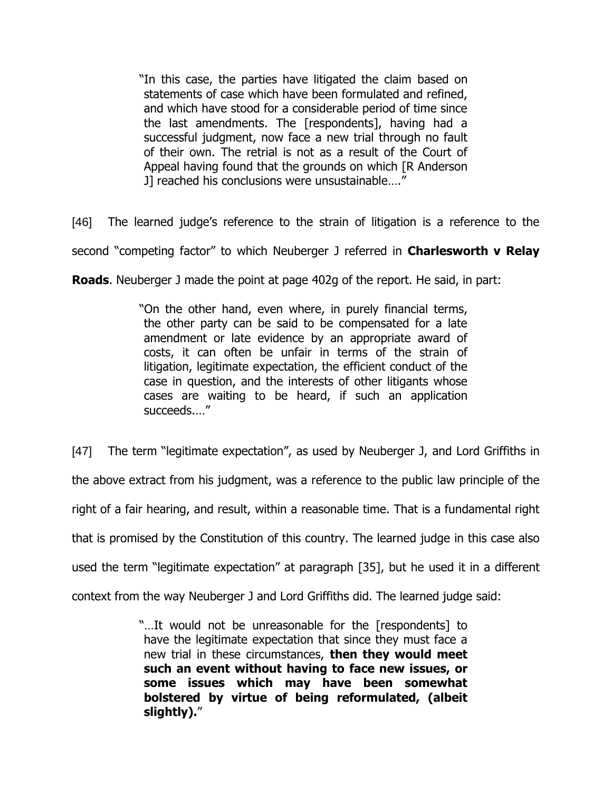"In this case, the parties have litigated the claim based on statements of case which have been formulated and refined, and which have stood for a considerable period of time since the last amendments. The [respondents], having had a successful judgment, now face a new trial through no fault of their own. The retrial is not as a result of the Court of Appeal having found that the grounds on which [R Anderson J] reached his conclusions were unsustainable…."

[46] The learned judge's reference to the strain of litigation is a reference to the

second "competing factor" to which Neuberger J referred in **Charlesworth v Relay** 

**Roads**. Neuberger J made the point at page 402g of the report. He said, in part:

"On the other hand, even where, in purely financial terms, the other party can be said to be compensated for a late amendment or late evidence by an appropriate award of costs, it can often be unfair in terms of the strain of litigation, legitimate expectation, the efficient conduct of the case in question, and the interests of other litigants whose cases are waiting to be heard, if such an application succeeds.…"

[47] The term "legitimate expectation", as used by Neuberger J, and Lord Griffiths in

the above extract from his judgment, was a reference to the public law principle of the

right of a fair hearing, and result, within a reasonable time. That is a fundamental right

that is promised by the Constitution of this country. The learned judge in this case also

used the term "legitimate expectation" at paragraph [35], but he used it in a different

context from the way Neuberger J and Lord Griffiths did. The learned judge said:

"…It would not be unreasonable for the [respondents] to have the legitimate expectation that since they must face a new trial in these circumstances, **then they would meet such an event without having to face new issues, or some issues which may have been somewhat bolstered by virtue of being reformulated, (albeit slightly).**"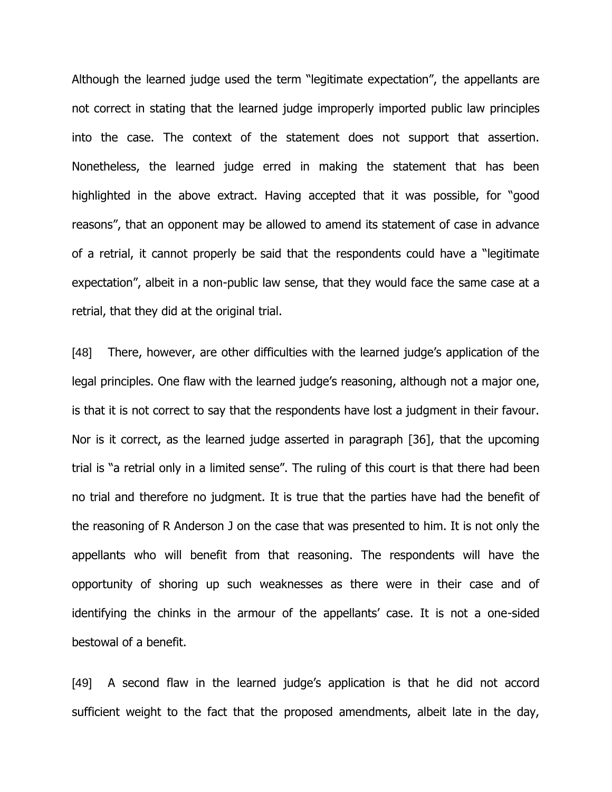Although the learned judge used the term "legitimate expectation", the appellants are not correct in stating that the learned judge improperly imported public law principles into the case. The context of the statement does not support that assertion. Nonetheless, the learned judge erred in making the statement that has been highlighted in the above extract. Having accepted that it was possible, for "good reasons", that an opponent may be allowed to amend its statement of case in advance of a retrial, it cannot properly be said that the respondents could have a "legitimate expectation", albeit in a non-public law sense, that they would face the same case at a retrial, that they did at the original trial.

[48] There, however, are other difficulties with the learned judge's application of the legal principles. One flaw with the learned judge's reasoning, although not a major one, is that it is not correct to say that the respondents have lost a judgment in their favour. Nor is it correct, as the learned judge asserted in paragraph [36], that the upcoming trial is "a retrial only in a limited sense". The ruling of this court is that there had been no trial and therefore no judgment. It is true that the parties have had the benefit of the reasoning of R Anderson J on the case that was presented to him. It is not only the appellants who will benefit from that reasoning. The respondents will have the opportunity of shoring up such weaknesses as there were in their case and of identifying the chinks in the armour of the appellants' case. It is not a one-sided bestowal of a benefit.

[49] A second flaw in the learned judge's application is that he did not accord sufficient weight to the fact that the proposed amendments, albeit late in the day,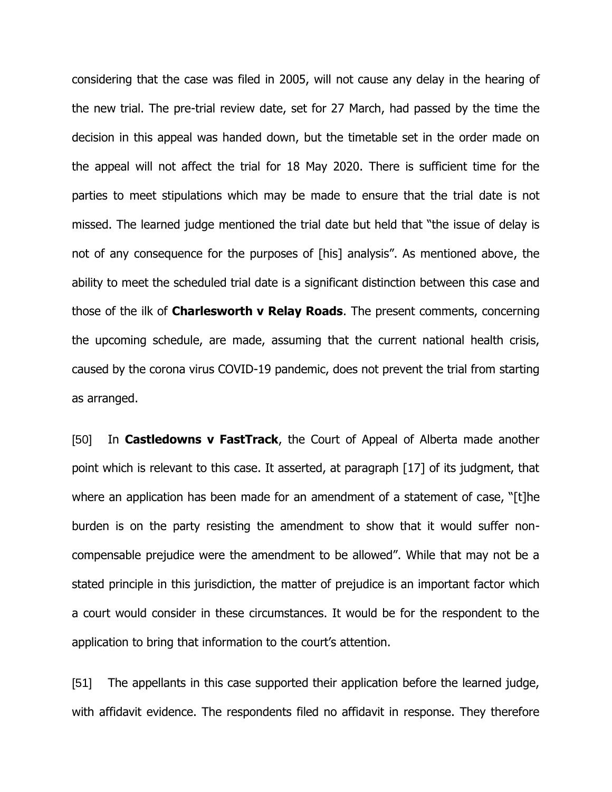considering that the case was filed in 2005, will not cause any delay in the hearing of the new trial. The pre-trial review date, set for 27 March, had passed by the time the decision in this appeal was handed down, but the timetable set in the order made on the appeal will not affect the trial for 18 May 2020. There is sufficient time for the parties to meet stipulations which may be made to ensure that the trial date is not missed. The learned judge mentioned the trial date but held that "the issue of delay is not of any consequence for the purposes of [his] analysis". As mentioned above, the ability to meet the scheduled trial date is a significant distinction between this case and those of the ilk of **Charlesworth v Relay Roads**. The present comments, concerning the upcoming schedule, are made, assuming that the current national health crisis, caused by the corona virus COVID-19 pandemic, does not prevent the trial from starting as arranged.

[50] In **Castledowns v FastTrack**, the Court of Appeal of Alberta made another point which is relevant to this case. It asserted, at paragraph [17] of its judgment, that where an application has been made for an amendment of a statement of case, "[t]he burden is on the party resisting the amendment to show that it would suffer noncompensable prejudice were the amendment to be allowed". While that may not be a stated principle in this jurisdiction, the matter of prejudice is an important factor which a court would consider in these circumstances. It would be for the respondent to the application to bring that information to the court's attention.

[51] The appellants in this case supported their application before the learned judge, with affidavit evidence. The respondents filed no affidavit in response. They therefore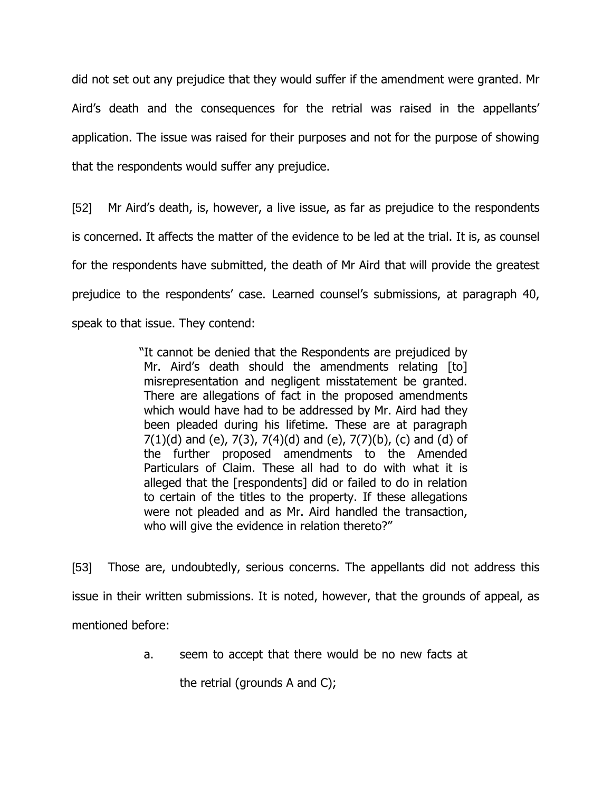did not set out any prejudice that they would suffer if the amendment were granted. Mr Aird's death and the consequences for the retrial was raised in the appellants' application. The issue was raised for their purposes and not for the purpose of showing that the respondents would suffer any prejudice.

[52] Mr Aird's death, is, however, a live issue, as far as prejudice to the respondents is concerned. It affects the matter of the evidence to be led at the trial. It is, as counsel for the respondents have submitted, the death of Mr Aird that will provide the greatest prejudice to the respondents' case. Learned counsel's submissions, at paragraph 40, speak to that issue. They contend:

> "It cannot be denied that the Respondents are prejudiced by Mr. Aird's death should the amendments relating [to] misrepresentation and negligent misstatement be granted. There are allegations of fact in the proposed amendments which would have had to be addressed by Mr. Aird had they been pleaded during his lifetime. These are at paragraph  $7(1)(d)$  and (e),  $7(3)$ ,  $7(4)(d)$  and (e),  $7(7)(b)$ , (c) and (d) of the further proposed amendments to the Amended Particulars of Claim. These all had to do with what it is alleged that the [respondents] did or failed to do in relation to certain of the titles to the property. If these allegations were not pleaded and as Mr. Aird handled the transaction, who will give the evidence in relation thereto?"

[53] Those are, undoubtedly, serious concerns. The appellants did not address this issue in their written submissions. It is noted, however, that the grounds of appeal, as mentioned before:

a. seem to accept that there would be no new facts at

the retrial (grounds A and C);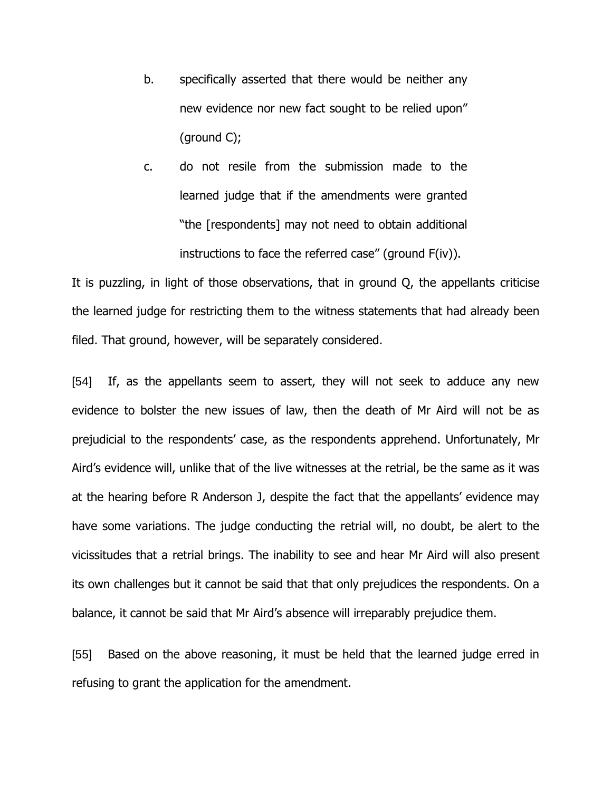- b. specifically asserted that there would be neither any new evidence nor new fact sought to be relied upon" (ground C);
- c. do not resile from the submission made to the learned judge that if the amendments were granted "the [respondents] may not need to obtain additional instructions to face the referred case" (ground F(iv)).

It is puzzling, in light of those observations, that in ground Q, the appellants criticise the learned judge for restricting them to the witness statements that had already been filed. That ground, however, will be separately considered.

[54] If, as the appellants seem to assert, they will not seek to adduce any new evidence to bolster the new issues of law, then the death of Mr Aird will not be as prejudicial to the respondents' case, as the respondents apprehend. Unfortunately, Mr Aird's evidence will, unlike that of the live witnesses at the retrial, be the same as it was at the hearing before R Anderson J, despite the fact that the appellants' evidence may have some variations. The judge conducting the retrial will, no doubt, be alert to the vicissitudes that a retrial brings. The inability to see and hear Mr Aird will also present its own challenges but it cannot be said that that only prejudices the respondents. On a balance, it cannot be said that Mr Aird's absence will irreparably prejudice them.

[55] Based on the above reasoning, it must be held that the learned judge erred in refusing to grant the application for the amendment.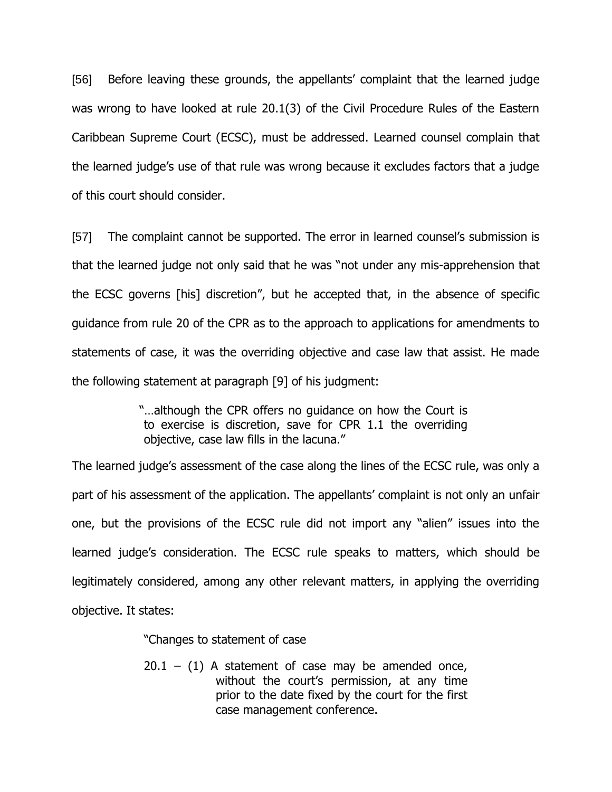[56] Before leaving these grounds, the appellants' complaint that the learned judge was wrong to have looked at rule 20.1(3) of the Civil Procedure Rules of the Eastern Caribbean Supreme Court (ECSC), must be addressed. Learned counsel complain that the learned judge's use of that rule was wrong because it excludes factors that a judge of this court should consider.

[57] The complaint cannot be supported. The error in learned counsel's submission is that the learned judge not only said that he was "not under any mis-apprehension that the ECSC governs [his] discretion", but he accepted that, in the absence of specific guidance from rule 20 of the CPR as to the approach to applications for amendments to statements of case, it was the overriding objective and case law that assist. He made the following statement at paragraph [9] of his judgment:

> "…although the CPR offers no guidance on how the Court is to exercise is discretion, save for CPR 1.1 the overriding objective, case law fills in the lacuna."

The learned judge's assessment of the case along the lines of the ECSC rule, was only a part of his assessment of the application. The appellants' complaint is not only an unfair one, but the provisions of the ECSC rule did not import any "alien" issues into the learned judge's consideration. The ECSC rule speaks to matters, which should be legitimately considered, among any other relevant matters, in applying the overriding objective. It states:

"Changes to statement of case

 $20.1 - (1)$  A statement of case may be amended once, without the court's permission, at any time prior to the date fixed by the court for the first case management conference.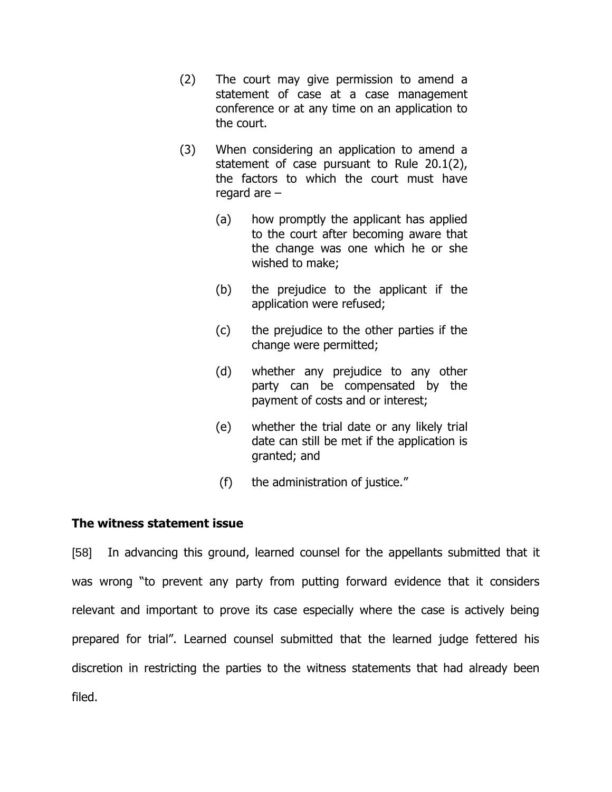- (2) The court may give permission to amend a statement of case at a case management conference or at any time on an application to the court.
- (3) When considering an application to amend a statement of case pursuant to Rule 20.1(2), the factors to which the court must have regard are –
	- (a) how promptly the applicant has applied to the court after becoming aware that the change was one which he or she wished to make;
	- (b) the prejudice to the applicant if the application were refused;
	- (c) the prejudice to the other parties if the change were permitted;
	- (d) whether any prejudice to any other party can be compensated by the payment of costs and or interest;
	- (e) whether the trial date or any likely trial date can still be met if the application is granted; and
	- (f) the administration of justice."

### **The witness statement issue**

[58] In advancing this ground, learned counsel for the appellants submitted that it was wrong "to prevent any party from putting forward evidence that it considers relevant and important to prove its case especially where the case is actively being prepared for trial". Learned counsel submitted that the learned judge fettered his discretion in restricting the parties to the witness statements that had already been filed.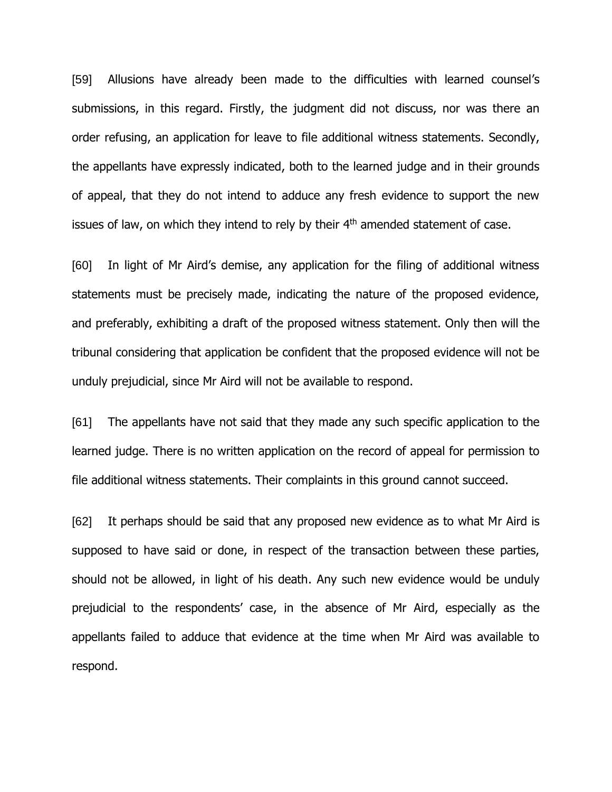[59] Allusions have already been made to the difficulties with learned counsel's submissions, in this regard. Firstly, the judgment did not discuss, nor was there an order refusing, an application for leave to file additional witness statements. Secondly, the appellants have expressly indicated, both to the learned judge and in their grounds of appeal, that they do not intend to adduce any fresh evidence to support the new issues of law, on which they intend to rely by their  $4<sup>th</sup>$  amended statement of case.

[60] In light of Mr Aird's demise, any application for the filing of additional witness statements must be precisely made, indicating the nature of the proposed evidence, and preferably, exhibiting a draft of the proposed witness statement. Only then will the tribunal considering that application be confident that the proposed evidence will not be unduly prejudicial, since Mr Aird will not be available to respond.

[61] The appellants have not said that they made any such specific application to the learned judge. There is no written application on the record of appeal for permission to file additional witness statements. Their complaints in this ground cannot succeed.

[62] It perhaps should be said that any proposed new evidence as to what Mr Aird is supposed to have said or done, in respect of the transaction between these parties, should not be allowed, in light of his death. Any such new evidence would be unduly prejudicial to the respondents' case, in the absence of Mr Aird, especially as the appellants failed to adduce that evidence at the time when Mr Aird was available to respond.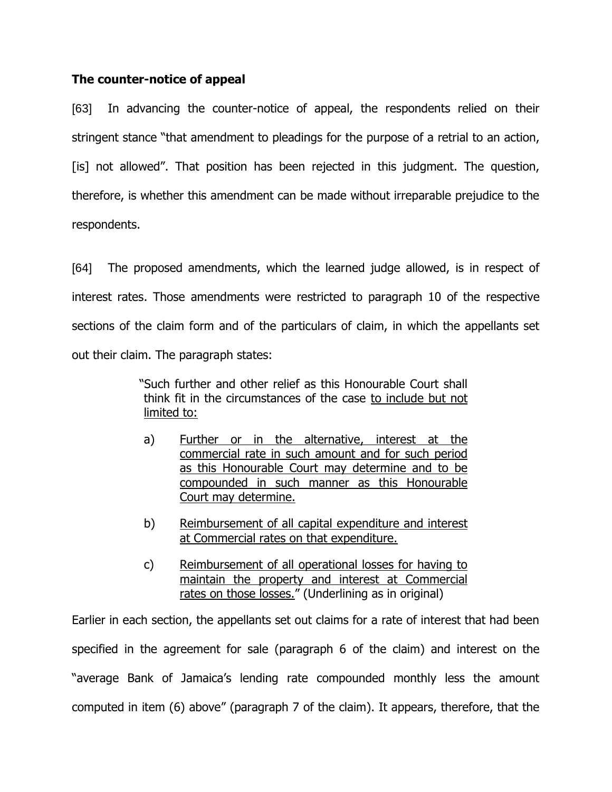## **The counter-notice of appeal**

[63] In advancing the counter-notice of appeal, the respondents relied on their stringent stance "that amendment to pleadings for the purpose of a retrial to an action, [is] not allowed". That position has been rejected in this judgment. The question, therefore, is whether this amendment can be made without irreparable prejudice to the respondents.

[64] The proposed amendments, which the learned judge allowed, is in respect of interest rates. Those amendments were restricted to paragraph 10 of the respective sections of the claim form and of the particulars of claim, in which the appellants set out their claim. The paragraph states:

> "Such further and other relief as this Honourable Court shall think fit in the circumstances of the case to include but not limited to:

- a) Further or in the alternative, interest at the commercial rate in such amount and for such period as this Honourable Court may determine and to be compounded in such manner as this Honourable Court may determine.
- b) Reimbursement of all capital expenditure and interest at Commercial rates on that expenditure.
- c) Reimbursement of all operational losses for having to maintain the property and interest at Commercial rates on those losses." (Underlining as in original)

Earlier in each section, the appellants set out claims for a rate of interest that had been specified in the agreement for sale (paragraph 6 of the claim) and interest on the "average Bank of Jamaica's lending rate compounded monthly less the amount computed in item (6) above" (paragraph 7 of the claim). It appears, therefore, that the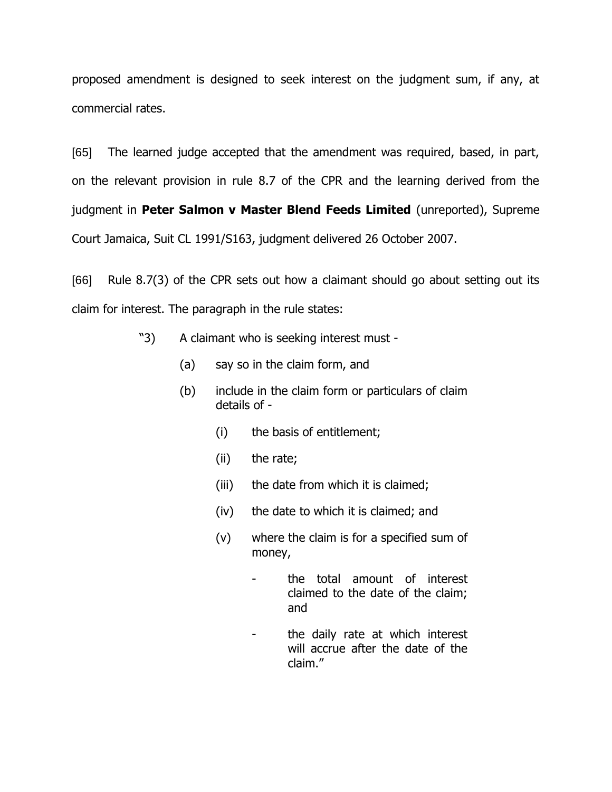proposed amendment is designed to seek interest on the judgment sum, if any, at commercial rates.

[65] The learned judge accepted that the amendment was required, based, in part, on the relevant provision in rule 8.7 of the CPR and the learning derived from the judgment in **Peter Salmon v Master Blend Feeds Limited** (unreported), Supreme Court Jamaica, Suit CL 1991/S163, judgment delivered 26 October 2007.

[66] Rule 8.7(3) of the CPR sets out how a claimant should go about setting out its claim for interest. The paragraph in the rule states:

- "3) A claimant who is seeking interest must
	- (a) say so in the claim form, and
	- (b) include in the claim form or particulars of claim details of -
		- (i) the basis of entitlement;
		- (ii) the rate;
		- (iii) the date from which it is claimed;
		- (iv) the date to which it is claimed; and
		- (v) where the claim is for a specified sum of money,
			- the total amount of interest claimed to the date of the claim; and
			- the daily rate at which interest will accrue after the date of the claim."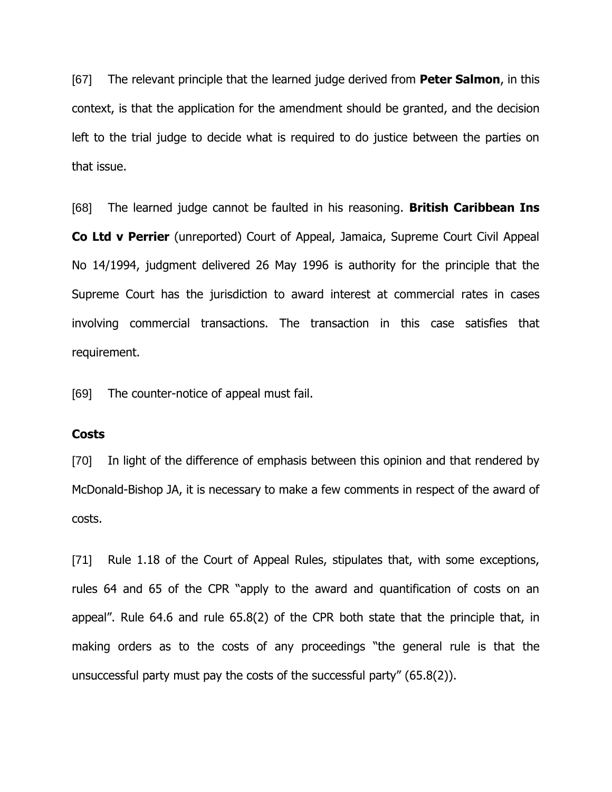[67] The relevant principle that the learned judge derived from **Peter Salmon**, in this context, is that the application for the amendment should be granted, and the decision left to the trial judge to decide what is required to do justice between the parties on that issue.

[68] The learned judge cannot be faulted in his reasoning. **British Caribbean Ins Co Ltd v Perrier** (unreported) Court of Appeal, Jamaica, Supreme Court Civil Appeal No 14/1994, judgment delivered 26 May 1996 is authority for the principle that the Supreme Court has the jurisdiction to award interest at commercial rates in cases involving commercial transactions. The transaction in this case satisfies that requirement.

[69] The counter-notice of appeal must fail.

#### **Costs**

[70] In light of the difference of emphasis between this opinion and that rendered by McDonald-Bishop JA, it is necessary to make a few comments in respect of the award of costs.

[71] Rule 1.18 of the Court of Appeal Rules, stipulates that, with some exceptions, rules 64 and 65 of the CPR "apply to the award and quantification of costs on an appeal". Rule 64.6 and rule 65.8(2) of the CPR both state that the principle that, in making orders as to the costs of any proceedings "the general rule is that the unsuccessful party must pay the costs of the successful party" (65.8(2)).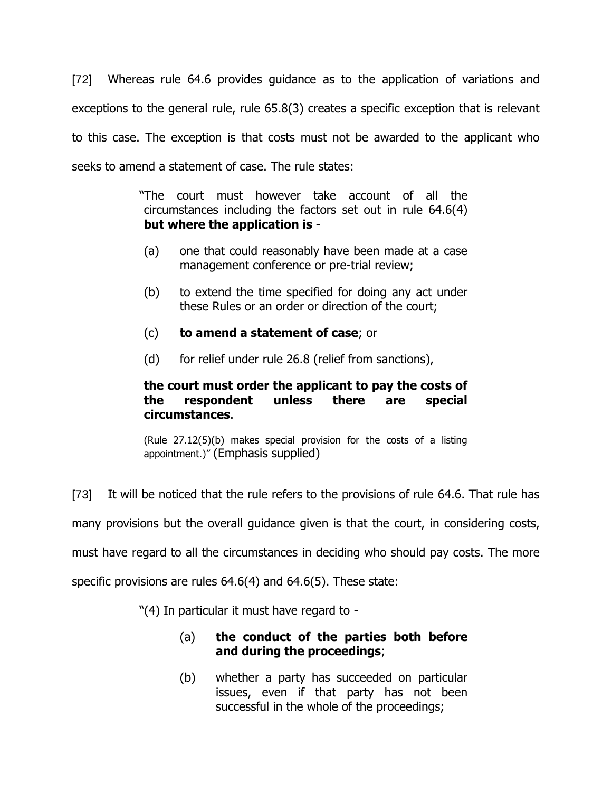[72] Whereas rule 64.6 provides guidance as to the application of variations and exceptions to the general rule, rule 65.8(3) creates a specific exception that is relevant to this case. The exception is that costs must not be awarded to the applicant who seeks to amend a statement of case. The rule states:

> "The court must however take account of all the circumstances including the factors set out in rule 64.6(4) **but where the application is** -

- (a) one that could reasonably have been made at a case management conference or pre-trial review;
- (b) to extend the time specified for doing any act under these Rules or an order or direction of the court;
- (c) **to amend a statement of case**; or
- (d) for relief under rule 26.8 (relief from sanctions),

# **the court must order the applicant to pay the costs of the respondent unless there are special circumstances**.

(Rule 27.12(5)(b) makes special provision for the costs of a listing appointment.)" (Emphasis supplied)

[73] It will be noticed that the rule refers to the provisions of rule 64.6. That rule has

many provisions but the overall guidance given is that the court, in considering costs,

must have regard to all the circumstances in deciding who should pay costs. The more

specific provisions are rules 64.6(4) and 64.6(5). These state:

"(4) In particular it must have regard to -

- (a) **the conduct of the parties both before and during the proceedings**;
- (b) whether a party has succeeded on particular issues, even if that party has not been successful in the whole of the proceedings;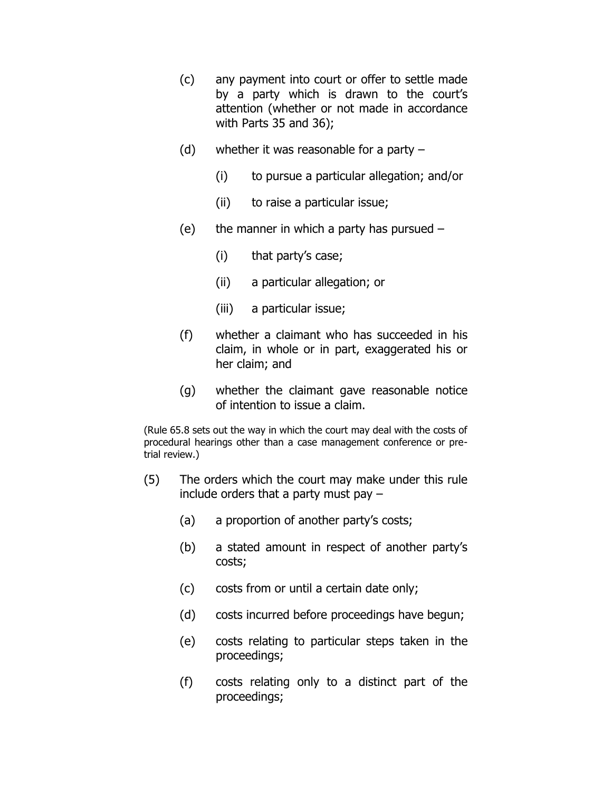- (c) any payment into court or offer to settle made by a party which is drawn to the court's attention (whether or not made in accordance with Parts 35 and 36);
- (d) whether it was reasonable for a party  $-$ 
	- (i) to pursue a particular allegation; and/or
	- (ii) to raise a particular issue;
- (e) the manner in which a party has pursued  $-$ 
	- (i) that party's case;
	- (ii) a particular allegation; or
	- (iii) a particular issue;
- (f) whether a claimant who has succeeded in his claim, in whole or in part, exaggerated his or her claim; and
- (g) whether the claimant gave reasonable notice of intention to issue a claim.

(Rule 65.8 sets out the way in which the court may deal with the costs of procedural hearings other than a case management conference or pretrial review.)

- (5) The orders which the court may make under this rule include orders that a party must pay –
	- (a) a proportion of another party's costs;
	- (b) a stated amount in respect of another party's costs;
	- (c) costs from or until a certain date only;
	- (d) costs incurred before proceedings have begun;
	- (e) costs relating to particular steps taken in the proceedings;
	- (f) costs relating only to a distinct part of the proceedings;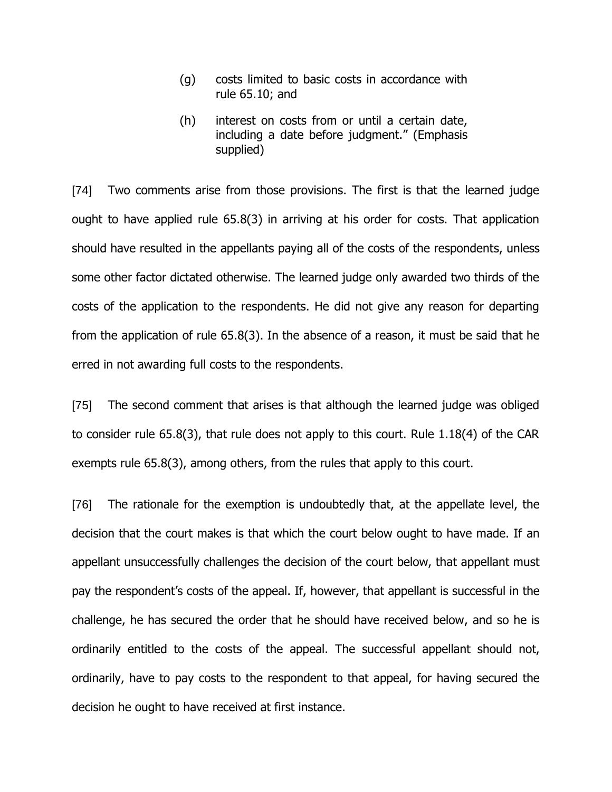- (g) costs limited to basic costs in accordance with rule 65.10; and
- (h) interest on costs from or until a certain date, including a date before judgment." (Emphasis supplied)

[74] Two comments arise from those provisions. The first is that the learned judge ought to have applied rule 65.8(3) in arriving at his order for costs. That application should have resulted in the appellants paying all of the costs of the respondents, unless some other factor dictated otherwise. The learned judge only awarded two thirds of the costs of the application to the respondents. He did not give any reason for departing from the application of rule 65.8(3). In the absence of a reason, it must be said that he erred in not awarding full costs to the respondents.

[75] The second comment that arises is that although the learned judge was obliged to consider rule 65.8(3), that rule does not apply to this court. Rule 1.18(4) of the CAR exempts rule 65.8(3), among others, from the rules that apply to this court.

[76] The rationale for the exemption is undoubtedly that, at the appellate level, the decision that the court makes is that which the court below ought to have made. If an appellant unsuccessfully challenges the decision of the court below, that appellant must pay the respondent's costs of the appeal. If, however, that appellant is successful in the challenge, he has secured the order that he should have received below, and so he is ordinarily entitled to the costs of the appeal. The successful appellant should not, ordinarily, have to pay costs to the respondent to that appeal, for having secured the decision he ought to have received at first instance.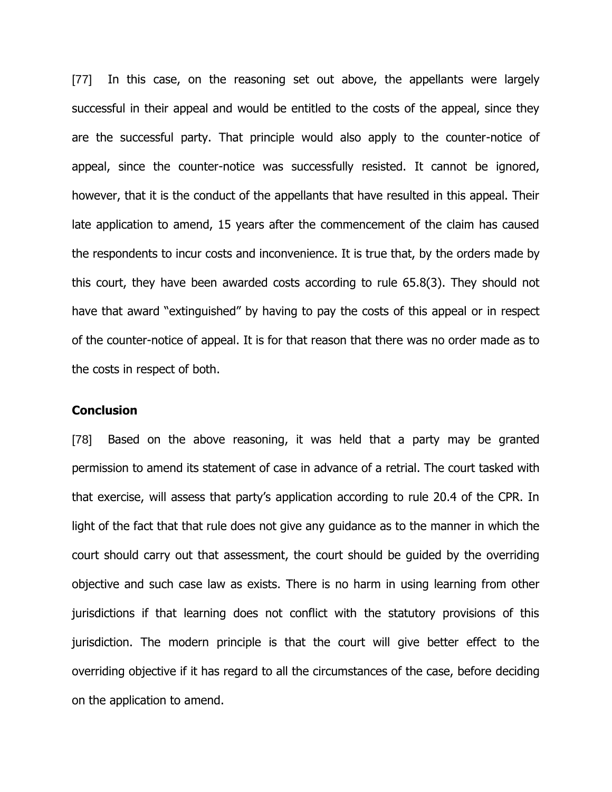[77] In this case, on the reasoning set out above, the appellants were largely successful in their appeal and would be entitled to the costs of the appeal, since they are the successful party. That principle would also apply to the counter-notice of appeal, since the counter-notice was successfully resisted. It cannot be ignored, however, that it is the conduct of the appellants that have resulted in this appeal. Their late application to amend, 15 years after the commencement of the claim has caused the respondents to incur costs and inconvenience. It is true that, by the orders made by this court, they have been awarded costs according to rule 65.8(3). They should not have that award "extinguished" by having to pay the costs of this appeal or in respect of the counter-notice of appeal. It is for that reason that there was no order made as to the costs in respect of both.

#### **Conclusion**

[78] Based on the above reasoning, it was held that a party may be granted permission to amend its statement of case in advance of a retrial. The court tasked with that exercise, will assess that party's application according to rule 20.4 of the CPR. In light of the fact that that rule does not give any guidance as to the manner in which the court should carry out that assessment, the court should be guided by the overriding objective and such case law as exists. There is no harm in using learning from other jurisdictions if that learning does not conflict with the statutory provisions of this jurisdiction. The modern principle is that the court will give better effect to the overriding objective if it has regard to all the circumstances of the case, before deciding on the application to amend.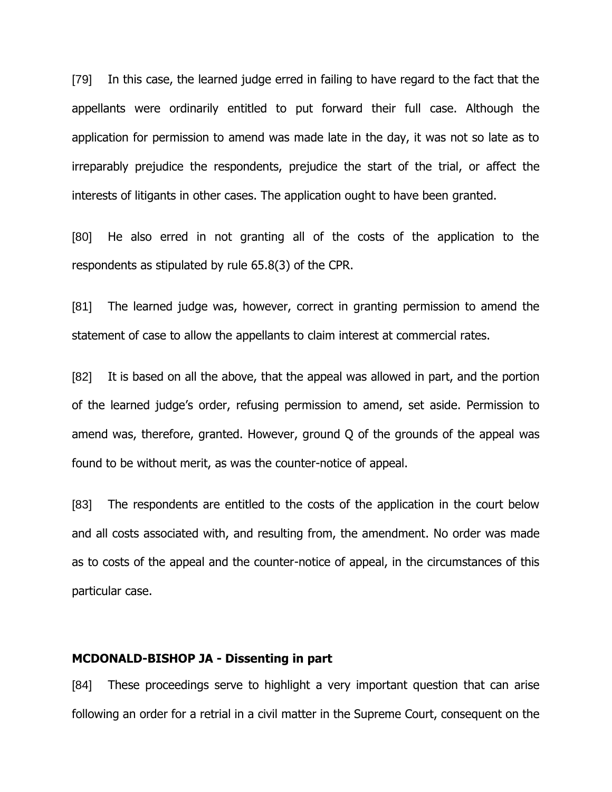[79] In this case, the learned judge erred in failing to have regard to the fact that the appellants were ordinarily entitled to put forward their full case. Although the application for permission to amend was made late in the day, it was not so late as to irreparably prejudice the respondents, prejudice the start of the trial, or affect the interests of litigants in other cases. The application ought to have been granted.

[80] He also erred in not granting all of the costs of the application to the respondents as stipulated by rule 65.8(3) of the CPR.

[81] The learned judge was, however, correct in granting permission to amend the statement of case to allow the appellants to claim interest at commercial rates.

[82] It is based on all the above, that the appeal was allowed in part, and the portion of the learned judge's order, refusing permission to amend, set aside. Permission to amend was, therefore, granted. However, ground Q of the grounds of the appeal was found to be without merit, as was the counter-notice of appeal.

[83] The respondents are entitled to the costs of the application in the court below and all costs associated with, and resulting from, the amendment. No order was made as to costs of the appeal and the counter-notice of appeal, in the circumstances of this particular case.

#### **MCDONALD-BISHOP JA - Dissenting in part**

[84] These proceedings serve to highlight a very important question that can arise following an order for a retrial in a civil matter in the Supreme Court, consequent on the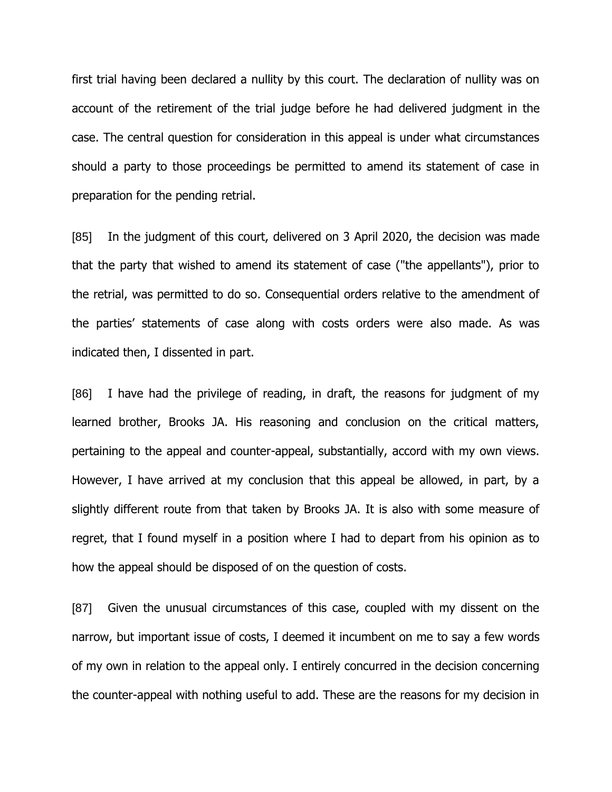first trial having been declared a nullity by this court. The declaration of nullity was on account of the retirement of the trial judge before he had delivered judgment in the case. The central question for consideration in this appeal is under what circumstances should a party to those proceedings be permitted to amend its statement of case in preparation for the pending retrial.

[85] In the judgment of this court, delivered on 3 April 2020, the decision was made that the party that wished to amend its statement of case ("the appellants"), prior to the retrial, was permitted to do so. Consequential orders relative to the amendment of the parties' statements of case along with costs orders were also made. As was indicated then, I dissented in part.

[86] I have had the privilege of reading, in draft, the reasons for judgment of my learned brother, Brooks JA. His reasoning and conclusion on the critical matters, pertaining to the appeal and counter-appeal, substantially, accord with my own views. However, I have arrived at my conclusion that this appeal be allowed, in part, by a slightly different route from that taken by Brooks JA. It is also with some measure of regret, that I found myself in a position where I had to depart from his opinion as to how the appeal should be disposed of on the question of costs.

[87] Given the unusual circumstances of this case, coupled with my dissent on the narrow, but important issue of costs, I deemed it incumbent on me to say a few words of my own in relation to the appeal only. I entirely concurred in the decision concerning the counter-appeal with nothing useful to add. These are the reasons for my decision in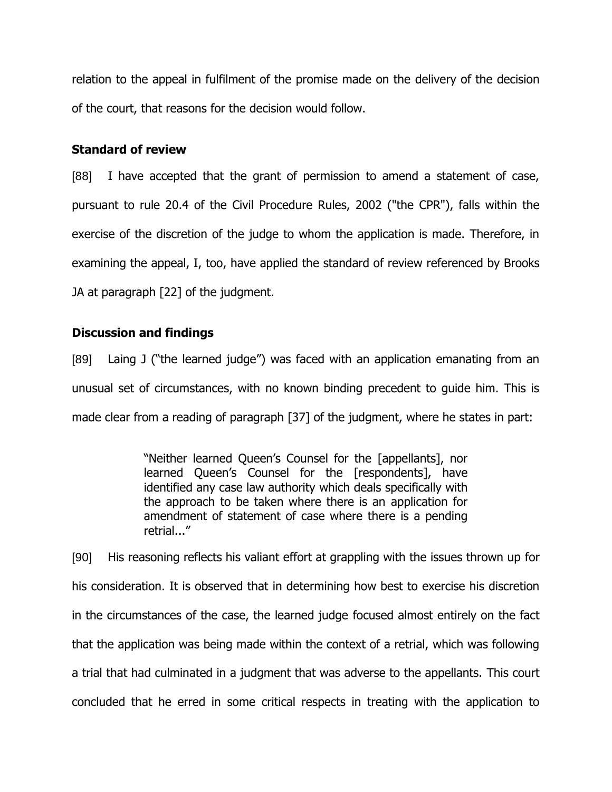relation to the appeal in fulfilment of the promise made on the delivery of the decision of the court, that reasons for the decision would follow.

## **Standard of review**

[88] I have accepted that the grant of permission to amend a statement of case, pursuant to rule 20.4 of the Civil Procedure Rules, 2002 ("the CPR"), falls within the exercise of the discretion of the judge to whom the application is made. Therefore, in examining the appeal, I, too, have applied the standard of review referenced by Brooks JA at paragraph [22] of the judgment.

# **Discussion and findings**

[89] Laing J ("the learned judge") was faced with an application emanating from an unusual set of circumstances, with no known binding precedent to guide him. This is made clear from a reading of paragraph [37] of the judgment, where he states in part:

> "Neither learned Queen's Counsel for the [appellants], nor learned Queen's Counsel for the [respondents], have identified any case law authority which deals specifically with the approach to be taken where there is an application for amendment of statement of case where there is a pending retrial..."

[90] His reasoning reflects his valiant effort at grappling with the issues thrown up for his consideration. It is observed that in determining how best to exercise his discretion in the circumstances of the case, the learned judge focused almost entirely on the fact that the application was being made within the context of a retrial, which was following a trial that had culminated in a judgment that was adverse to the appellants. This court concluded that he erred in some critical respects in treating with the application to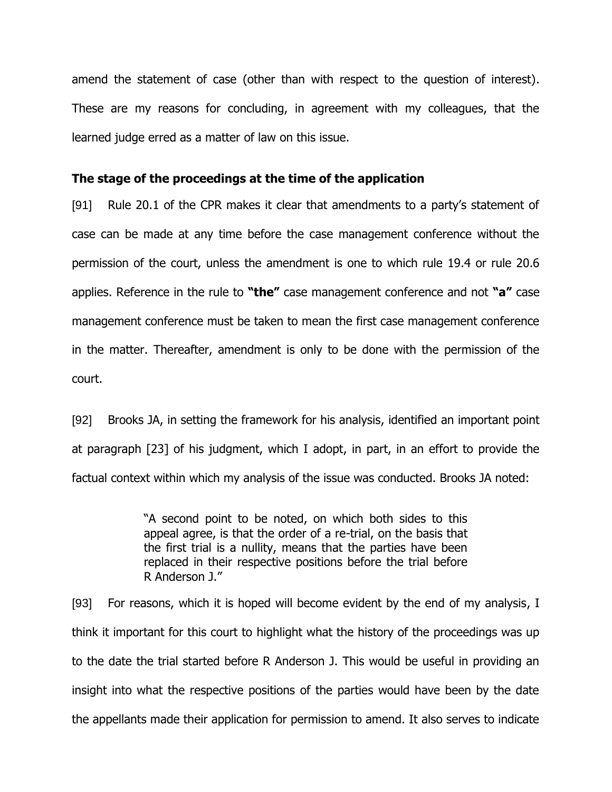amend the statement of case (other than with respect to the question of interest). These are my reasons for concluding, in agreement with my colleagues, that the learned judge erred as a matter of law on this issue.

#### **The stage of the proceedings at the time of the application**

[91] Rule 20.1 of the CPR makes it clear that amendments to a party's statement of case can be made at any time before the case management conference without the permission of the court, unless the amendment is one to which rule 19.4 or rule 20.6 applies. Reference in the rule to **"the"** case management conference and not **"a"** case management conference must be taken to mean the first case management conference in the matter. Thereafter, amendment is only to be done with the permission of the court.

[92] Brooks JA, in setting the framework for his analysis, identified an important point at paragraph [23] of his judgment, which I adopt, in part, in an effort to provide the factual context within which my analysis of the issue was conducted. Brooks JA noted:

> "A second point to be noted, on which both sides to this appeal agree, is that the order of a re-trial, on the basis that the first trial is a nullity, means that the parties have been replaced in their respective positions before the trial before R Anderson J."

[93] For reasons, which it is hoped will become evident by the end of my analysis, I think it important for this court to highlight what the history of the proceedings was up to the date the trial started before R Anderson J. This would be useful in providing an insight into what the respective positions of the parties would have been by the date the appellants made their application for permission to amend. It also serves to indicate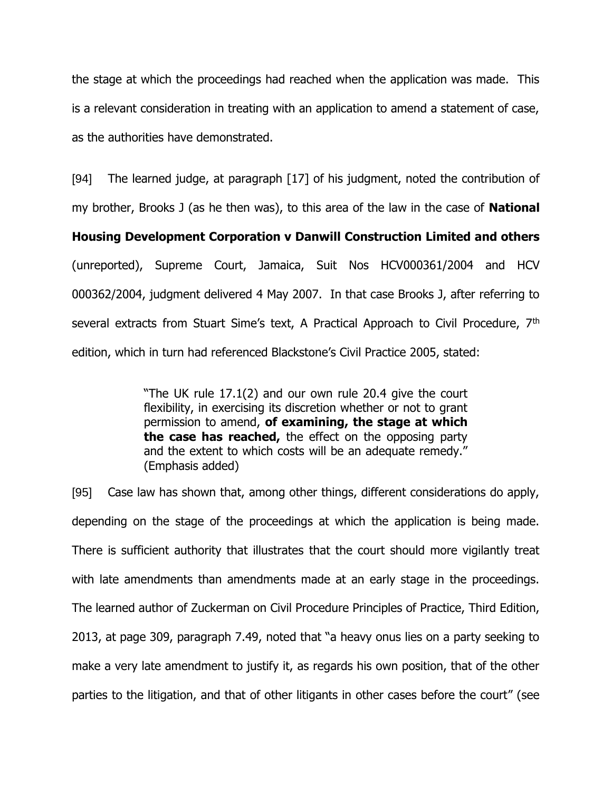the stage at which the proceedings had reached when the application was made. This is a relevant consideration in treating with an application to amend a statement of case, as the authorities have demonstrated.

[94] The learned judge, at paragraph [17] of his judgment, noted the contribution of my brother, Brooks J (as he then was), to this area of the law in the case of **National** 

**Housing Development Corporation v Danwill Construction Limited and others** (unreported), Supreme Court, Jamaica, Suit Nos HCV000361/2004 and HCV 000362/2004, judgment delivered 4 May 2007. In that case Brooks J, after referring to several extracts from Stuart Sime's text, A Practical Approach to Civil Procedure, 7<sup>th</sup> edition, which in turn had referenced Blackstone's Civil Practice 2005, stated:

> "The UK rule 17.1(2) and our own rule 20.4 give the court flexibility, in exercising its discretion whether or not to grant permission to amend, **of examining, the stage at which the case has reached,** the effect on the opposing party and the extent to which costs will be an adequate remedy." (Emphasis added)

[95] Case law has shown that, among other things, different considerations do apply, depending on the stage of the proceedings at which the application is being made. There is sufficient authority that illustrates that the court should more vigilantly treat with late amendments than amendments made at an early stage in the proceedings. The learned author of Zuckerman on Civil Procedure Principles of Practice, Third Edition, 2013, at page 309, paragraph 7.49, noted that "a heavy onus lies on a party seeking to make a very late amendment to justify it, as regards his own position, that of the other parties to the litigation, and that of other litigants in other cases before the court" (see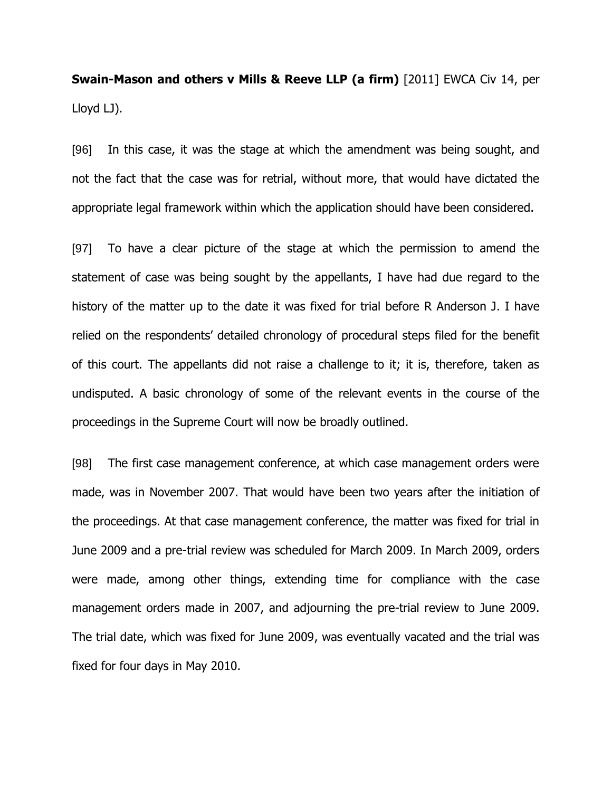**Swain-Mason and others v Mills & Reeve LLP (a firm)** [2011] EWCA Civ 14, per Lloyd LJ).

[96] In this case, it was the stage at which the amendment was being sought, and not the fact that the case was for retrial, without more, that would have dictated the appropriate legal framework within which the application should have been considered.

[97] To have a clear picture of the stage at which the permission to amend the statement of case was being sought by the appellants, I have had due regard to the history of the matter up to the date it was fixed for trial before R Anderson J. I have relied on the respondents' detailed chronology of procedural steps filed for the benefit of this court. The appellants did not raise a challenge to it; it is, therefore, taken as undisputed. A basic chronology of some of the relevant events in the course of the proceedings in the Supreme Court will now be broadly outlined.

[98] The first case management conference, at which case management orders were made, was in November 2007. That would have been two years after the initiation of the proceedings. At that case management conference, the matter was fixed for trial in June 2009 and a pre-trial review was scheduled for March 2009. In March 2009, orders were made, among other things, extending time for compliance with the case management orders made in 2007, and adjourning the pre-trial review to June 2009. The trial date, which was fixed for June 2009, was eventually vacated and the trial was fixed for four days in May 2010.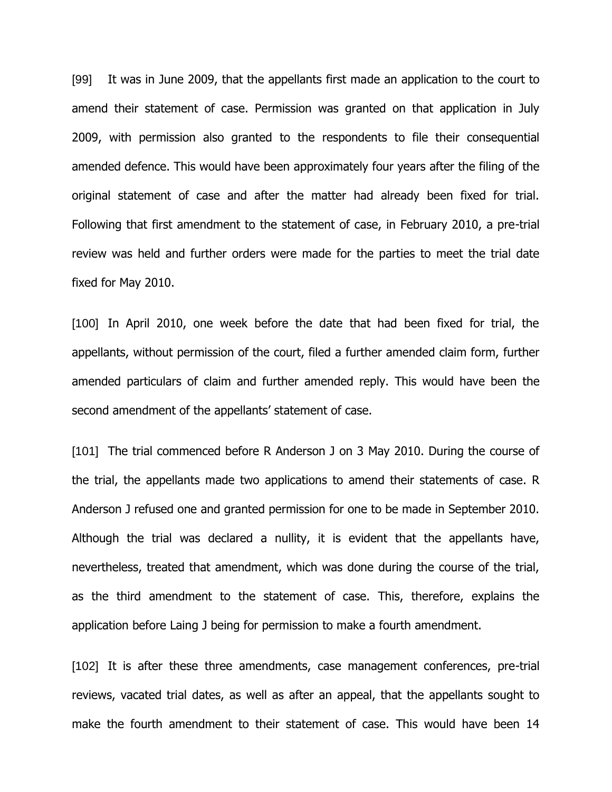[99] It was in June 2009, that the appellants first made an application to the court to amend their statement of case. Permission was granted on that application in July 2009, with permission also granted to the respondents to file their consequential amended defence. This would have been approximately four years after the filing of the original statement of case and after the matter had already been fixed for trial. Following that first amendment to the statement of case, in February 2010, a pre-trial review was held and further orders were made for the parties to meet the trial date fixed for May 2010.

[100] In April 2010, one week before the date that had been fixed for trial, the appellants, without permission of the court, filed a further amended claim form, further amended particulars of claim and further amended reply. This would have been the second amendment of the appellants' statement of case.

[101] The trial commenced before R Anderson J on 3 May 2010. During the course of the trial, the appellants made two applications to amend their statements of case. R Anderson J refused one and granted permission for one to be made in September 2010. Although the trial was declared a nullity, it is evident that the appellants have, nevertheless, treated that amendment, which was done during the course of the trial, as the third amendment to the statement of case. This, therefore, explains the application before Laing J being for permission to make a fourth amendment.

[102] It is after these three amendments, case management conferences, pre-trial reviews, vacated trial dates, as well as after an appeal, that the appellants sought to make the fourth amendment to their statement of case. This would have been 14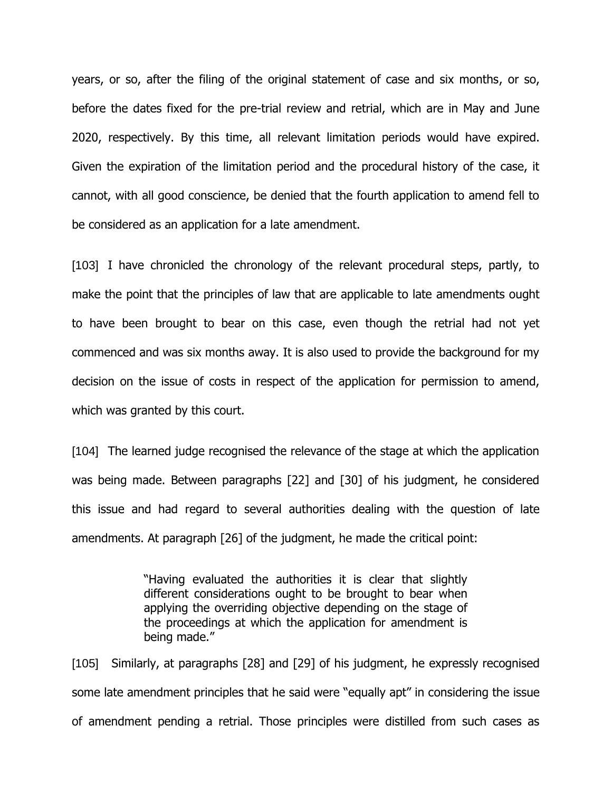years, or so, after the filing of the original statement of case and six months, or so, before the dates fixed for the pre-trial review and retrial, which are in May and June 2020, respectively. By this time, all relevant limitation periods would have expired. Given the expiration of the limitation period and the procedural history of the case, it cannot, with all good conscience, be denied that the fourth application to amend fell to be considered as an application for a late amendment.

[103] I have chronicled the chronology of the relevant procedural steps, partly, to make the point that the principles of law that are applicable to late amendments ought to have been brought to bear on this case, even though the retrial had not yet commenced and was six months away. It is also used to provide the background for my decision on the issue of costs in respect of the application for permission to amend, which was granted by this court.

[104] The learned judge recognised the relevance of the stage at which the application was being made. Between paragraphs [22] and [30] of his judgment, he considered this issue and had regard to several authorities dealing with the question of late amendments. At paragraph [26] of the judgment, he made the critical point:

> "Having evaluated the authorities it is clear that slightly different considerations ought to be brought to bear when applying the overriding objective depending on the stage of the proceedings at which the application for amendment is being made."

[105] Similarly, at paragraphs [28] and [29] of his judgment, he expressly recognised some late amendment principles that he said were "equally apt" in considering the issue of amendment pending a retrial. Those principles were distilled from such cases as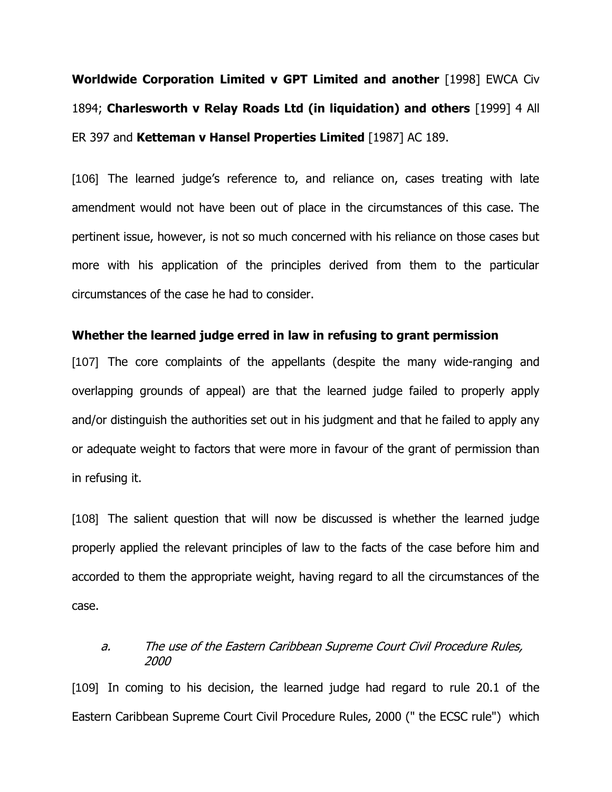**Worldwide Corporation Limited v GPT Limited and another** [1998] EWCA Civ 1894; **Charlesworth v Relay Roads Ltd (in liquidation) and others** [1999] 4 All ER 397 and **Ketteman v Hansel Properties Limited** [1987] AC 189.

[106] The learned judge's reference to, and reliance on, cases treating with late amendment would not have been out of place in the circumstances of this case. The pertinent issue, however, is not so much concerned with his reliance on those cases but more with his application of the principles derived from them to the particular circumstances of the case he had to consider.

#### **Whether the learned judge erred in law in refusing to grant permission**

[107] The core complaints of the appellants (despite the many wide-ranging and overlapping grounds of appeal) are that the learned judge failed to properly apply and/or distinguish the authorities set out in his judgment and that he failed to apply any or adequate weight to factors that were more in favour of the grant of permission than in refusing it.

[108] The salient question that will now be discussed is whether the learned judge properly applied the relevant principles of law to the facts of the case before him and accorded to them the appropriate weight, having regard to all the circumstances of the case.

### a. The use of the Eastern Caribbean Supreme Court Civil Procedure Rules, 2000

[109] In coming to his decision, the learned judge had regard to rule 20.1 of the Eastern Caribbean Supreme Court Civil Procedure Rules, 2000 (" the ECSC rule") which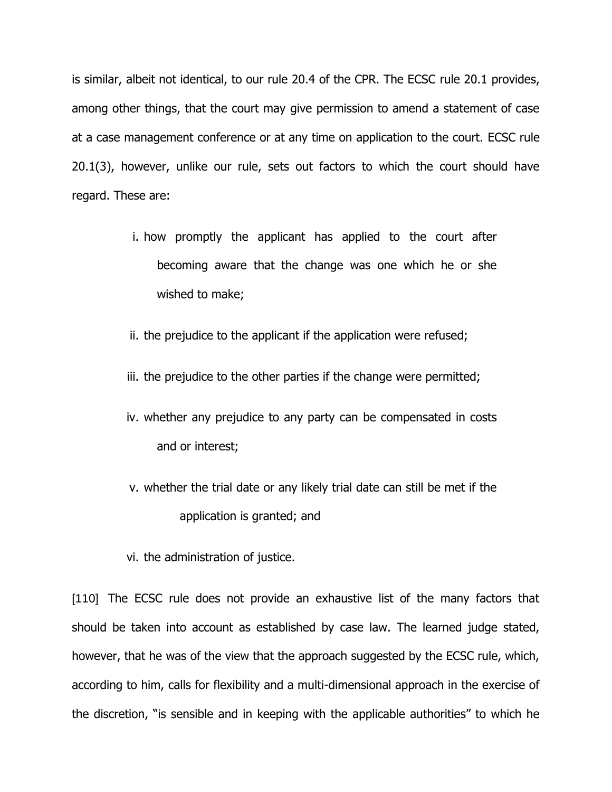is similar, albeit not identical, to our rule 20.4 of the CPR. The ECSC rule 20.1 provides, among other things, that the court may give permission to amend a statement of case at a case management conference or at any time on application to the court. ECSC rule 20.1(3), however, unlike our rule, sets out factors to which the court should have regard. These are:

- i. how promptly the applicant has applied to the court after becoming aware that the change was one which he or she wished to make;
- ii. the prejudice to the applicant if the application were refused;
- iii. the prejudice to the other parties if the change were permitted;
- iv. whether any prejudice to any party can be compensated in costs and or interest;
- v. whether the trial date or any likely trial date can still be met if the application is granted; and
- vi. the administration of justice.

[110] The ECSC rule does not provide an exhaustive list of the many factors that should be taken into account as established by case law. The learned judge stated, however, that he was of the view that the approach suggested by the ECSC rule, which, according to him, calls for flexibility and a multi-dimensional approach in the exercise of the discretion, "is sensible and in keeping with the applicable authorities" to which he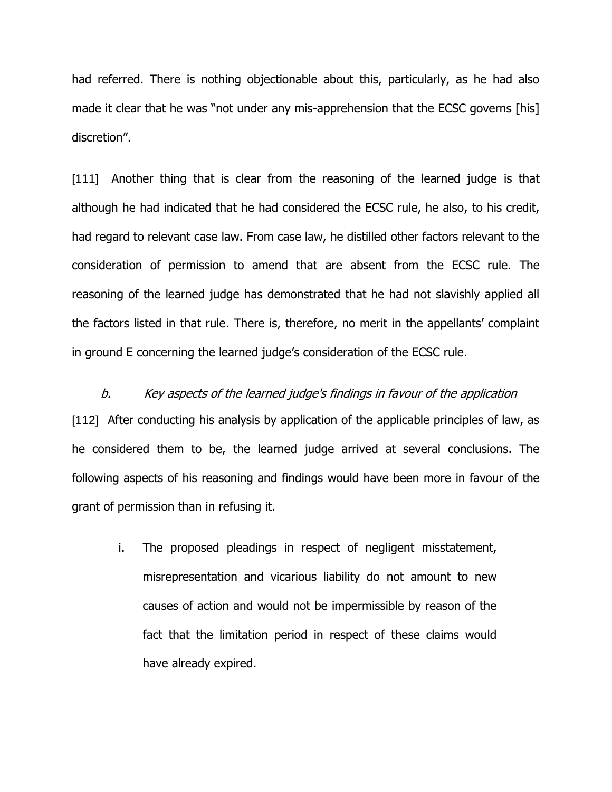had referred. There is nothing objectionable about this, particularly, as he had also made it clear that he was "not under any mis-apprehension that the ECSC governs [his] discretion".

[111] Another thing that is clear from the reasoning of the learned judge is that although he had indicated that he had considered the ECSC rule, he also, to his credit, had regard to relevant case law. From case law, he distilled other factors relevant to the consideration of permission to amend that are absent from the ECSC rule. The reasoning of the learned judge has demonstrated that he had not slavishly applied all the factors listed in that rule. There is, therefore, no merit in the appellants' complaint in ground E concerning the learned judge's consideration of the ECSC rule.

b. Key aspects of the learned judge's findings in favour of the application [112] After conducting his analysis by application of the applicable principles of law, as he considered them to be, the learned judge arrived at several conclusions. The following aspects of his reasoning and findings would have been more in favour of the grant of permission than in refusing it.

i. The proposed pleadings in respect of negligent misstatement, misrepresentation and vicarious liability do not amount to new causes of action and would not be impermissible by reason of the fact that the limitation period in respect of these claims would have already expired.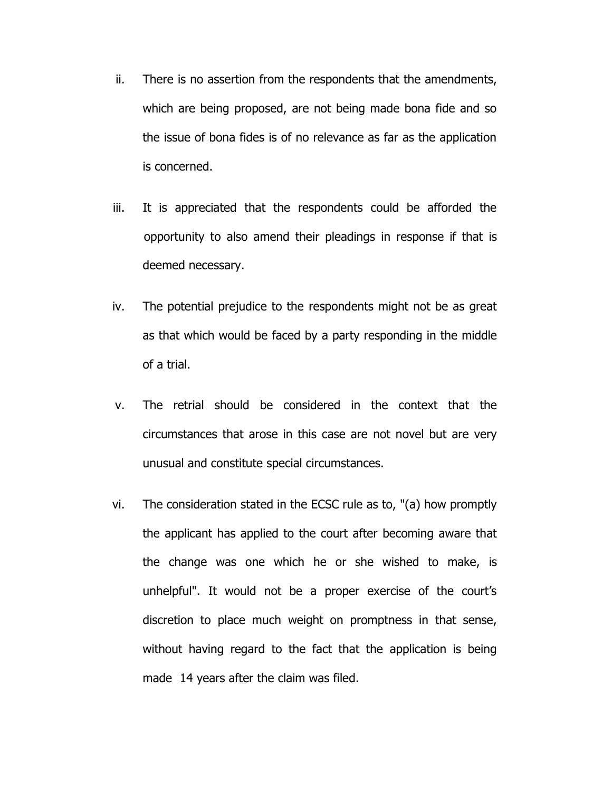- ii. There is no assertion from the respondents that the amendments, which are being proposed, are not being made bona fide and so the issue of bona fides is of no relevance as far as the application is concerned.
- iii. It is appreciated that the respondents could be afforded the opportunity to also amend their pleadings in response if that is deemed necessary.
- iv. The potential prejudice to the respondents might not be as great as that which would be faced by a party responding in the middle of a trial.
- v. The retrial should be considered in the context that the circumstances that arose in this case are not novel but are very unusual and constitute special circumstances.
- vi. The consideration stated in the ECSC rule as to, "(a) how promptly the applicant has applied to the court after becoming aware that the change was one which he or she wished to make, is unhelpful". It would not be a proper exercise of the court's discretion to place much weight on promptness in that sense, without having regard to the fact that the application is being made 14 years after the claim was filed.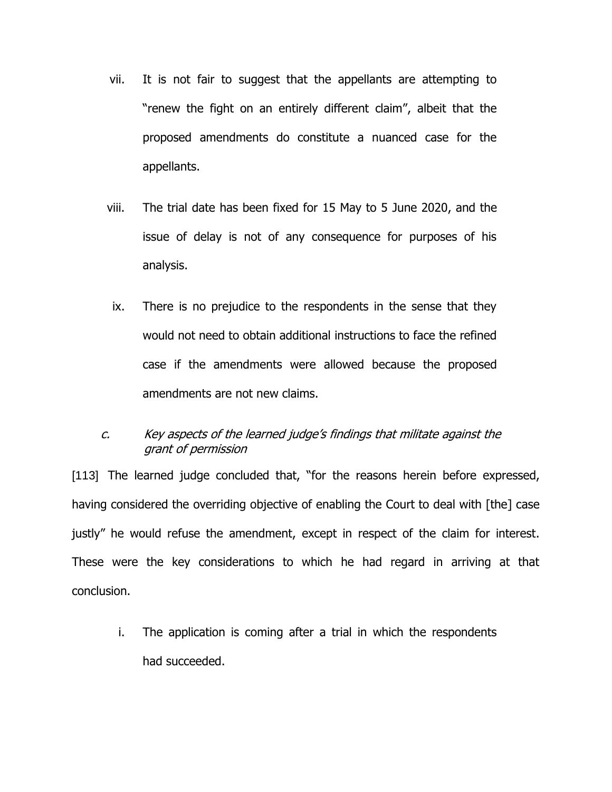- vii. It is not fair to suggest that the appellants are attempting to "renew the fight on an entirely different claim", albeit that the proposed amendments do constitute a nuanced case for the appellants.
- viii. The trial date has been fixed for 15 May to 5 June 2020, and the issue of delay is not of any consequence for purposes of his analysis.
- ix. There is no prejudice to the respondents in the sense that they would not need to obtain additional instructions to face the refined case if the amendments were allowed because the proposed amendments are not new claims.
- c. Key aspects of the learned judge's findings that militate against the grant of permission

[113] The learned judge concluded that, "for the reasons herein before expressed, having considered the overriding objective of enabling the Court to deal with [the] case justly" he would refuse the amendment, except in respect of the claim for interest. These were the key considerations to which he had regard in arriving at that conclusion.

i. The application is coming after a trial in which the respondents had succeeded.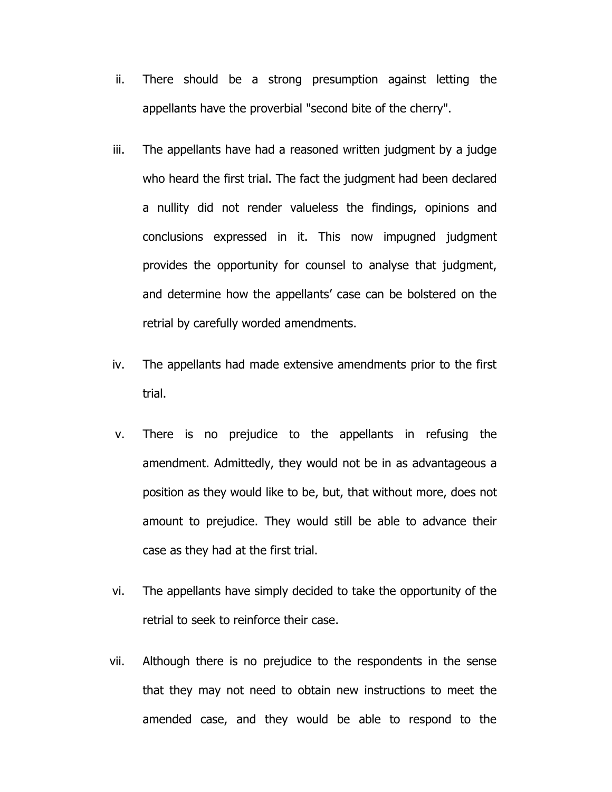- ii. There should be a strong presumption against letting the appellants have the proverbial "second bite of the cherry".
- iii. The appellants have had a reasoned written judgment by a judge who heard the first trial. The fact the judgment had been declared a nullity did not render valueless the findings, opinions and conclusions expressed in it. This now impugned judgment provides the opportunity for counsel to analyse that judgment, and determine how the appellants' case can be bolstered on the retrial by carefully worded amendments.
- iv. The appellants had made extensive amendments prior to the first trial.
- v. There is no prejudice to the appellants in refusing the amendment. Admittedly, they would not be in as advantageous a position as they would like to be, but, that without more, does not amount to prejudice. They would still be able to advance their case as they had at the first trial.
- vi. The appellants have simply decided to take the opportunity of the retrial to seek to reinforce their case.
- vii. Although there is no prejudice to the respondents in the sense that they may not need to obtain new instructions to meet the amended case, and they would be able to respond to the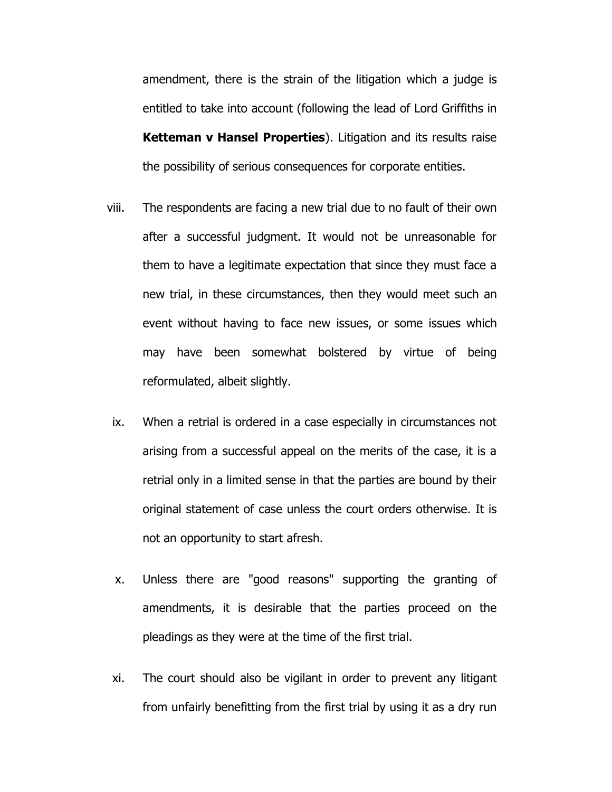amendment, there is the strain of the litigation which a judge is entitled to take into account (following the lead of Lord Griffiths in **Ketteman v Hansel Properties**). Litigation and its results raise the possibility of serious consequences for corporate entities.

- viii. The respondents are facing a new trial due to no fault of their own after a successful judgment. It would not be unreasonable for them to have a legitimate expectation that since they must face a new trial, in these circumstances, then they would meet such an event without having to face new issues, or some issues which may have been somewhat bolstered by virtue of being reformulated, albeit slightly.
- ix. When a retrial is ordered in a case especially in circumstances not arising from a successful appeal on the merits of the case, it is a retrial only in a limited sense in that the parties are bound by their original statement of case unless the court orders otherwise. It is not an opportunity to start afresh.
- x. Unless there are "good reasons" supporting the granting of amendments, it is desirable that the parties proceed on the pleadings as they were at the time of the first trial.
- xi. The court should also be vigilant in order to prevent any litigant from unfairly benefitting from the first trial by using it as a dry run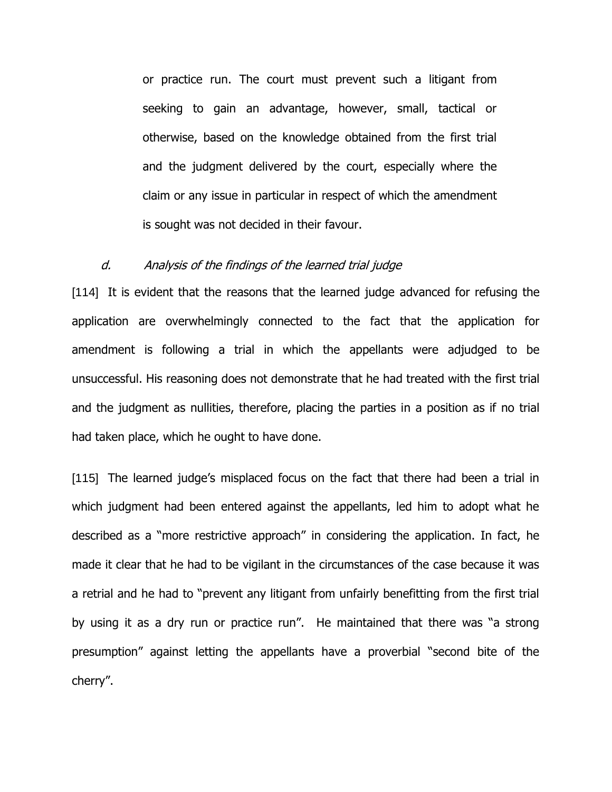or practice run. The court must prevent such a litigant from seeking to gain an advantage, however, small, tactical or otherwise, based on the knowledge obtained from the first trial and the judgment delivered by the court, especially where the claim or any issue in particular in respect of which the amendment is sought was not decided in their favour.

## d. Analysis of the findings of the learned trial judge

[114] It is evident that the reasons that the learned judge advanced for refusing the application are overwhelmingly connected to the fact that the application for amendment is following a trial in which the appellants were adjudged to be unsuccessful. His reasoning does not demonstrate that he had treated with the first trial and the judgment as nullities, therefore, placing the parties in a position as if no trial had taken place, which he ought to have done.

[115] The learned judge's misplaced focus on the fact that there had been a trial in which judgment had been entered against the appellants, led him to adopt what he described as a "more restrictive approach" in considering the application. In fact, he made it clear that he had to be vigilant in the circumstances of the case because it was a retrial and he had to "prevent any litigant from unfairly benefitting from the first trial by using it as a dry run or practice run". He maintained that there was "a strong presumption" against letting the appellants have a proverbial "second bite of the cherry".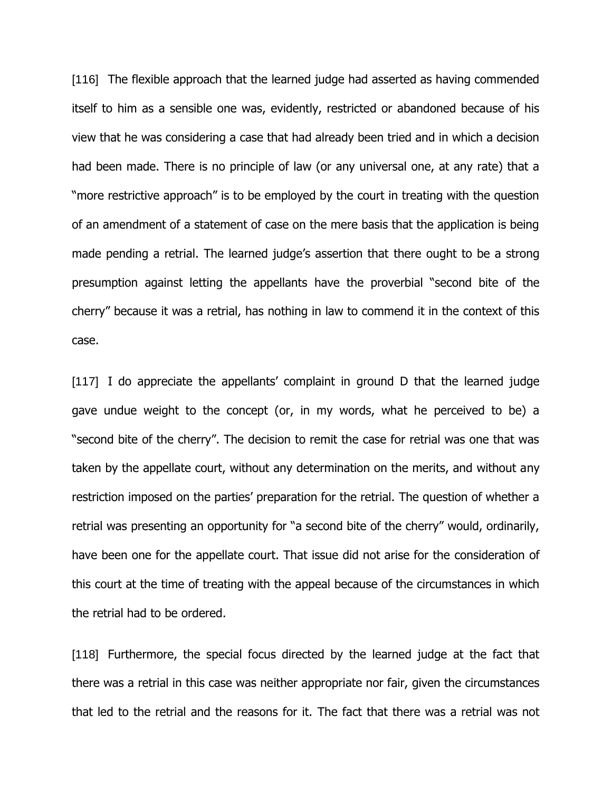[116] The flexible approach that the learned judge had asserted as having commended itself to him as a sensible one was, evidently, restricted or abandoned because of his view that he was considering a case that had already been tried and in which a decision had been made. There is no principle of law (or any universal one, at any rate) that a "more restrictive approach" is to be employed by the court in treating with the question of an amendment of a statement of case on the mere basis that the application is being made pending a retrial. The learned judge's assertion that there ought to be a strong presumption against letting the appellants have the proverbial "second bite of the cherry" because it was a retrial, has nothing in law to commend it in the context of this case.

[117] I do appreciate the appellants' complaint in ground D that the learned judge gave undue weight to the concept (or, in my words, what he perceived to be) a "second bite of the cherry". The decision to remit the case for retrial was one that was taken by the appellate court, without any determination on the merits, and without any restriction imposed on the parties' preparation for the retrial. The question of whether a retrial was presenting an opportunity for "a second bite of the cherry" would, ordinarily, have been one for the appellate court. That issue did not arise for the consideration of this court at the time of treating with the appeal because of the circumstances in which the retrial had to be ordered.

[118] Furthermore, the special focus directed by the learned judge at the fact that there was a retrial in this case was neither appropriate nor fair, given the circumstances that led to the retrial and the reasons for it. The fact that there was a retrial was not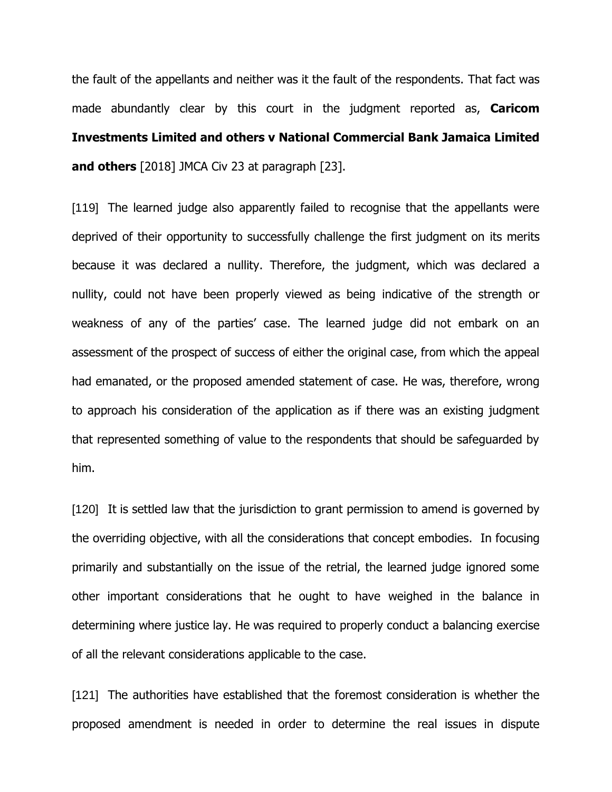the fault of the appellants and neither was it the fault of the respondents. That fact was made abundantly clear by this court in the judgment reported as, **Caricom Investments Limited and others v National Commercial Bank Jamaica Limited and others** [2018] JMCA Civ 23 at paragraph [23].

[119] The learned judge also apparently failed to recognise that the appellants were deprived of their opportunity to successfully challenge the first judgment on its merits because it was declared a nullity. Therefore, the judgment, which was declared a nullity, could not have been properly viewed as being indicative of the strength or weakness of any of the parties' case. The learned judge did not embark on an assessment of the prospect of success of either the original case, from which the appeal had emanated, or the proposed amended statement of case. He was, therefore, wrong to approach his consideration of the application as if there was an existing judgment that represented something of value to the respondents that should be safeguarded by him.

[120] It is settled law that the jurisdiction to grant permission to amend is governed by the overriding objective, with all the considerations that concept embodies. In focusing primarily and substantially on the issue of the retrial, the learned judge ignored some other important considerations that he ought to have weighed in the balance in determining where justice lay. He was required to properly conduct a balancing exercise of all the relevant considerations applicable to the case.

[121] The authorities have established that the foremost consideration is whether the proposed amendment is needed in order to determine the real issues in dispute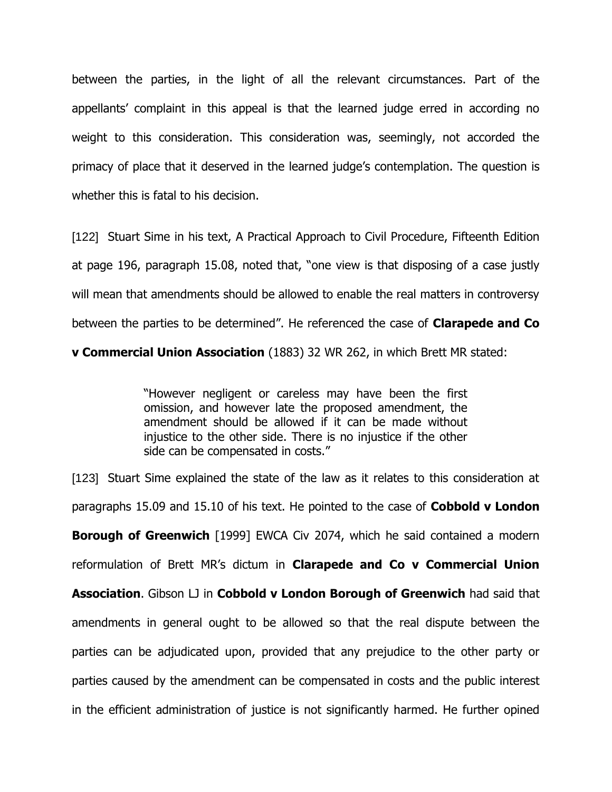between the parties, in the light of all the relevant circumstances. Part of the appellants' complaint in this appeal is that the learned judge erred in according no weight to this consideration. This consideration was, seemingly, not accorded the primacy of place that it deserved in the learned judge's contemplation. The question is whether this is fatal to his decision.

[122] Stuart Sime in his text, A Practical Approach to Civil Procedure, Fifteenth Edition at page 196, paragraph 15.08, noted that, "one view is that disposing of a case justly will mean that amendments should be allowed to enable the real matters in controversy between the parties to be determined". He referenced the case of **Clarapede and Co** 

**v Commercial Union Association** (1883) 32 WR 262, in which Brett MR stated:

"However negligent or careless may have been the first omission, and however late the proposed amendment, the amendment should be allowed if it can be made without injustice to the other side. There is no injustice if the other side can be compensated in costs."

[123] Stuart Sime explained the state of the law as it relates to this consideration at paragraphs 15.09 and 15.10 of his text. He pointed to the case of **Cobbold v London Borough of Greenwich** [1999] EWCA Civ 2074, which he said contained a modern reformulation of Brett MR's dictum in **Clarapede and Co v Commercial Union Association**. Gibson LJ in **Cobbold v London Borough of Greenwich** had said that amendments in general ought to be allowed so that the real dispute between the parties can be adjudicated upon, provided that any prejudice to the other party or parties caused by the amendment can be compensated in costs and the public interest in the efficient administration of justice is not significantly harmed. He further opined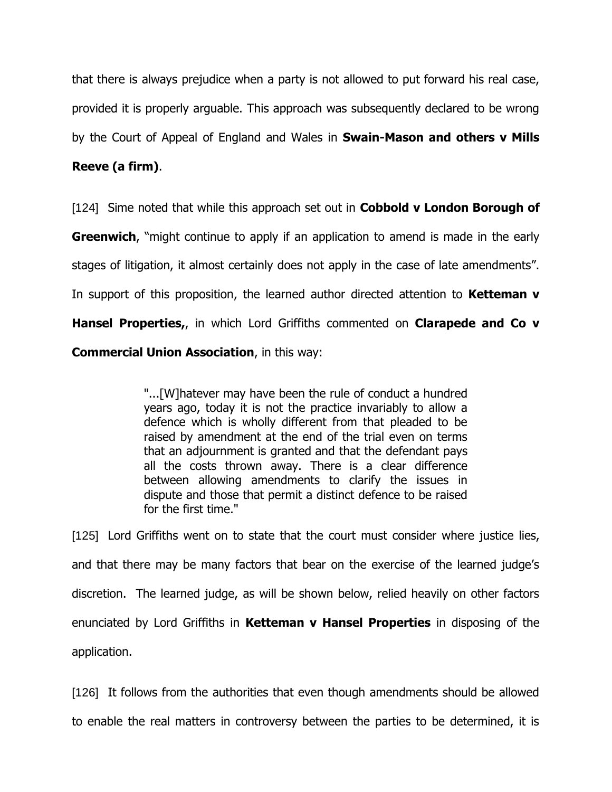that there is always prejudice when a party is not allowed to put forward his real case, provided it is properly arguable. This approach was subsequently declared to be wrong by the Court of Appeal of England and Wales in **Swain-Mason and others v Mills Reeve (a firm)**.

[124] Sime noted that while this approach set out in **Cobbold v London Borough of Greenwich**, "might continue to apply if an application to amend is made in the early stages of litigation, it almost certainly does not apply in the case of late amendments". In support of this proposition, the learned author directed attention to **Ketteman v Hansel Properties,**, in which Lord Griffiths commented on **Clarapede and Co v Commercial Union Association**, in this way:

> "...[W]hatever may have been the rule of conduct a hundred years ago, today it is not the practice invariably to allow a defence which is wholly different from that pleaded to be raised by amendment at the end of the trial even on terms that an adjournment is granted and that the defendant pays all the costs thrown away. There is a clear difference between allowing amendments to clarify the issues in dispute and those that permit a distinct defence to be raised for the first time."

[125] Lord Griffiths went on to state that the court must consider where justice lies, and that there may be many factors that bear on the exercise of the learned judge's discretion. The learned judge, as will be shown below, relied heavily on other factors enunciated by Lord Griffiths in **Ketteman v Hansel Properties** in disposing of the application.

[126] It follows from the authorities that even though amendments should be allowed to enable the real matters in controversy between the parties to be determined, it is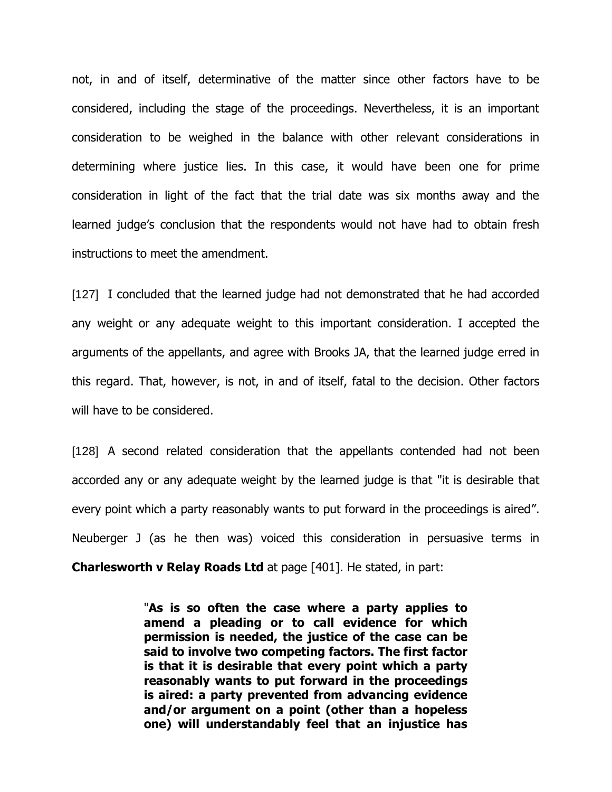not, in and of itself, determinative of the matter since other factors have to be considered, including the stage of the proceedings. Nevertheless, it is an important consideration to be weighed in the balance with other relevant considerations in determining where justice lies. In this case, it would have been one for prime consideration in light of the fact that the trial date was six months away and the learned judge's conclusion that the respondents would not have had to obtain fresh instructions to meet the amendment.

[127] I concluded that the learned judge had not demonstrated that he had accorded any weight or any adequate weight to this important consideration. I accepted the arguments of the appellants, and agree with Brooks JA, that the learned judge erred in this regard. That, however, is not, in and of itself, fatal to the decision. Other factors will have to be considered.

[128] A second related consideration that the appellants contended had not been accorded any or any adequate weight by the learned judge is that "it is desirable that every point which a party reasonably wants to put forward in the proceedings is aired". Neuberger J (as he then was) voiced this consideration in persuasive terms in **Charlesworth v Relay Roads Ltd** at page [401]. He stated, in part:

> "**As is so often the case where a party applies to amend a pleading or to call evidence for which permission is needed, the justice of the case can be said to involve two competing factors. The first factor is that it is desirable that every point which a party reasonably wants to put forward in the proceedings is aired: a party prevented from advancing evidence and/or argument on a point (other than a hopeless one) will understandably feel that an injustice has**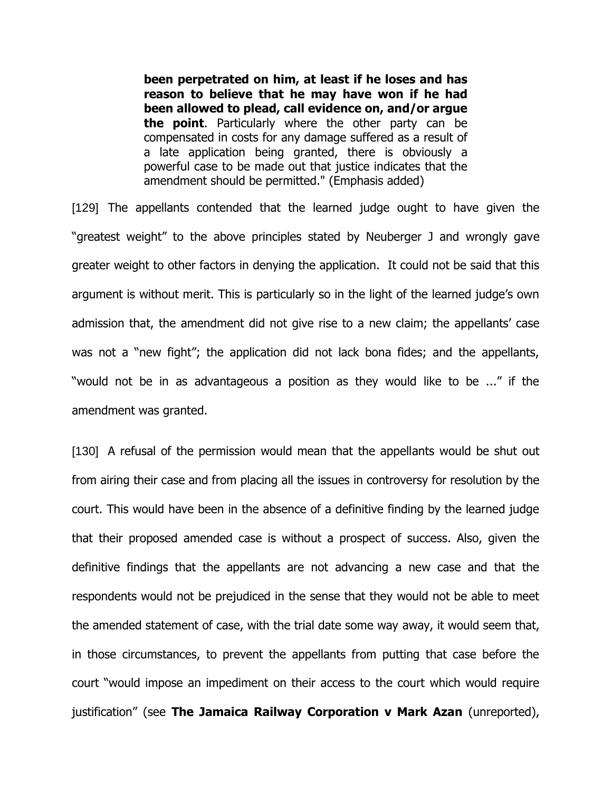**been perpetrated on him, at least if he loses and has reason to believe that he may have won if he had been allowed to plead, call evidence on, and/or argue the point**. Particularly where the other party can be compensated in costs for any damage suffered as a result of a late application being granted, there is obviously a powerful case to be made out that justice indicates that the amendment should be permitted." (Emphasis added)

[129] The appellants contended that the learned judge ought to have given the "greatest weight" to the above principles stated by Neuberger J and wrongly gave greater weight to other factors in denying the application. It could not be said that this argument is without merit. This is particularly so in the light of the learned judge's own admission that, the amendment did not give rise to a new claim; the appellants' case was not a "new fight"; the application did not lack bona fides; and the appellants, "would not be in as advantageous a position as they would like to be ..." if the amendment was granted.

[130] A refusal of the permission would mean that the appellants would be shut out from airing their case and from placing all the issues in controversy for resolution by the court. This would have been in the absence of a definitive finding by the learned judge that their proposed amended case is without a prospect of success. Also, given the definitive findings that the appellants are not advancing a new case and that the respondents would not be prejudiced in the sense that they would not be able to meet the amended statement of case, with the trial date some way away, it would seem that, in those circumstances, to prevent the appellants from putting that case before the court "would impose an impediment on their access to the court which would require justification" (see **The Jamaica Railway Corporation v Mark Azan** (unreported),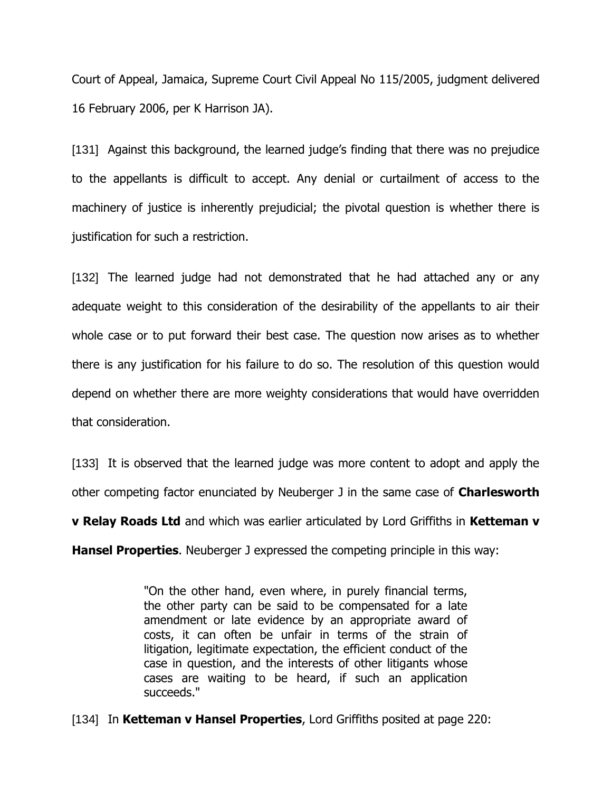Court of Appeal, Jamaica, Supreme Court Civil Appeal No 115/2005, judgment delivered 16 February 2006, per K Harrison JA).

[131] Against this background, the learned judge's finding that there was no prejudice to the appellants is difficult to accept. Any denial or curtailment of access to the machinery of justice is inherently prejudicial; the pivotal question is whether there is justification for such a restriction.

[132] The learned judge had not demonstrated that he had attached any or any adequate weight to this consideration of the desirability of the appellants to air their whole case or to put forward their best case. The question now arises as to whether there is any justification for his failure to do so. The resolution of this question would depend on whether there are more weighty considerations that would have overridden that consideration.

[133] It is observed that the learned judge was more content to adopt and apply the other competing factor enunciated by Neuberger J in the same case of **Charlesworth v Relay Roads Ltd** and which was earlier articulated by Lord Griffiths in **Ketteman v Hansel Properties**. Neuberger J expressed the competing principle in this way:

> "On the other hand, even where, in purely financial terms, the other party can be said to be compensated for a late amendment or late evidence by an appropriate award of costs, it can often be unfair in terms of the strain of litigation, legitimate expectation, the efficient conduct of the case in question, and the interests of other litigants whose cases are waiting to be heard, if such an application succeeds."

[134] In **Ketteman v Hansel Properties**, Lord Griffiths posited at page 220: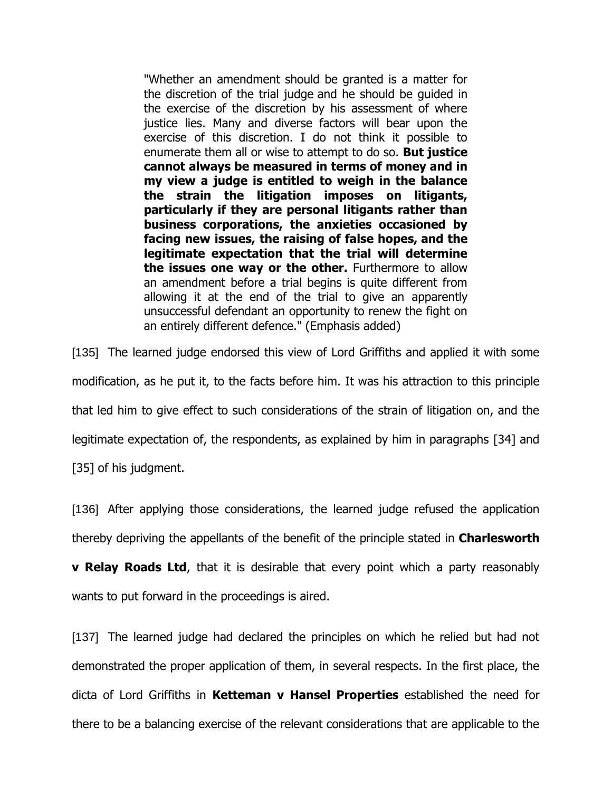"Whether an amendment should be granted is a matter for the discretion of the trial judge and he should be guided in the exercise of the discretion by his assessment of where justice lies. Many and diverse factors will bear upon the exercise of this discretion. I do not think it possible to enumerate them all or wise to attempt to do so. **But justice cannot always be measured in terms of money and in my view a judge is entitled to weigh in the balance the strain the litigation imposes on litigants, particularly if they are personal litigants rather than business corporations, the anxieties occasioned by facing new issues, the raising of false hopes, and the legitimate expectation that the trial will determine the issues one way or the other.** Furthermore to allow an amendment before a trial begins is quite different from allowing it at the end of the trial to give an apparently unsuccessful defendant an opportunity to renew the fight on an entirely different defence." (Emphasis added)

[135] The learned judge endorsed this view of Lord Griffiths and applied it with some modification, as he put it, to the facts before him. It was his attraction to this principle that led him to give effect to such considerations of the strain of litigation on, and the legitimate expectation of, the respondents, as explained by him in paragraphs [34] and

[35] of his judgment.

[136] After applying those considerations, the learned judge refused the application thereby depriving the appellants of the benefit of the principle stated in **Charlesworth** 

**v Relay Roads Ltd**, that it is desirable that every point which a party reasonably wants to put forward in the proceedings is aired.

[137] The learned judge had declared the principles on which he relied but had not demonstrated the proper application of them, in several respects. In the first place, the dicta of Lord Griffiths in **Ketteman v Hansel Properties** established the need for there to be a balancing exercise of the relevant considerations that are applicable to the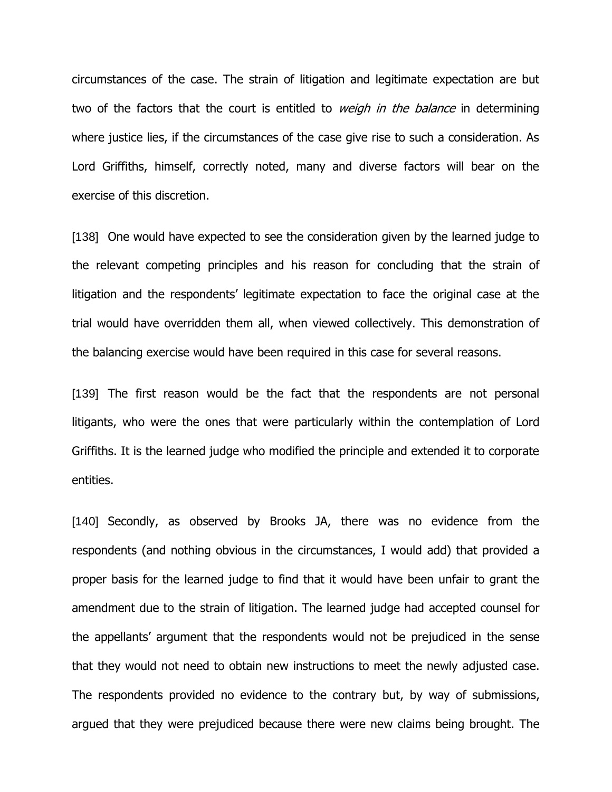circumstances of the case. The strain of litigation and legitimate expectation are but two of the factors that the court is entitled to *weigh in the balance* in determining where justice lies, if the circumstances of the case give rise to such a consideration. As Lord Griffiths, himself, correctly noted, many and diverse factors will bear on the exercise of this discretion.

[138] One would have expected to see the consideration given by the learned judge to the relevant competing principles and his reason for concluding that the strain of litigation and the respondents' legitimate expectation to face the original case at the trial would have overridden them all, when viewed collectively. This demonstration of the balancing exercise would have been required in this case for several reasons.

[139] The first reason would be the fact that the respondents are not personal litigants, who were the ones that were particularly within the contemplation of Lord Griffiths. It is the learned judge who modified the principle and extended it to corporate entities.

[140] Secondly, as observed by Brooks JA, there was no evidence from the respondents (and nothing obvious in the circumstances, I would add) that provided a proper basis for the learned judge to find that it would have been unfair to grant the amendment due to the strain of litigation. The learned judge had accepted counsel for the appellants' argument that the respondents would not be prejudiced in the sense that they would not need to obtain new instructions to meet the newly adjusted case. The respondents provided no evidence to the contrary but, by way of submissions, argued that they were prejudiced because there were new claims being brought. The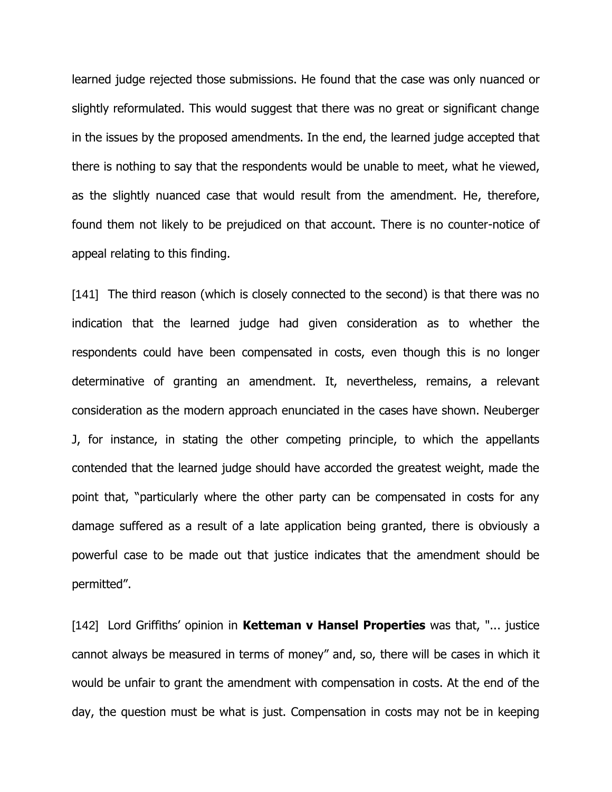learned judge rejected those submissions. He found that the case was only nuanced or slightly reformulated. This would suggest that there was no great or significant change in the issues by the proposed amendments. In the end, the learned judge accepted that there is nothing to say that the respondents would be unable to meet, what he viewed, as the slightly nuanced case that would result from the amendment. He, therefore, found them not likely to be prejudiced on that account. There is no counter-notice of appeal relating to this finding.

[141] The third reason (which is closely connected to the second) is that there was no indication that the learned judge had given consideration as to whether the respondents could have been compensated in costs, even though this is no longer determinative of granting an amendment. It, nevertheless, remains, a relevant consideration as the modern approach enunciated in the cases have shown. Neuberger J, for instance, in stating the other competing principle, to which the appellants contended that the learned judge should have accorded the greatest weight, made the point that, "particularly where the other party can be compensated in costs for any damage suffered as a result of a late application being granted, there is obviously a powerful case to be made out that justice indicates that the amendment should be permitted".

[142] Lord Griffiths' opinion in **Ketteman v Hansel Properties** was that, "... justice cannot always be measured in terms of money" and, so, there will be cases in which it would be unfair to grant the amendment with compensation in costs. At the end of the day, the question must be what is just. Compensation in costs may not be in keeping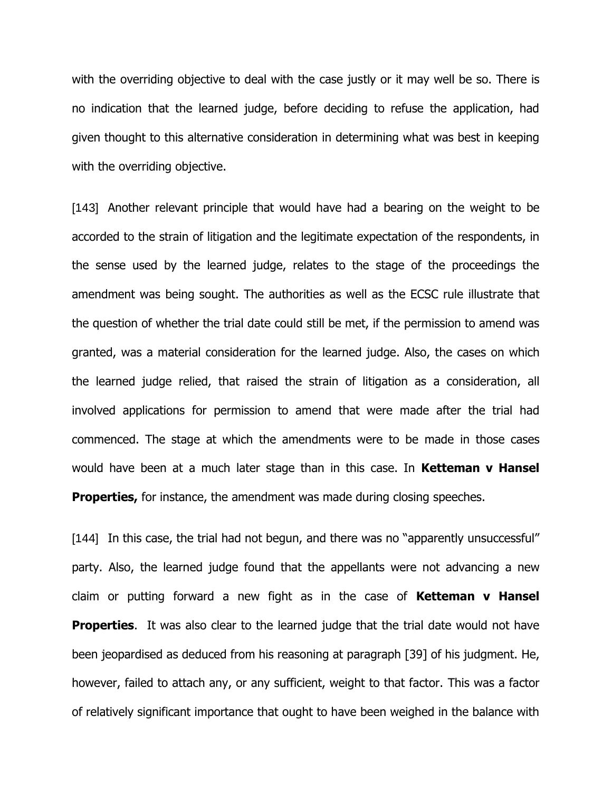with the overriding objective to deal with the case justly or it may well be so. There is no indication that the learned judge, before deciding to refuse the application, had given thought to this alternative consideration in determining what was best in keeping with the overriding objective.

[143] Another relevant principle that would have had a bearing on the weight to be accorded to the strain of litigation and the legitimate expectation of the respondents, in the sense used by the learned judge, relates to the stage of the proceedings the amendment was being sought. The authorities as well as the ECSC rule illustrate that the question of whether the trial date could still be met, if the permission to amend was granted, was a material consideration for the learned judge. Also, the cases on which the learned judge relied, that raised the strain of litigation as a consideration, all involved applications for permission to amend that were made after the trial had commenced. The stage at which the amendments were to be made in those cases would have been at a much later stage than in this case. In **Ketteman v Hansel Properties,** for instance, the amendment was made during closing speeches.

[144] In this case, the trial had not begun, and there was no "apparently unsuccessful" party. Also, the learned judge found that the appellants were not advancing a new claim or putting forward a new fight as in the case of **Ketteman v Hansel Properties.** It was also clear to the learned judge that the trial date would not have been jeopardised as deduced from his reasoning at paragraph [39] of his judgment. He, however, failed to attach any, or any sufficient, weight to that factor. This was a factor of relatively significant importance that ought to have been weighed in the balance with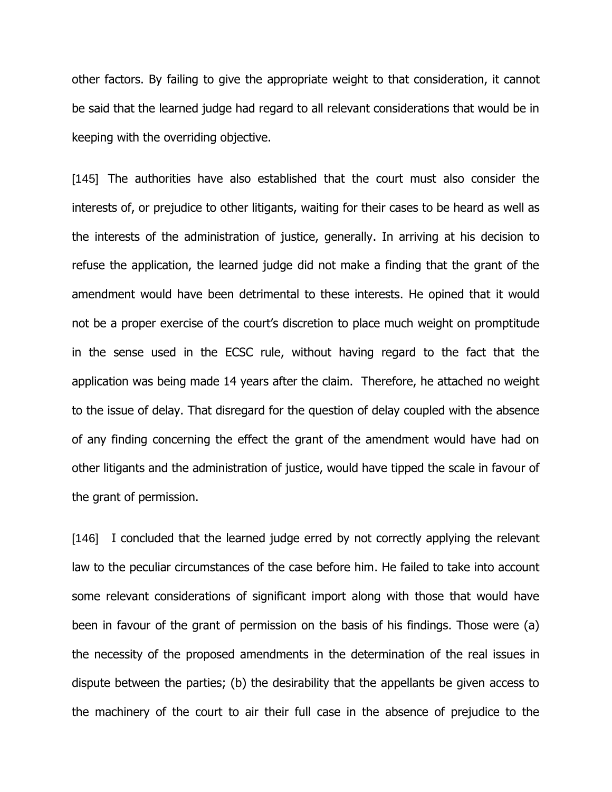other factors. By failing to give the appropriate weight to that consideration, it cannot be said that the learned judge had regard to all relevant considerations that would be in keeping with the overriding objective.

[145] The authorities have also established that the court must also consider the interests of, or prejudice to other litigants, waiting for their cases to be heard as well as the interests of the administration of justice, generally. In arriving at his decision to refuse the application, the learned judge did not make a finding that the grant of the amendment would have been detrimental to these interests. He opined that it would not be a proper exercise of the court's discretion to place much weight on promptitude in the sense used in the ECSC rule, without having regard to the fact that the application was being made 14 years after the claim. Therefore, he attached no weight to the issue of delay. That disregard for the question of delay coupled with the absence of any finding concerning the effect the grant of the amendment would have had on other litigants and the administration of justice, would have tipped the scale in favour of the grant of permission.

[146] I concluded that the learned judge erred by not correctly applying the relevant law to the peculiar circumstances of the case before him. He failed to take into account some relevant considerations of significant import along with those that would have been in favour of the grant of permission on the basis of his findings. Those were (a) the necessity of the proposed amendments in the determination of the real issues in dispute between the parties; (b) the desirability that the appellants be given access to the machinery of the court to air their full case in the absence of prejudice to the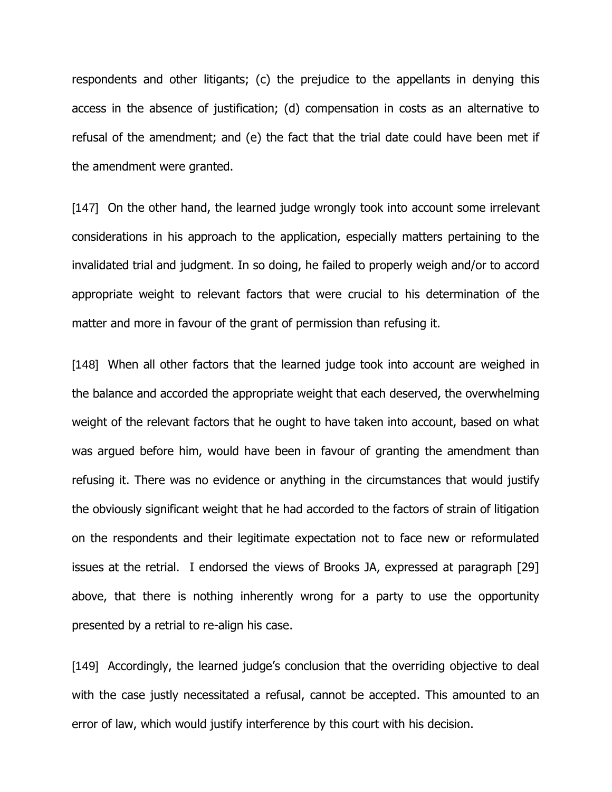respondents and other litigants; (c) the prejudice to the appellants in denying this access in the absence of justification; (d) compensation in costs as an alternative to refusal of the amendment; and (e) the fact that the trial date could have been met if the amendment were granted.

[147] On the other hand, the learned judge wrongly took into account some irrelevant considerations in his approach to the application, especially matters pertaining to the invalidated trial and judgment. In so doing, he failed to properly weigh and/or to accord appropriate weight to relevant factors that were crucial to his determination of the matter and more in favour of the grant of permission than refusing it.

[148] When all other factors that the learned judge took into account are weighed in the balance and accorded the appropriate weight that each deserved, the overwhelming weight of the relevant factors that he ought to have taken into account, based on what was argued before him, would have been in favour of granting the amendment than refusing it. There was no evidence or anything in the circumstances that would justify the obviously significant weight that he had accorded to the factors of strain of litigation on the respondents and their legitimate expectation not to face new or reformulated issues at the retrial. I endorsed the views of Brooks JA, expressed at paragraph [29] above, that there is nothing inherently wrong for a party to use the opportunity presented by a retrial to re-align his case.

[149] Accordingly, the learned judge's conclusion that the overriding objective to deal with the case justly necessitated a refusal, cannot be accepted. This amounted to an error of law, which would justify interference by this court with his decision.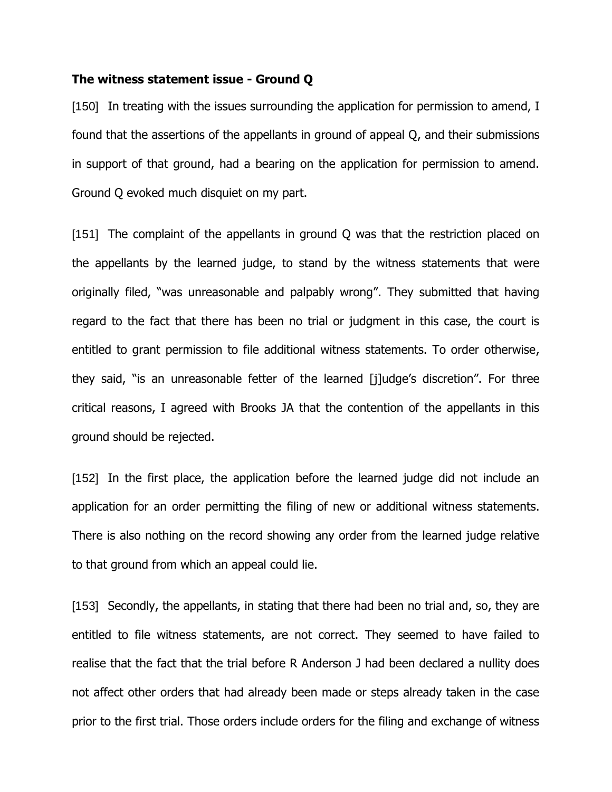#### **The witness statement issue - Ground Q**

[150] In treating with the issues surrounding the application for permission to amend, I found that the assertions of the appellants in ground of appeal Q, and their submissions in support of that ground, had a bearing on the application for permission to amend. Ground Q evoked much disquiet on my part.

[151] The complaint of the appellants in ground Q was that the restriction placed on the appellants by the learned judge, to stand by the witness statements that were originally filed, "was unreasonable and palpably wrong". They submitted that having regard to the fact that there has been no trial or judgment in this case, the court is entitled to grant permission to file additional witness statements. To order otherwise, they said, "is an unreasonable fetter of the learned [j]udge's discretion". For three critical reasons, I agreed with Brooks JA that the contention of the appellants in this ground should be rejected.

[152] In the first place, the application before the learned judge did not include an application for an order permitting the filing of new or additional witness statements. There is also nothing on the record showing any order from the learned judge relative to that ground from which an appeal could lie.

[153] Secondly, the appellants, in stating that there had been no trial and, so, they are entitled to file witness statements, are not correct. They seemed to have failed to realise that the fact that the trial before R Anderson J had been declared a nullity does not affect other orders that had already been made or steps already taken in the case prior to the first trial. Those orders include orders for the filing and exchange of witness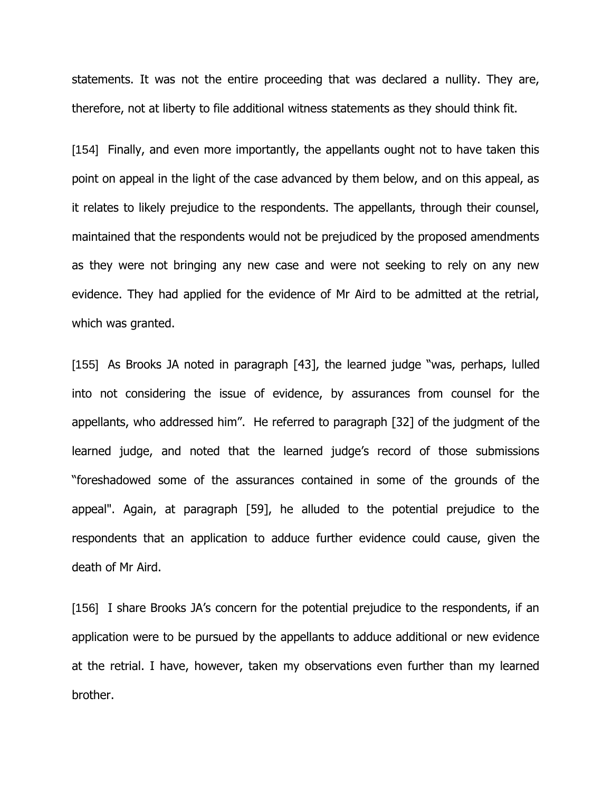statements. It was not the entire proceeding that was declared a nullity. They are, therefore, not at liberty to file additional witness statements as they should think fit.

[154] Finally, and even more importantly, the appellants ought not to have taken this point on appeal in the light of the case advanced by them below, and on this appeal, as it relates to likely prejudice to the respondents. The appellants, through their counsel, maintained that the respondents would not be prejudiced by the proposed amendments as they were not bringing any new case and were not seeking to rely on any new evidence. They had applied for the evidence of Mr Aird to be admitted at the retrial, which was granted.

[155] As Brooks JA noted in paragraph [43], the learned judge "was, perhaps, lulled into not considering the issue of evidence, by assurances from counsel for the appellants, who addressed him". He referred to paragraph [32] of the judgment of the learned judge, and noted that the learned judge's record of those submissions "foreshadowed some of the assurances contained in some of the grounds of the appeal". Again, at paragraph [59], he alluded to the potential prejudice to the respondents that an application to adduce further evidence could cause, given the death of Mr Aird.

[156] I share Brooks JA's concern for the potential prejudice to the respondents, if an application were to be pursued by the appellants to adduce additional or new evidence at the retrial. I have, however, taken my observations even further than my learned brother.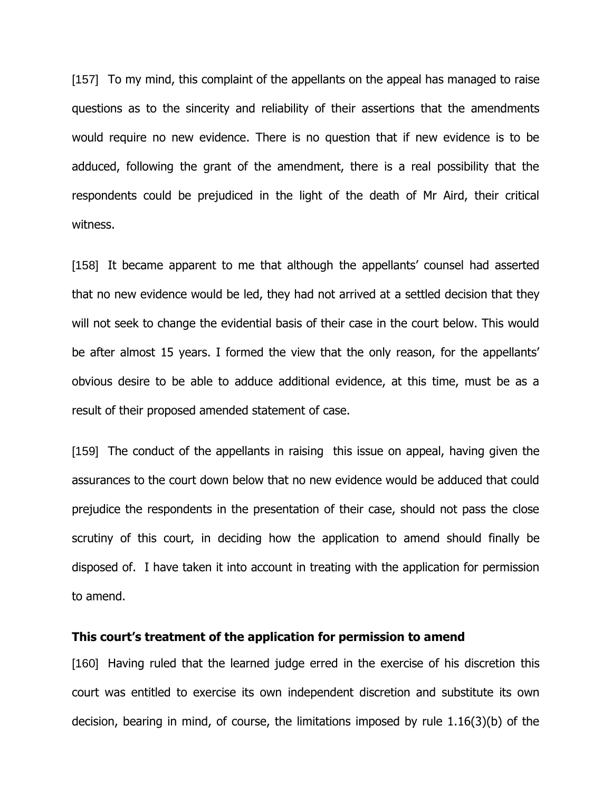[157] To my mind, this complaint of the appellants on the appeal has managed to raise questions as to the sincerity and reliability of their assertions that the amendments would require no new evidence. There is no question that if new evidence is to be adduced, following the grant of the amendment, there is a real possibility that the respondents could be prejudiced in the light of the death of Mr Aird, their critical witness.

[158] It became apparent to me that although the appellants' counsel had asserted that no new evidence would be led, they had not arrived at a settled decision that they will not seek to change the evidential basis of their case in the court below. This would be after almost 15 years. I formed the view that the only reason, for the appellants' obvious desire to be able to adduce additional evidence, at this time, must be as a result of their proposed amended statement of case.

[159] The conduct of the appellants in raising this issue on appeal, having given the assurances to the court down below that no new evidence would be adduced that could prejudice the respondents in the presentation of their case, should not pass the close scrutiny of this court, in deciding how the application to amend should finally be disposed of. I have taken it into account in treating with the application for permission to amend.

## **This court's treatment of the application for permission to amend**

[160] Having ruled that the learned judge erred in the exercise of his discretion this court was entitled to exercise its own independent discretion and substitute its own decision, bearing in mind, of course, the limitations imposed by rule 1.16(3)(b) of the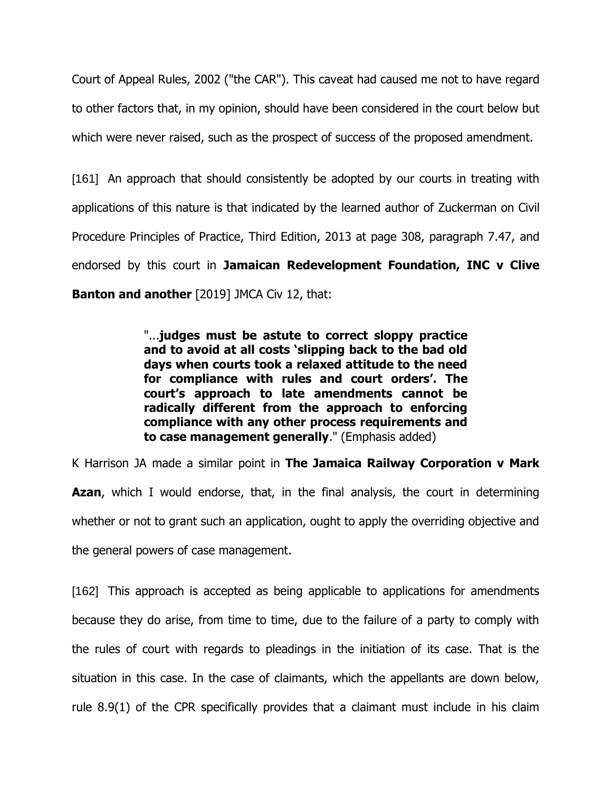Court of Appeal Rules, 2002 ("the CAR"). This caveat had caused me not to have regard to other factors that, in my opinion, should have been considered in the court below but which were never raised, such as the prospect of success of the proposed amendment.

[161] An approach that should consistently be adopted by our courts in treating with applications of this nature is that indicated by the learned author of Zuckerman on Civil Procedure Principles of Practice, Third Edition, 2013 at page 308, paragraph 7.47, and endorsed by this court in **Jamaican Redevelopment Foundation, INC v Clive Banton and another** [2019] JMCA Civ 12, that:

> "...**judges must be astute to correct sloppy practice and to avoid at all costs 'slipping back to the bad old days when courts took a relaxed attitude to the need for compliance with rules and court orders'. The court's approach to late amendments cannot be radically different from the approach to enforcing compliance with any other process requirements and to case management generally**." (Emphasis added)

K Harrison JA made a similar point in **The Jamaica Railway Corporation v Mark Azan**, which I would endorse, that, in the final analysis, the court in determining whether or not to grant such an application, ought to apply the overriding objective and the general powers of case management.

[162] This approach is accepted as being applicable to applications for amendments because they do arise, from time to time, due to the failure of a party to comply with the rules of court with regards to pleadings in the initiation of its case. That is the situation in this case. In the case of claimants, which the appellants are down below, rule 8.9(1) of the CPR specifically provides that a claimant must include in his claim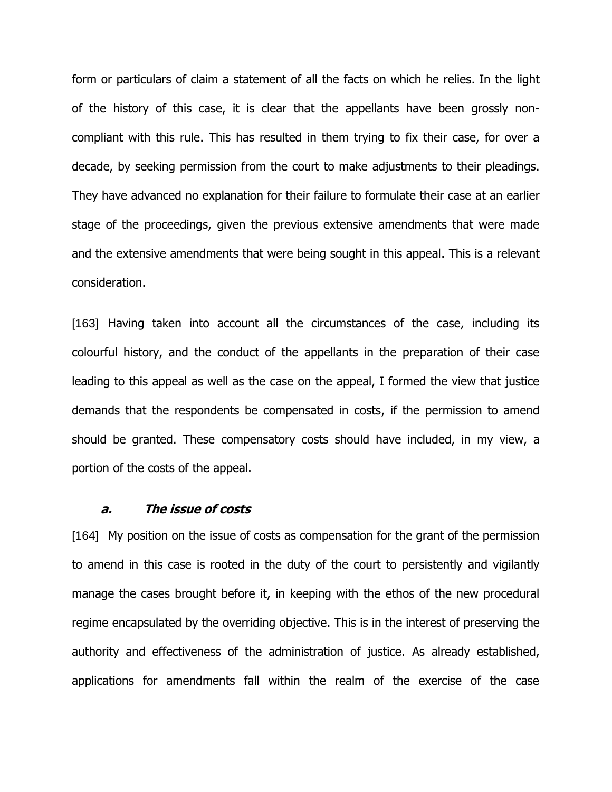form or particulars of claim a statement of all the facts on which he relies. In the light of the history of this case, it is clear that the appellants have been grossly noncompliant with this rule. This has resulted in them trying to fix their case, for over a decade, by seeking permission from the court to make adjustments to their pleadings. They have advanced no explanation for their failure to formulate their case at an earlier stage of the proceedings, given the previous extensive amendments that were made and the extensive amendments that were being sought in this appeal. This is a relevant consideration.

[163] Having taken into account all the circumstances of the case, including its colourful history, and the conduct of the appellants in the preparation of their case leading to this appeal as well as the case on the appeal, I formed the view that justice demands that the respondents be compensated in costs, if the permission to amend should be granted. These compensatory costs should have included, in my view, a portion of the costs of the appeal.

## **a. The issue of costs**

[164] My position on the issue of costs as compensation for the grant of the permission to amend in this case is rooted in the duty of the court to persistently and vigilantly manage the cases brought before it, in keeping with the ethos of the new procedural regime encapsulated by the overriding objective. This is in the interest of preserving the authority and effectiveness of the administration of justice. As already established, applications for amendments fall within the realm of the exercise of the case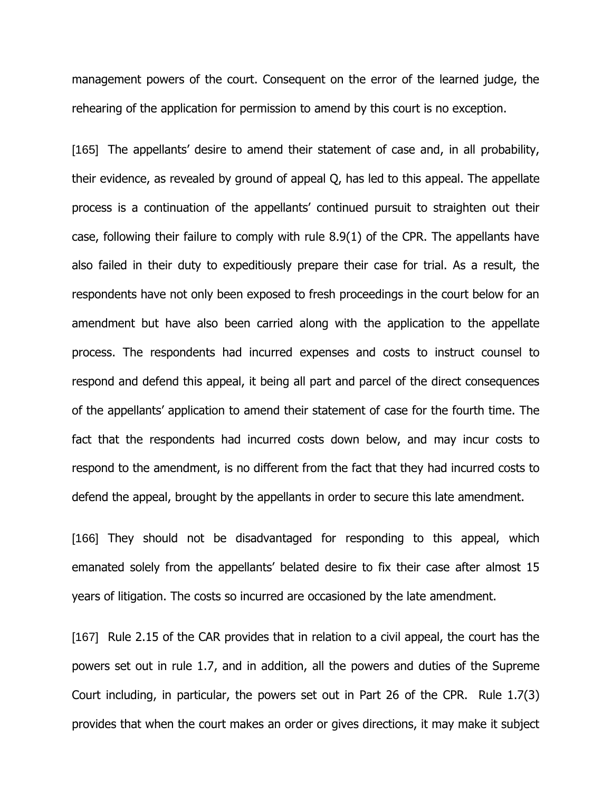management powers of the court. Consequent on the error of the learned judge, the rehearing of the application for permission to amend by this court is no exception.

[165] The appellants' desire to amend their statement of case and, in all probability, their evidence, as revealed by ground of appeal Q, has led to this appeal. The appellate process is a continuation of the appellants' continued pursuit to straighten out their case, following their failure to comply with rule 8.9(1) of the CPR. The appellants have also failed in their duty to expeditiously prepare their case for trial. As a result, the respondents have not only been exposed to fresh proceedings in the court below for an amendment but have also been carried along with the application to the appellate process. The respondents had incurred expenses and costs to instruct counsel to respond and defend this appeal, it being all part and parcel of the direct consequences of the appellants' application to amend their statement of case for the fourth time. The fact that the respondents had incurred costs down below, and may incur costs to respond to the amendment, is no different from the fact that they had incurred costs to defend the appeal, brought by the appellants in order to secure this late amendment.

[166] They should not be disadvantaged for responding to this appeal, which emanated solely from the appellants' belated desire to fix their case after almost 15 years of litigation. The costs so incurred are occasioned by the late amendment.

[167] Rule 2.15 of the CAR provides that in relation to a civil appeal, the court has the powers set out in rule 1.7, and in addition, all the powers and duties of the Supreme Court including, in particular, the powers set out in Part 26 of the CPR. Rule 1.7(3) provides that when the court makes an order or gives directions, it may make it subject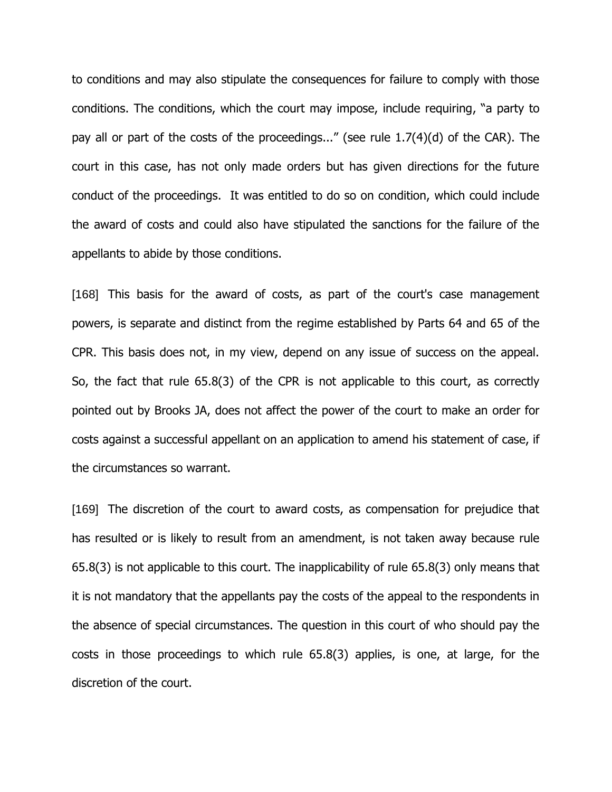to conditions and may also stipulate the consequences for failure to comply with those conditions. The conditions, which the court may impose, include requiring, "a party to pay all or part of the costs of the proceedings..." (see rule 1.7(4)(d) of the CAR). The court in this case, has not only made orders but has given directions for the future conduct of the proceedings. It was entitled to do so on condition, which could include the award of costs and could also have stipulated the sanctions for the failure of the appellants to abide by those conditions.

[168] This basis for the award of costs, as part of the court's case management powers, is separate and distinct from the regime established by Parts 64 and 65 of the CPR. This basis does not, in my view, depend on any issue of success on the appeal. So, the fact that rule 65.8(3) of the CPR is not applicable to this court, as correctly pointed out by Brooks JA, does not affect the power of the court to make an order for costs against a successful appellant on an application to amend his statement of case, if the circumstances so warrant.

[169] The discretion of the court to award costs, as compensation for prejudice that has resulted or is likely to result from an amendment, is not taken away because rule 65.8(3) is not applicable to this court. The inapplicability of rule 65.8(3) only means that it is not mandatory that the appellants pay the costs of the appeal to the respondents in the absence of special circumstances. The question in this court of who should pay the costs in those proceedings to which rule 65.8(3) applies, is one, at large, for the discretion of the court.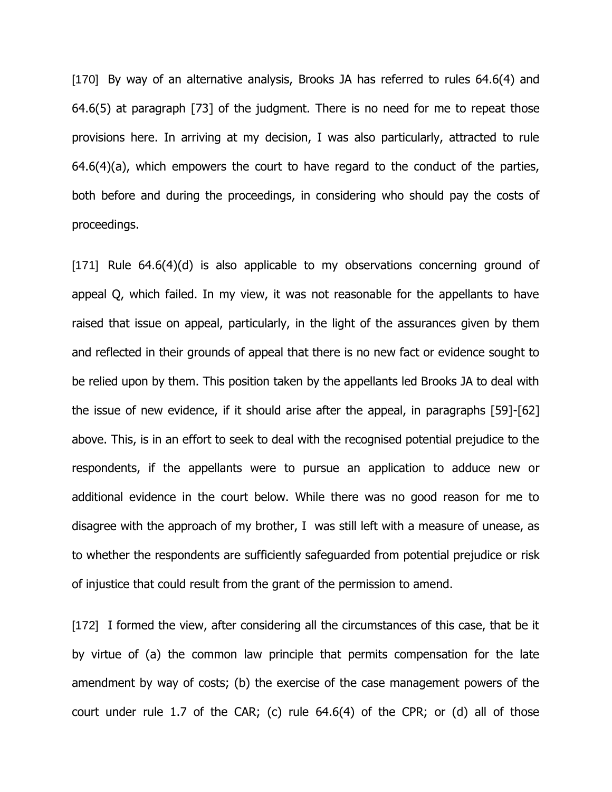[170] By way of an alternative analysis, Brooks JA has referred to rules 64.6(4) and 64.6(5) at paragraph [73] of the judgment. There is no need for me to repeat those provisions here. In arriving at my decision, I was also particularly, attracted to rule  $64.6(4)(a)$ , which empowers the court to have regard to the conduct of the parties, both before and during the proceedings, in considering who should pay the costs of proceedings.

[171] Rule 64.6(4)(d) is also applicable to my observations concerning ground of appeal Q, which failed. In my view, it was not reasonable for the appellants to have raised that issue on appeal, particularly, in the light of the assurances given by them and reflected in their grounds of appeal that there is no new fact or evidence sought to be relied upon by them. This position taken by the appellants led Brooks JA to deal with the issue of new evidence, if it should arise after the appeal, in paragraphs [59]-[62] above. This, is in an effort to seek to deal with the recognised potential prejudice to the respondents, if the appellants were to pursue an application to adduce new or additional evidence in the court below. While there was no good reason for me to disagree with the approach of my brother, I was still left with a measure of unease, as to whether the respondents are sufficiently safeguarded from potential prejudice or risk of injustice that could result from the grant of the permission to amend.

[172] I formed the view, after considering all the circumstances of this case, that be it by virtue of (a) the common law principle that permits compensation for the late amendment by way of costs; (b) the exercise of the case management powers of the court under rule 1.7 of the CAR; (c) rule 64.6(4) of the CPR; or (d) all of those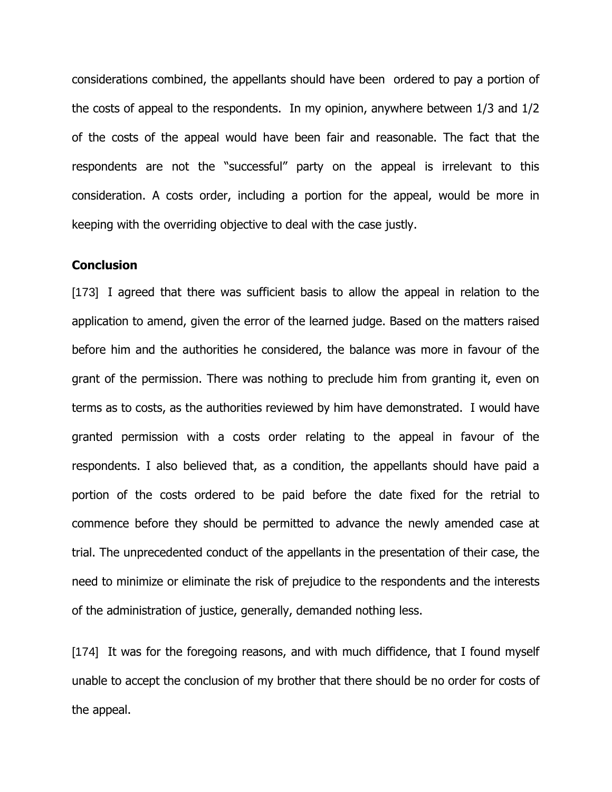considerations combined, the appellants should have been ordered to pay a portion of the costs of appeal to the respondents. In my opinion, anywhere between 1/3 and 1/2 of the costs of the appeal would have been fair and reasonable. The fact that the respondents are not the "successful" party on the appeal is irrelevant to this consideration. A costs order, including a portion for the appeal, would be more in keeping with the overriding objective to deal with the case justly.

## **Conclusion**

[173] I agreed that there was sufficient basis to allow the appeal in relation to the application to amend, given the error of the learned judge. Based on the matters raised before him and the authorities he considered, the balance was more in favour of the grant of the permission. There was nothing to preclude him from granting it, even on terms as to costs, as the authorities reviewed by him have demonstrated. I would have granted permission with a costs order relating to the appeal in favour of the respondents. I also believed that, as a condition, the appellants should have paid a portion of the costs ordered to be paid before the date fixed for the retrial to commence before they should be permitted to advance the newly amended case at trial. The unprecedented conduct of the appellants in the presentation of their case, the need to minimize or eliminate the risk of prejudice to the respondents and the interests of the administration of justice, generally, demanded nothing less.

[174] It was for the foregoing reasons, and with much diffidence, that I found myself unable to accept the conclusion of my brother that there should be no order for costs of the appeal.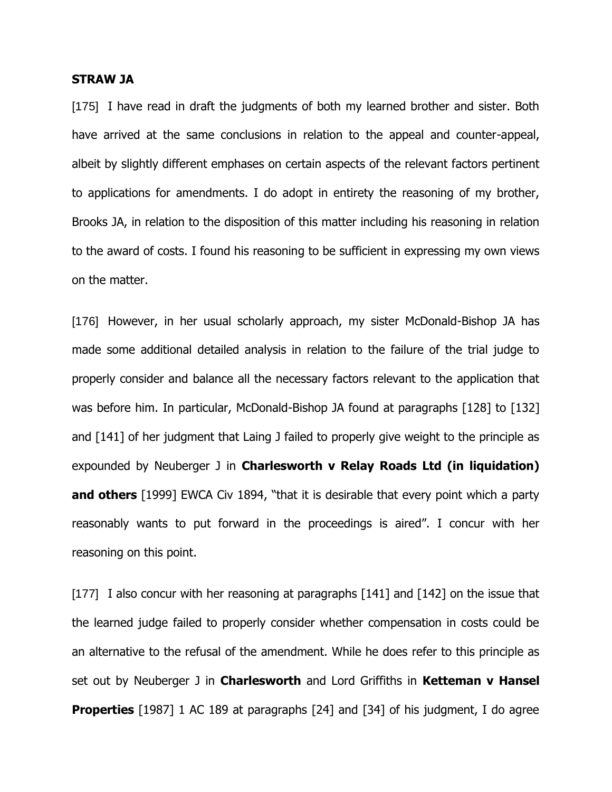#### **STRAW JA**

[175] I have read in draft the judgments of both my learned brother and sister. Both have arrived at the same conclusions in relation to the appeal and counter-appeal, albeit by slightly different emphases on certain aspects of the relevant factors pertinent to applications for amendments. I do adopt in entirety the reasoning of my brother, Brooks JA, in relation to the disposition of this matter including his reasoning in relation to the award of costs. I found his reasoning to be sufficient in expressing my own views on the matter.

[176] However, in her usual scholarly approach, my sister McDonald-Bishop JA has made some additional detailed analysis in relation to the failure of the trial judge to properly consider and balance all the necessary factors relevant to the application that was before him. In particular, McDonald-Bishop JA found at paragraphs [128] to [132] and [141] of her judgment that Laing J failed to properly give weight to the principle as expounded by Neuberger J in **Charlesworth v Relay Roads Ltd (in liquidation) and others** [1999] EWCA Civ 1894, "that it is desirable that every point which a party reasonably wants to put forward in the proceedings is aired". I concur with her reasoning on this point.

[177] I also concur with her reasoning at paragraphs  $[141]$  and  $[142]$  on the issue that the learned judge failed to properly consider whether compensation in costs could be an alternative to the refusal of the amendment. While he does refer to this principle as set out by Neuberger J in **Charlesworth** and Lord Griffiths in **Ketteman v Hansel Properties** [1987] 1 AC 189 at paragraphs [24] and [34] of his judgment, I do agree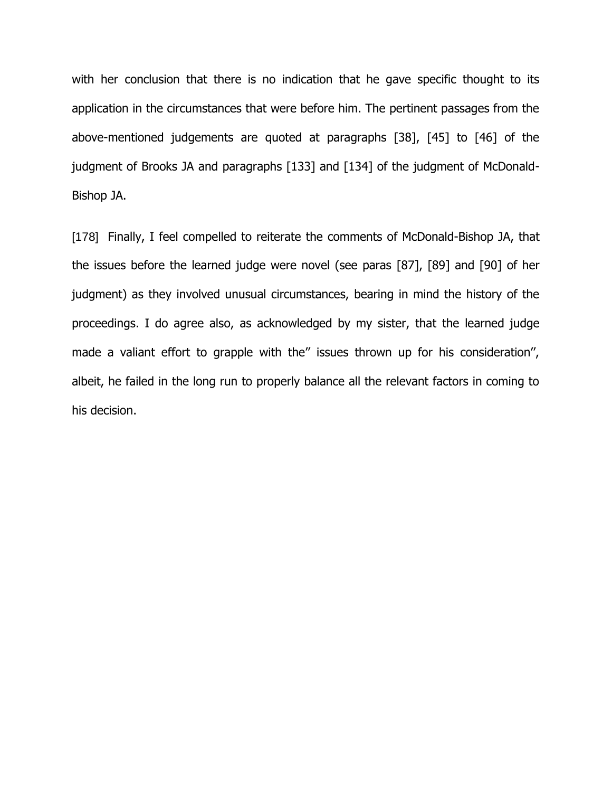with her conclusion that there is no indication that he gave specific thought to its application in the circumstances that were before him. The pertinent passages from the above-mentioned judgements are quoted at paragraphs [38], [45] to [46] of the judgment of Brooks JA and paragraphs [133] and [134] of the judgment of McDonald-Bishop JA.

[178] Finally, I feel compelled to reiterate the comments of McDonald-Bishop JA, that the issues before the learned judge were novel (see paras [87], [89] and [90] of her judgment) as they involved unusual circumstances, bearing in mind the history of the proceedings. I do agree also, as acknowledged by my sister, that the learned judge made a valiant effort to grapple with the" issues thrown up for his consideration", albeit, he failed in the long run to properly balance all the relevant factors in coming to his decision.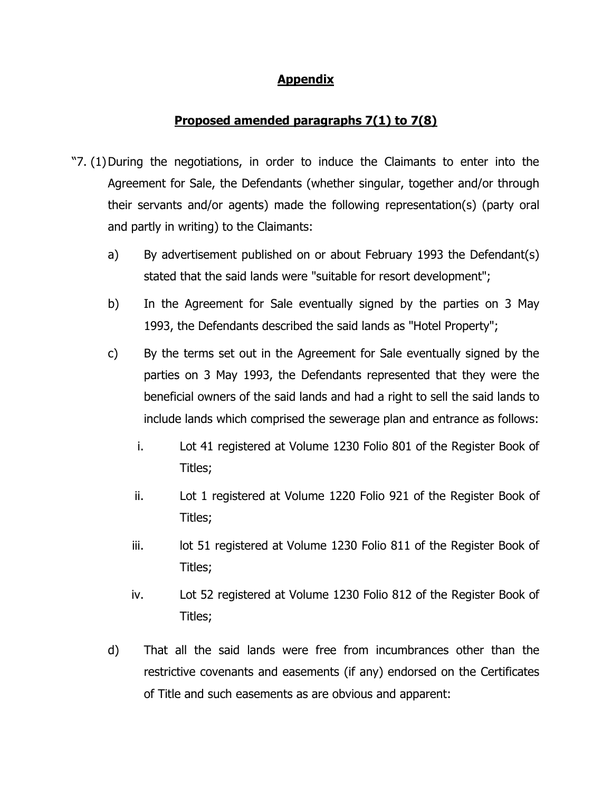## **Appendix**

# **Proposed amended paragraphs 7(1) to 7(8)**

- "7. (1)During the negotiations, in order to induce the Claimants to enter into the Agreement for Sale, the Defendants (whether singular, together and/or through their servants and/or agents) made the following representation(s) (party oral and partly in writing) to the Claimants:
	- a) By advertisement published on or about February 1993 the Defendant(s) stated that the said lands were "suitable for resort development";
	- b) In the Agreement for Sale eventually signed by the parties on 3 May 1993, the Defendants described the said lands as "Hotel Property";
	- c) By the terms set out in the Agreement for Sale eventually signed by the parties on 3 May 1993, the Defendants represented that they were the beneficial owners of the said lands and had a right to sell the said lands to include lands which comprised the sewerage plan and entrance as follows:
		- i. Lot 41 registered at Volume 1230 Folio 801 of the Register Book of Titles;
		- ii. Lot 1 registered at Volume 1220 Folio 921 of the Register Book of Titles;
		- iii. lot 51 registered at Volume 1230 Folio 811 of the Register Book of Titles;
		- iv. Lot 52 registered at Volume 1230 Folio 812 of the Register Book of Titles;
	- d) That all the said lands were free from incumbrances other than the restrictive covenants and easements (if any) endorsed on the Certificates of Title and such easements as are obvious and apparent: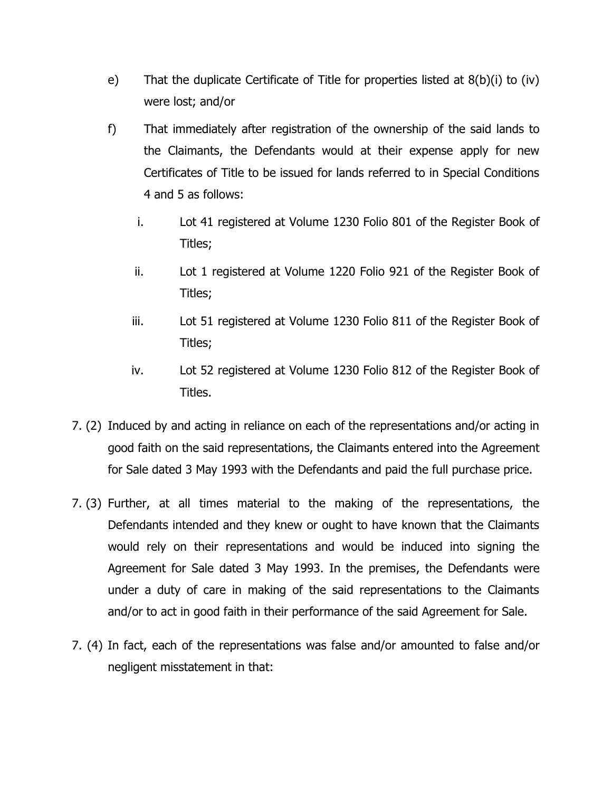- e) That the duplicate Certificate of Title for properties listed at 8(b)(i) to (iv) were lost; and/or
- f) That immediately after registration of the ownership of the said lands to the Claimants, the Defendants would at their expense apply for new Certificates of Title to be issued for lands referred to in Special Conditions 4 and 5 as follows:
	- i. Lot 41 registered at Volume 1230 Folio 801 of the Register Book of Titles;
	- ii. Lot 1 registered at Volume 1220 Folio 921 of the Register Book of Titles;
	- iii. Lot 51 registered at Volume 1230 Folio 811 of the Register Book of Titles;
	- iv. Lot 52 registered at Volume 1230 Folio 812 of the Register Book of Titles.
- 7. (2) Induced by and acting in reliance on each of the representations and/or acting in good faith on the said representations, the Claimants entered into the Agreement for Sale dated 3 May 1993 with the Defendants and paid the full purchase price.
- 7. (3) Further, at all times material to the making of the representations, the Defendants intended and they knew or ought to have known that the Claimants would rely on their representations and would be induced into signing the Agreement for Sale dated 3 May 1993. In the premises, the Defendants were under a duty of care in making of the said representations to the Claimants and/or to act in good faith in their performance of the said Agreement for Sale.
- 7. (4) In fact, each of the representations was false and/or amounted to false and/or negligent misstatement in that: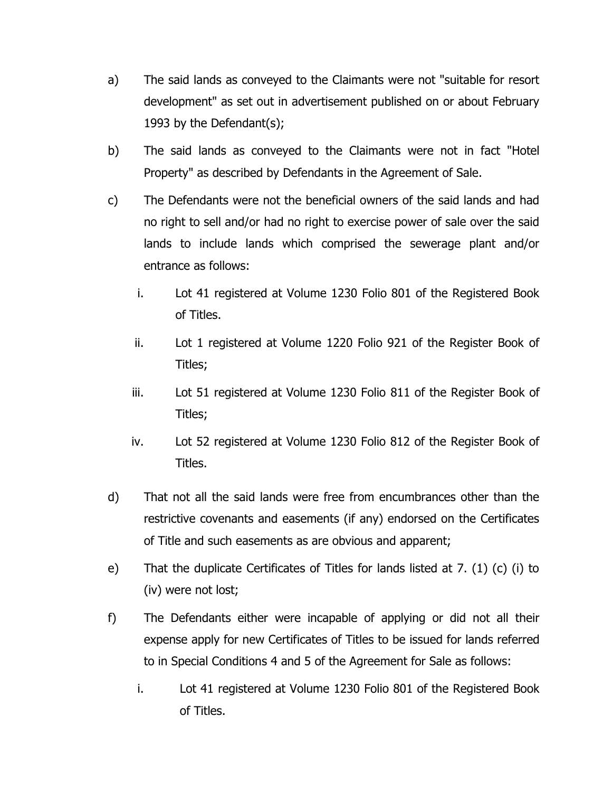- a) The said lands as conveyed to the Claimants were not "suitable for resort development" as set out in advertisement published on or about February 1993 by the Defendant(s);
- b) The said lands as conveyed to the Claimants were not in fact "Hotel Property" as described by Defendants in the Agreement of Sale.
- c) The Defendants were not the beneficial owners of the said lands and had no right to sell and/or had no right to exercise power of sale over the said lands to include lands which comprised the sewerage plant and/or entrance as follows:
	- i. Lot 41 registered at Volume 1230 Folio 801 of the Registered Book of Titles.
	- ii. Lot 1 registered at Volume 1220 Folio 921 of the Register Book of Titles;
	- iii. Lot 51 registered at Volume 1230 Folio 811 of the Register Book of Titles;
	- iv. Lot 52 registered at Volume 1230 Folio 812 of the Register Book of Titles.
- d) That not all the said lands were free from encumbrances other than the restrictive covenants and easements (if any) endorsed on the Certificates of Title and such easements as are obvious and apparent;
- e) That the duplicate Certificates of Titles for lands listed at 7. (1) (c) (i) to (iv) were not lost;
- f) The Defendants either were incapable of applying or did not all their expense apply for new Certificates of Titles to be issued for lands referred to in Special Conditions 4 and 5 of the Agreement for Sale as follows:
	- i. Lot 41 registered at Volume 1230 Folio 801 of the Registered Book of Titles.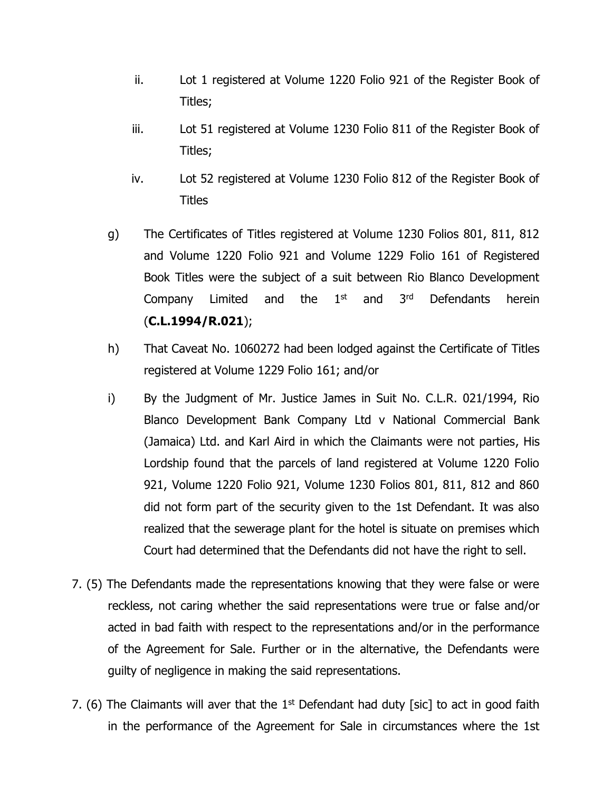- ii. Lot 1 registered at Volume 1220 Folio 921 of the Register Book of Titles;
- iii. Lot 51 registered at Volume 1230 Folio 811 of the Register Book of Titles;
- iv. Lot 52 registered at Volume 1230 Folio 812 of the Register Book of **Titles**
- g) The Certificates of Titles registered at Volume 1230 Folios 801, 811, 812 and Volume 1220 Folio 921 and Volume 1229 Folio 161 of Registered Book Titles were the subject of a suit between Rio Blanco Development Company Limited and the  $1<sup>st</sup>$ and 3<sup>rd</sup> Defendants herein (**C.L.1994/R.021**);
- h) That Caveat No. 1060272 had been lodged against the Certificate of Titles registered at Volume 1229 Folio 161; and/or
- i) By the Judgment of Mr. Justice James in Suit No. C.L.R. 021/1994, Rio Blanco Development Bank Company Ltd v National Commercial Bank (Jamaica) Ltd. and Karl Aird in which the Claimants were not parties, His Lordship found that the parcels of land registered at Volume 1220 Folio 921, Volume 1220 Folio 921, Volume 1230 Folios 801, 811, 812 and 860 did not form part of the security given to the 1st Defendant. It was also realized that the sewerage plant for the hotel is situate on premises which Court had determined that the Defendants did not have the right to sell.
- 7. (5) The Defendants made the representations knowing that they were false or were reckless, not caring whether the said representations were true or false and/or acted in bad faith with respect to the representations and/or in the performance of the Agreement for Sale. Further or in the alternative, the Defendants were guilty of negligence in making the said representations.
- 7. (6) The Claimants will aver that the  $1<sup>st</sup>$  Defendant had duty [sic] to act in good faith in the performance of the Agreement for Sale in circumstances where the 1st